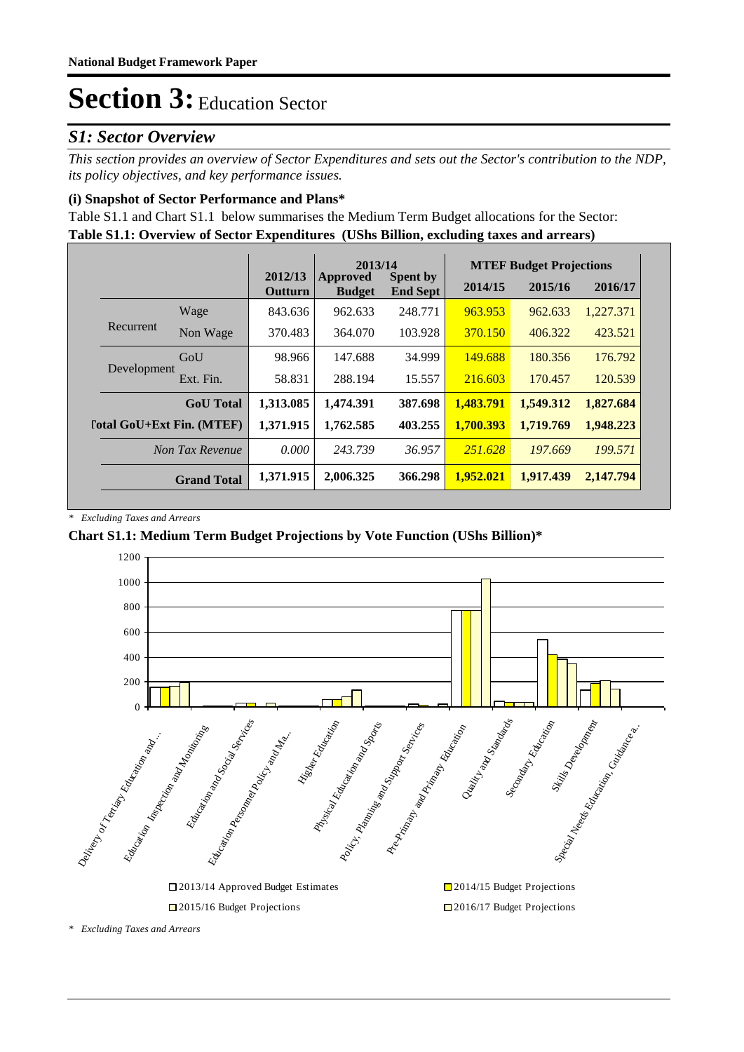### *S1: Sector Overview*

*This section provides an overview of Sector Expenditures and sets out the Sector's contribution to the NDP, its policy objectives, and key performance issues.* 

### **(i) Snapshot of Sector Performance and Plans\***

**Table S1.1: Overview of Sector Expenditures (UShs Billion, excluding taxes and arrears)** Table S1.1 and Chart S1.1 below summarises the Medium Term Budget allocations for the Sector:

|                                  |                    |                    | 2013/14                   |                                    |           | <b>MTEF Budget Projections</b> |           |
|----------------------------------|--------------------|--------------------|---------------------------|------------------------------------|-----------|--------------------------------|-----------|
|                                  |                    | 2012/13<br>Outturn | Approved<br><b>Budget</b> | <b>Spent by</b><br><b>End Sept</b> | 2014/15   | 2015/16                        | 2016/17   |
|                                  | Wage               | 843.636            | 962.633                   | 248.771                            | 963.953   | 962.633                        | 1,227.371 |
| Recurrent                        | Non Wage           | 370.483            | 364,070                   | 103.928                            | 370.150   | 406.322                        | 423.521   |
|                                  | GoU                | 98.966             | 147.688                   | 34.999                             | 149.688   | 180.356                        | 176.792   |
| Development                      | Ext. Fin.          | 58.831             | 288.194                   | 15.557                             | 216.603   | 170.457                        | 120.539   |
|                                  | <b>GoU</b> Total   | 1,313.085          | 1,474.391                 | 387.698                            | 1,483.791 | 1,549.312                      | 1,827.684 |
| <b>Total GoU+Ext Fin. (MTEF)</b> |                    | 1,371.915          | 1,762.585                 | 403.255                            | 1.700.393 | 1,719.769                      | 1,948.223 |
|                                  | Non Tax Revenue    | 0.000              | 243.739                   | 36.957                             | 251.628   | 197,669                        | 199.571   |
|                                  | <b>Grand Total</b> | 1,371.915          | 2,006.325                 | 366.298                            | 1,952,021 | 1,917.439                      | 2,147.794 |

*\* Excluding Taxes and Arrears*

### **Chart S1.1: Medium Term Budget Projections by Vote Function (UShs Billion)\***



*\* Excluding Taxes and Arrears*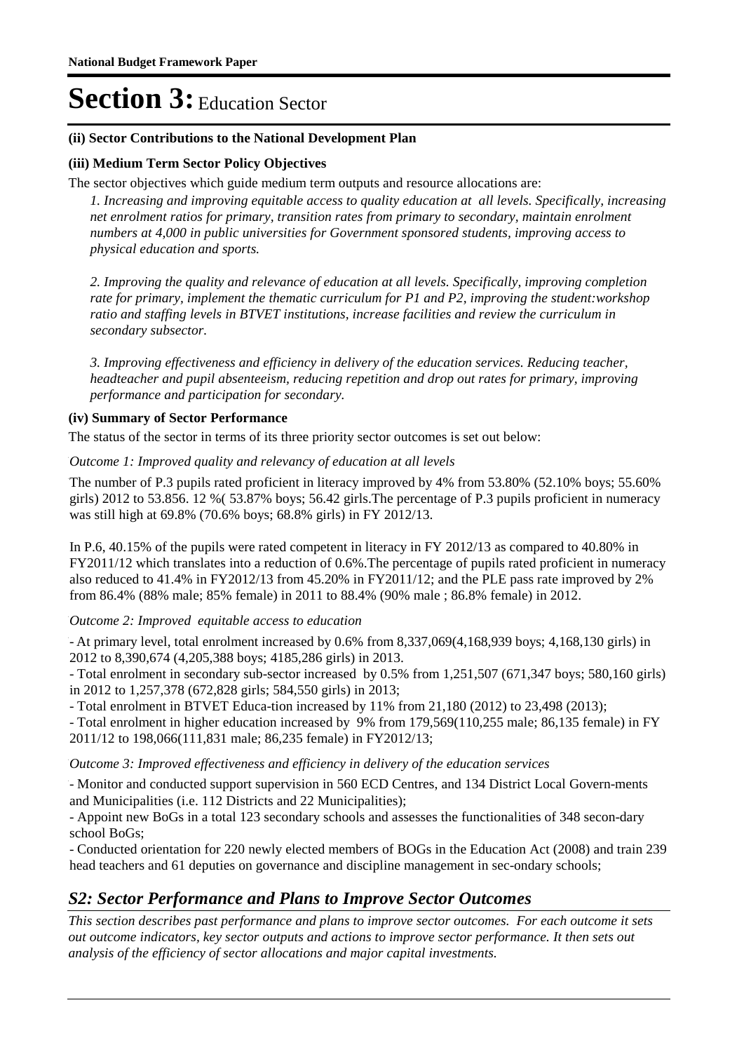### **(ii) Sector Contributions to the National Development Plan**

### **(iii) Medium Term Sector Policy Objectives**

The sector objectives which guide medium term outputs and resource allocations are:

*1. Increasing and improving equitable access to quality education at all levels. Specifically, increasing net enrolment ratios for primary, transition rates from primary to secondary, maintain enrolment numbers at 4,000 in public universities for Government sponsored students, improving access to physical education and sports.*

*2. Improving the quality and relevance of education at all levels. Specifically, improving completion rate for primary, implement the thematic curriculum for P1 and P2, improving the student:workshop ratio and staffing levels in BTVET institutions, increase facilities and review the curriculum in secondary subsector.* 

*3. Improving effectiveness and efficiency in delivery of the education services. Reducing teacher, headteacher and pupil absenteeism, reducing repetition and drop out rates for primary, improving performance and participation for secondary.*

#### **(iv) Summary of Sector Performance**

The status of the sector in terms of its three priority sector outcomes is set out below:

#### Outcome 1: Improved quality and relevancy of education at all levels

The number of P.3 pupils rated proficient in literacy improved by  $4\%$  from 53.80% (52.10% boys; 55.60%) girls) 2012 to 53.856. 12 %( 53.87% boys; 56.42 girls.The percentage of P.3 pupils proficient in numeracy was still high at 69.8% (70.6% boys; 68.8% girls) in FY 2012/13.

In P.6, 40.15% of the pupils were rated competent in literacy in FY 2012/13 as compared to 40.80% in FY2011/12 which translates into a reduction of 0.6%.The percentage of pupils rated proficient in numeracy also reduced to 41.4% in FY2012/13 from 45.20% in FY2011/12; and the PLE pass rate improved by 2% from 86.4% (88% male; 85% female) in 2011 to 88.4% (90% male ; 86.8% female) in 2012.

### Outcome 2: Improved equitable access to education

- At primary level, total enrolment increased by  $0.6\%$  from  $8,337,069(4,168,939$  boys;  $4,168,130$  girls) in 2012 to 8,390,674 (4,205,388 boys; 4185,286 girls) in 2013.

- Total enrolment in secondary sub-sector increased by 0.5% from 1,251,507 (671,347 boys; 580,160 girls) in 2012 to 1,257,378 (672,828 girls; 584,550 girls) in 2013;

- Total enrolment in BTVET Educa-tion increased by 11% from 21,180 (2012) to 23,498 (2013);

- Total enrolment in higher education increased by 9% from 179,569(110,255 male; 86,135 female) in FY 2011/12 to 198,066(111,831 male; 86,235 female) in FY2012/13;

#### Outcome 3: Improved effectiveness and efficiency in delivery of the education services

- Monitor and conducted support supervision in 560 ECD Centres, and 134 District Local Govern-ments and Municipalities (i.e. 112 Districts and 22 Municipalities);

- Appoint new BoGs in a total 123 secondary schools and assesses the functionalities of 348 secon-dary school BoGs;

- Conducted orientation for 220 newly elected members of BOGs in the Education Act (2008) and train 239 head teachers and 61 deputies on governance and discipline management in sec-ondary schools;

### *S2: Sector Performance and Plans to Improve Sector Outcomes*

*This section describes past performance and plans to improve sector outcomes. For each outcome it sets out outcome indicators, key sector outputs and actions to improve sector performance. It then sets out analysis of the efficiency of sector allocations and major capital investments.*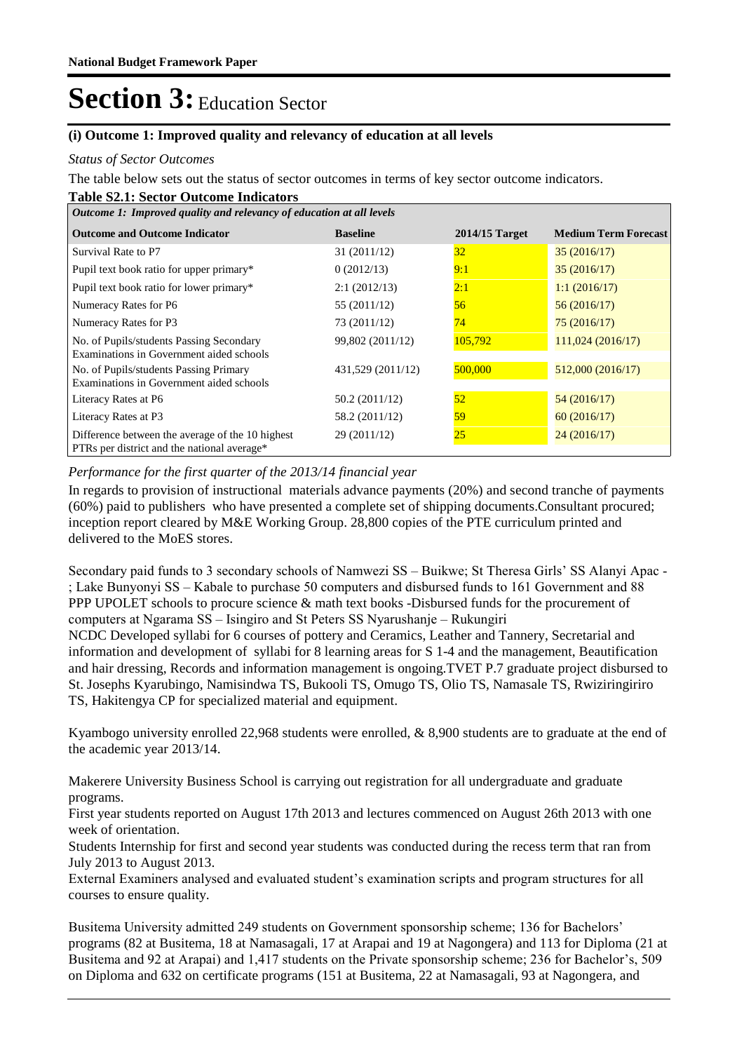### **(i) Outcome 1: Improved quality and relevancy of education at all levels**

#### *Status of Sector Outcomes*

The table below sets out the status of sector outcomes in terms of key sector outcome indicators.

#### **Table S2.1: Sector Outcome Indicators**

| Outcome 1: Improved quality and relevancy of education at all levels                            |                   |                  |                             |  |  |  |
|-------------------------------------------------------------------------------------------------|-------------------|------------------|-----------------------------|--|--|--|
| <b>Outcome and Outcome Indicator</b>                                                            | <b>Baseline</b>   | $2014/15$ Target | <b>Medium Term Forecast</b> |  |  |  |
| Survival Rate to P7                                                                             | 31(2011/12)       | 32               | 35(2016/17)                 |  |  |  |
| Pupil text book ratio for upper primary*                                                        | 0(2012/13)        | 9:1              | 35(2016/17)                 |  |  |  |
| Pupil text book ratio for lower primary*                                                        | 2:1(2012/13)      | 2:1              | 1:1(2016/17)                |  |  |  |
| Numeracy Rates for P6                                                                           | 55 (2011/12)      | 56               | 56(2016/17)                 |  |  |  |
| Numeracy Rates for P3                                                                           | 73 (2011/12)      | 74               | 75(2016/17)                 |  |  |  |
| No. of Pupils/students Passing Secondary<br>Examinations in Government aided schools            | 99,802 (2011/12)  | 105,792          | 111,024 (2016/17)           |  |  |  |
| No. of Pupils/students Passing Primary<br>Examinations in Government aided schools              | 431,529 (2011/12) | 500,000          | 512,000 (2016/17)           |  |  |  |
| Literacy Rates at P6                                                                            | 50.2 (2011/12)    | 52               | 54 (2016/17)                |  |  |  |
| Literacy Rates at P3                                                                            | 58.2 (2011/12)    | 59               | 60(2016/17)                 |  |  |  |
| Difference between the average of the 10 highest<br>PTRs per district and the national average* | 29 (2011/12)      | 25               | 24(2016/17)                 |  |  |  |

#### *Performance for the first quarter of the 2013/14 financial year*

In regards to provision of instructional materials advance payments (20%) and second tranche of payments (60%) paid to publishers who have presented a complete set of shipping documents.Consultant procured; inception report cleared by M&E Working Group. 28,800 copies of the PTE curriculum printed and delivered to the MoES stores.

Secondary paid funds to 3 secondary schools of Namwezi SS – Buikwe; St Theresa Girls' SS Alanyi Apac - ; Lake Bunyonyi SS – Kabale to purchase 50 computers and disbursed funds to 161 Government and 88 PPP UPOLET schools to procure science & math text books -Disbursed funds for the procurement of computers at Ngarama SS – Isingiro and St Peters SS Nyarushanje – Rukungiri

NCDC Developed syllabi for 6 courses of pottery and Ceramics, Leather and Tannery, Secretarial and information and development of syllabi for 8 learning areas for S 1-4 and the management, Beautification and hair dressing, Records and information management is ongoing.TVET P.7 graduate project disbursed to St. Josephs Kyarubingo, Namisindwa TS, Bukooli TS, Omugo TS, Olio TS, Namasale TS, Rwiziringiriro TS, Hakitengya CP for specialized material and equipment.

Kyambogo university enrolled 22,968 students were enrolled, & 8,900 students are to graduate at the end of the academic year 2013/14.

Makerere University Business School is carrying out registration for all undergraduate and graduate programs.

First year students reported on August 17th 2013 and lectures commenced on August 26th 2013 with one week of orientation.

Students Internship for first and second year students was conducted during the recess term that ran from July 2013 to August 2013.

External Examiners analysed and evaluated student's examination scripts and program structures for all courses to ensure quality.

Busitema University admitted 249 students on Government sponsorship scheme; 136 for Bachelors' programs (82 at Busitema, 18 at Namasagali, 17 at Arapai and 19 at Nagongera) and 113 for Diploma (21 at Busitema and 92 at Arapai) and 1,417 students on the Private sponsorship scheme; 236 for Bachelor's, 509 on Diploma and 632 on certificate programs (151 at Busitema, 22 at Namasagali, 93 at Nagongera, and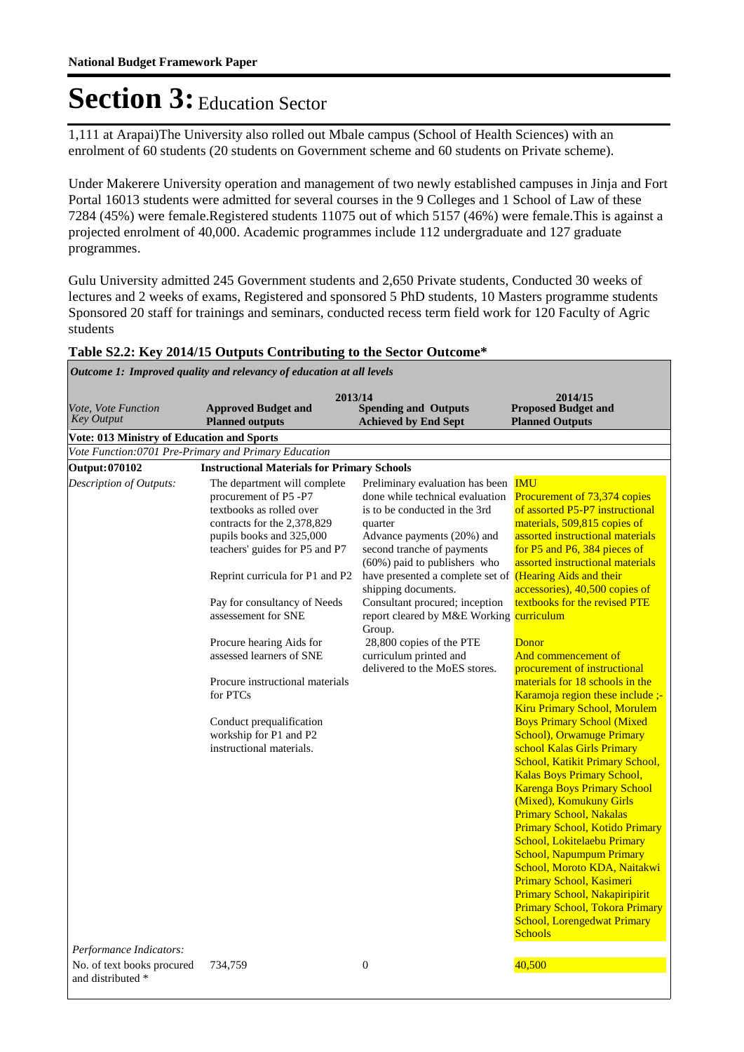1,111 at Arapai)The University also rolled out Mbale campus (School of Health Sciences) with an enrolment of 60 students (20 students on Government scheme and 60 students on Private scheme).

Under Makerere University operation and management of two newly established campuses in Jinja and Fort Portal 16013 students were admitted for several courses in the 9 Colleges and 1 School of Law of these 7284 (45%) were female.Registered students 11075 out of which 5157 (46%) were female.This is against a projected enrolment of 40,000. Academic programmes include 112 undergraduate and 127 graduate programmes.

Gulu University admitted 245 Government students and 2,650 Private students, Conducted 30 weeks of lectures and 2 weeks of exams, Registered and sponsored 5 PhD students, 10 Masters programme students Sponsored 20 staff for trainings and seminars, conducted recess term field work for 120 Faculty of Agric students

#### **Table S2.2: Key 2014/15 Outputs Contributing to the Sector Outcome\***

*Outcome 1: Improved quality and relevancy of education at all levels*

| Vote, Vote Function                               | 2013/14<br><b>Approved Budget and</b>                                                                                                                                                                                                                                                                                                                                                                                                                             | <b>Spending and Outputs</b>                                                                                                                                                                                                                                                                                                                                                                                                                                                  | 2014/15<br><b>Proposed Budget and</b>                                                                                                                                                                                                                                                                                                                                                                                                                                                                                                                                                                                                                                                                                                                                                                                                                                                                                                                                                                                      |
|---------------------------------------------------|-------------------------------------------------------------------------------------------------------------------------------------------------------------------------------------------------------------------------------------------------------------------------------------------------------------------------------------------------------------------------------------------------------------------------------------------------------------------|------------------------------------------------------------------------------------------------------------------------------------------------------------------------------------------------------------------------------------------------------------------------------------------------------------------------------------------------------------------------------------------------------------------------------------------------------------------------------|----------------------------------------------------------------------------------------------------------------------------------------------------------------------------------------------------------------------------------------------------------------------------------------------------------------------------------------------------------------------------------------------------------------------------------------------------------------------------------------------------------------------------------------------------------------------------------------------------------------------------------------------------------------------------------------------------------------------------------------------------------------------------------------------------------------------------------------------------------------------------------------------------------------------------------------------------------------------------------------------------------------------------|
| <b>Key Output</b>                                 | <b>Planned outputs</b>                                                                                                                                                                                                                                                                                                                                                                                                                                            | <b>Achieved by End Sept</b>                                                                                                                                                                                                                                                                                                                                                                                                                                                  | <b>Planned Outputs</b>                                                                                                                                                                                                                                                                                                                                                                                                                                                                                                                                                                                                                                                                                                                                                                                                                                                                                                                                                                                                     |
| <b>Vote: 013 Ministry of Education and Sports</b> |                                                                                                                                                                                                                                                                                                                                                                                                                                                                   |                                                                                                                                                                                                                                                                                                                                                                                                                                                                              |                                                                                                                                                                                                                                                                                                                                                                                                                                                                                                                                                                                                                                                                                                                                                                                                                                                                                                                                                                                                                            |
|                                                   | Vote Function: 0701 Pre-Primary and Primary Education                                                                                                                                                                                                                                                                                                                                                                                                             |                                                                                                                                                                                                                                                                                                                                                                                                                                                                              |                                                                                                                                                                                                                                                                                                                                                                                                                                                                                                                                                                                                                                                                                                                                                                                                                                                                                                                                                                                                                            |
| Output: 070102                                    | <b>Instructional Materials for Primary Schools</b>                                                                                                                                                                                                                                                                                                                                                                                                                |                                                                                                                                                                                                                                                                                                                                                                                                                                                                              |                                                                                                                                                                                                                                                                                                                                                                                                                                                                                                                                                                                                                                                                                                                                                                                                                                                                                                                                                                                                                            |
| Description of Outputs:                           | The department will complete<br>procurement of P5 -P7<br>textbooks as rolled over<br>contracts for the 2,378,829<br>pupils books and 325,000<br>teachers' guides for P5 and P7<br>Reprint curricula for P1 and P2<br>Pay for consultancy of Needs<br>assessement for SNE<br>Procure hearing Aids for<br>assessed learners of SNE<br>Procure instructional materials<br>for PTCs<br>Conduct prequalification<br>workship for P1 and P2<br>instructional materials. | Preliminary evaluation has been<br>done while technical evaluation<br>is to be conducted in the 3rd<br>quarter<br>Advance payments (20%) and<br>second tranche of payments<br>(60%) paid to publishers who<br>have presented a complete set of (Hearing Aids and their<br>shipping documents.<br>Consultant procured; inception<br>report cleared by M&E Working curriculum<br>Group.<br>28,800 copies of the PTE<br>curriculum printed and<br>delivered to the MoES stores. | <b>IMU</b><br>Procurement of 73,374 copies<br>of assorted P5-P7 instructional<br>materials, 509,815 copies of<br>assorted instructional materials<br>for P5 and P6, 384 pieces of<br>assorted instructional materials<br>accessories), 40,500 copies of<br>textbooks for the revised PTE<br>Donor<br>And commencement of<br>procurement of instructional<br>materials for 18 schools in the<br>Karamoja region these include ;-<br>Kiru Primary School, Morulem<br><b>Boys Primary School (Mixed</b><br><b>School), Orwamuge Primary</b><br>school Kalas Girls Primary<br>School, Katikit Primary School,<br><b>Kalas Boys Primary School,</b><br><b>Karenga Boys Primary School</b><br>(Mixed), Komukuny Girls<br><b>Primary School, Nakalas</b><br>Primary School, Kotido Primary<br>School, Lokitelaebu Primary<br><b>School, Napumpum Primary</b><br>School, Moroto KDA, Naitakwi<br>Primary School, Kasimeri<br>Primary School, Nakapiripirit<br>Primary School, Tokora Primary<br><b>School, Lorengedwat Primary</b> |
|                                                   |                                                                                                                                                                                                                                                                                                                                                                                                                                                                   |                                                                                                                                                                                                                                                                                                                                                                                                                                                                              | <b>Schools</b>                                                                                                                                                                                                                                                                                                                                                                                                                                                                                                                                                                                                                                                                                                                                                                                                                                                                                                                                                                                                             |
| Performance Indicators:                           |                                                                                                                                                                                                                                                                                                                                                                                                                                                                   |                                                                                                                                                                                                                                                                                                                                                                                                                                                                              |                                                                                                                                                                                                                                                                                                                                                                                                                                                                                                                                                                                                                                                                                                                                                                                                                                                                                                                                                                                                                            |
| No. of text books procured<br>and distributed *   | 734,759                                                                                                                                                                                                                                                                                                                                                                                                                                                           | $\boldsymbol{0}$                                                                                                                                                                                                                                                                                                                                                                                                                                                             | 40,500                                                                                                                                                                                                                                                                                                                                                                                                                                                                                                                                                                                                                                                                                                                                                                                                                                                                                                                                                                                                                     |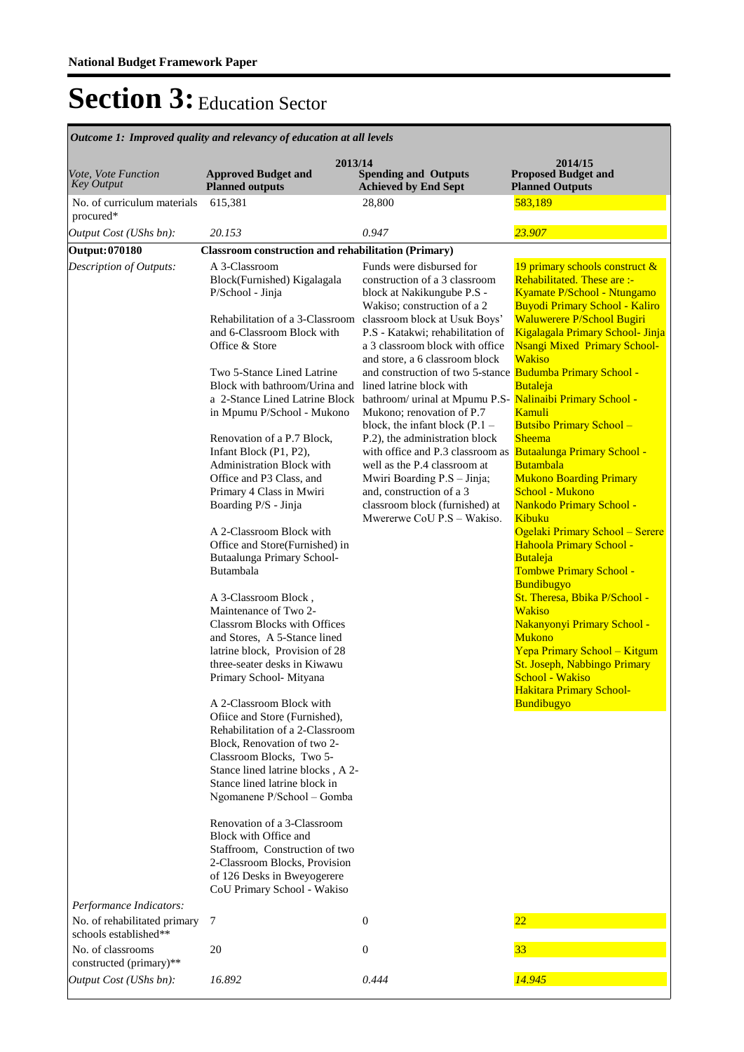| <i>Outcome 1: Improved quality and relevancy of education at all levels</i>      |                                                                                                                                                                                                                                                                                                                                                                                                                                                                                                                                                                                                                                                                                                                                                                                                                                                                                                                                                                                                                                                                                                                                                                                                                                              |                                                                                                                                                                                                                                                                                                                                                                                                                                                                                                                                                                                                                                                                                                                          |                                                                                                                                                                                                                                                                                                                                                                                                                                                                                                                                                                                                                                                                                                                                                                                                                                                          |  |  |
|----------------------------------------------------------------------------------|----------------------------------------------------------------------------------------------------------------------------------------------------------------------------------------------------------------------------------------------------------------------------------------------------------------------------------------------------------------------------------------------------------------------------------------------------------------------------------------------------------------------------------------------------------------------------------------------------------------------------------------------------------------------------------------------------------------------------------------------------------------------------------------------------------------------------------------------------------------------------------------------------------------------------------------------------------------------------------------------------------------------------------------------------------------------------------------------------------------------------------------------------------------------------------------------------------------------------------------------|--------------------------------------------------------------------------------------------------------------------------------------------------------------------------------------------------------------------------------------------------------------------------------------------------------------------------------------------------------------------------------------------------------------------------------------------------------------------------------------------------------------------------------------------------------------------------------------------------------------------------------------------------------------------------------------------------------------------------|----------------------------------------------------------------------------------------------------------------------------------------------------------------------------------------------------------------------------------------------------------------------------------------------------------------------------------------------------------------------------------------------------------------------------------------------------------------------------------------------------------------------------------------------------------------------------------------------------------------------------------------------------------------------------------------------------------------------------------------------------------------------------------------------------------------------------------------------------------|--|--|
| Vote, Vote Function<br><b>Key Output</b>                                         | 2013/14<br><b>Approved Budget and</b><br><b>Planned outputs</b>                                                                                                                                                                                                                                                                                                                                                                                                                                                                                                                                                                                                                                                                                                                                                                                                                                                                                                                                                                                                                                                                                                                                                                              | <b>Spending and Outputs</b><br><b>Achieved by End Sept</b>                                                                                                                                                                                                                                                                                                                                                                                                                                                                                                                                                                                                                                                               | 2014/15<br><b>Proposed Budget and</b><br><b>Planned Outputs</b>                                                                                                                                                                                                                                                                                                                                                                                                                                                                                                                                                                                                                                                                                                                                                                                          |  |  |
| No. of curriculum materials<br>procured*                                         | 615,381                                                                                                                                                                                                                                                                                                                                                                                                                                                                                                                                                                                                                                                                                                                                                                                                                                                                                                                                                                                                                                                                                                                                                                                                                                      | 28,800                                                                                                                                                                                                                                                                                                                                                                                                                                                                                                                                                                                                                                                                                                                   | 583,189                                                                                                                                                                                                                                                                                                                                                                                                                                                                                                                                                                                                                                                                                                                                                                                                                                                  |  |  |
| Output Cost (UShs bn):                                                           | 20.153                                                                                                                                                                                                                                                                                                                                                                                                                                                                                                                                                                                                                                                                                                                                                                                                                                                                                                                                                                                                                                                                                                                                                                                                                                       | 0.947                                                                                                                                                                                                                                                                                                                                                                                                                                                                                                                                                                                                                                                                                                                    | 23.907                                                                                                                                                                                                                                                                                                                                                                                                                                                                                                                                                                                                                                                                                                                                                                                                                                                   |  |  |
| Output: 070180                                                                   | <b>Classroom construction and rehabilitation (Primary)</b>                                                                                                                                                                                                                                                                                                                                                                                                                                                                                                                                                                                                                                                                                                                                                                                                                                                                                                                                                                                                                                                                                                                                                                                   |                                                                                                                                                                                                                                                                                                                                                                                                                                                                                                                                                                                                                                                                                                                          |                                                                                                                                                                                                                                                                                                                                                                                                                                                                                                                                                                                                                                                                                                                                                                                                                                                          |  |  |
| Description of Outputs:                                                          | A 3-Classroom<br>Block(Furnished) Kigalagala<br>P/School - Jinja<br>Rehabilitation of a 3-Classroom<br>and 6-Classroom Block with<br>Office & Store<br>Two 5-Stance Lined Latrine<br>Block with bathroom/Urina and<br>a 2-Stance Lined Latrine Block<br>in Mpumu P/School - Mukono<br>Renovation of a P.7 Block,<br>Infant Block (P1, P2),<br>Administration Block with<br>Office and P3 Class, and<br>Primary 4 Class in Mwiri<br>Boarding P/S - Jinja<br>A 2-Classroom Block with<br>Office and Store(Furnished) in<br>Butaalunga Primary School-<br>Butambala<br>A 3-Classroom Block,<br>Maintenance of Two 2-<br><b>Classrom Blocks with Offices</b><br>and Stores, A 5-Stance lined<br>latrine block, Provision of 28<br>three-seater desks in Kiwawu<br>Primary School-Mityana<br>A 2-Classroom Block with<br>Ofiice and Store (Furnished),<br>Rehabilitation of a 2-Classroom<br>Block, Renovation of two 2-<br>Classroom Blocks, Two 5-<br>Stance lined latrine blocks, A 2-<br>Stance lined latrine block in<br>Ngomanene P/School - Gomba<br>Renovation of a 3-Classroom<br>Block with Office and<br>Staffroom. Construction of two<br>2-Classroom Blocks, Provision<br>of 126 Desks in Bweyogerere<br>CoU Primary School - Wakiso | Funds were disbursed for<br>construction of a 3 classroom<br>block at Nakikungube P.S -<br>Wakiso; construction of a 2<br>classroom block at Usuk Boys'<br>P.S - Katakwi; rehabilitation of<br>a 3 classroom block with office<br>and store, a 6 classroom block<br>and construction of two 5-stance Budumba Primary School -<br>lined latrine block with<br>bathroom/ urinal at Mpumu P.S- Nalinaibi Primary School -<br>Mukono; renovation of P.7<br>block, the infant block $(P.1 -$<br>P.2), the administration block<br>with office and P.3 classroom as<br>well as the P.4 classroom at<br>Mwiri Boarding P.S - Jinja;<br>and, construction of a 3<br>classroom block (furnished) at<br>Mwererwe CoU P.S - Wakiso. | 19 primary schools construct &<br>Rehabilitated. These are :-<br>Kyamate P/School - Ntungamo<br><b>Buyodi Primary School - Kaliro</b><br>Waluwerere P/School Bugiri<br>Kigalagala Primary School- Jinja<br><b>Nsangi Mixed Primary School-</b><br><b>Wakiso</b><br>Butaleja<br>Kamuli<br><b>Butsibo Primary School -</b><br><b>Sheema</b><br>Butaalunga Primary School -<br><b>Butambala</b><br><b>Mukono Boarding Primary</b><br>School - Mukono<br>Nankodo Primary School -<br>Kibuku<br>Ogelaki Primary School - Serere<br>Hahoola Primary School -<br>Butaleja<br>Tombwe Primary School -<br><b>Bundibugyo</b><br>St. Theresa, Bbika P/School -<br><b>Wakiso</b><br>Nakanyonyi Primary School -<br><b>Mukono</b><br>Yepa Primary School - Kitgum<br>St. Joseph, Nabbingo Primary<br>School - Wakiso<br><b>Hakitara Primary School-</b><br>Bundibugyo |  |  |
| Performance Indicators:<br>No. of rehabilitated primary<br>schools established** | $\tau$                                                                                                                                                                                                                                                                                                                                                                                                                                                                                                                                                                                                                                                                                                                                                                                                                                                                                                                                                                                                                                                                                                                                                                                                                                       | $\boldsymbol{0}$                                                                                                                                                                                                                                                                                                                                                                                                                                                                                                                                                                                                                                                                                                         | $\overline{22}$                                                                                                                                                                                                                                                                                                                                                                                                                                                                                                                                                                                                                                                                                                                                                                                                                                          |  |  |
| No. of classrooms<br>constructed (primary)**                                     | 20                                                                                                                                                                                                                                                                                                                                                                                                                                                                                                                                                                                                                                                                                                                                                                                                                                                                                                                                                                                                                                                                                                                                                                                                                                           | $\mathbf{0}$                                                                                                                                                                                                                                                                                                                                                                                                                                                                                                                                                                                                                                                                                                             | 33                                                                                                                                                                                                                                                                                                                                                                                                                                                                                                                                                                                                                                                                                                                                                                                                                                                       |  |  |
| Output Cost (UShs bn):                                                           | 16.892                                                                                                                                                                                                                                                                                                                                                                                                                                                                                                                                                                                                                                                                                                                                                                                                                                                                                                                                                                                                                                                                                                                                                                                                                                       | 0.444                                                                                                                                                                                                                                                                                                                                                                                                                                                                                                                                                                                                                                                                                                                    | 14.945                                                                                                                                                                                                                                                                                                                                                                                                                                                                                                                                                                                                                                                                                                                                                                                                                                                   |  |  |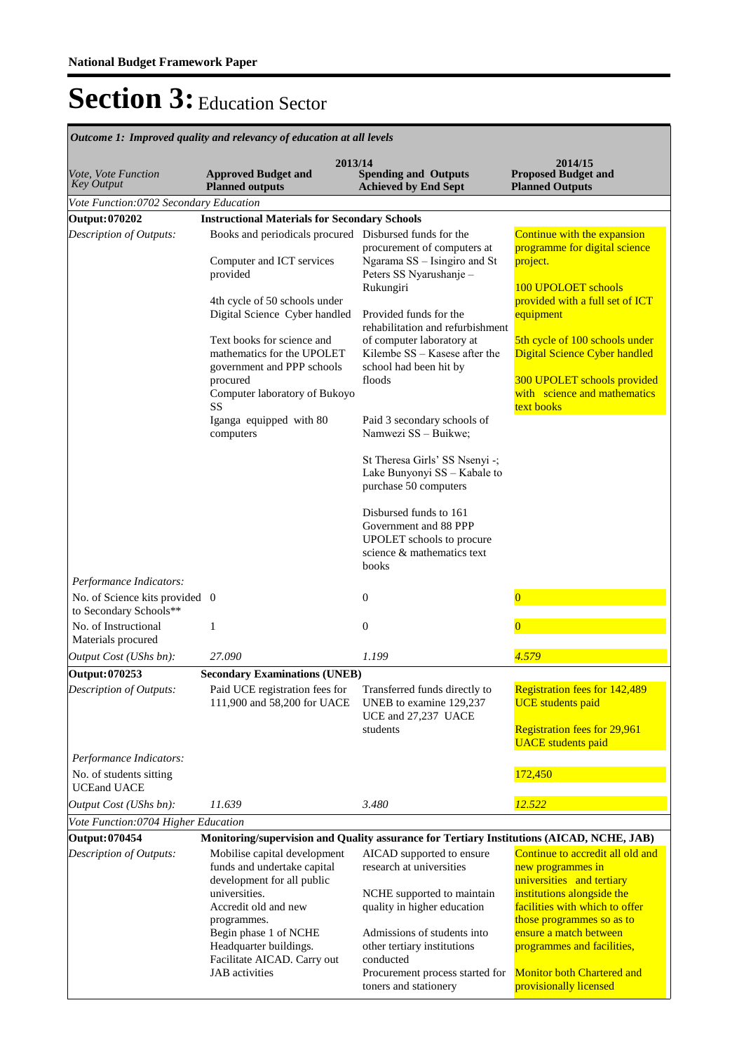| лисоте 1. тпрготси дишну ини генетнеу ој синешноп игин нетек         |                                                                                                                                                                                                                                                                                                                                                        |                                                                                                                                                                                                                                                                                                                                                                                                                                                                                                       |                                                                                                                                                                                                                                                                                                        |  |  |
|----------------------------------------------------------------------|--------------------------------------------------------------------------------------------------------------------------------------------------------------------------------------------------------------------------------------------------------------------------------------------------------------------------------------------------------|-------------------------------------------------------------------------------------------------------------------------------------------------------------------------------------------------------------------------------------------------------------------------------------------------------------------------------------------------------------------------------------------------------------------------------------------------------------------------------------------------------|--------------------------------------------------------------------------------------------------------------------------------------------------------------------------------------------------------------------------------------------------------------------------------------------------------|--|--|
| Vote, Vote Function<br><b>Key Output</b>                             | 2013/14<br><b>Approved Budget and</b><br><b>Planned outputs</b>                                                                                                                                                                                                                                                                                        | <b>Spending and Outputs</b><br><b>Achieved by End Sept</b>                                                                                                                                                                                                                                                                                                                                                                                                                                            | 2014/15<br><b>Proposed Budget and</b><br><b>Planned Outputs</b>                                                                                                                                                                                                                                        |  |  |
| Vote Function:0702 Secondary Education                               |                                                                                                                                                                                                                                                                                                                                                        |                                                                                                                                                                                                                                                                                                                                                                                                                                                                                                       |                                                                                                                                                                                                                                                                                                        |  |  |
| Output: 070202                                                       | <b>Instructional Materials for Secondary Schools</b>                                                                                                                                                                                                                                                                                                   |                                                                                                                                                                                                                                                                                                                                                                                                                                                                                                       |                                                                                                                                                                                                                                                                                                        |  |  |
| Description of Outputs:                                              | Books and periodicals procured Disbursed funds for the<br>Computer and ICT services<br>provided<br>4th cycle of 50 schools under<br>Digital Science Cyber handled<br>Text books for science and<br>mathematics for the UPOLET<br>government and PPP schools<br>procured<br>Computer laboratory of Bukoyo<br>SS<br>Iganga equipped with 80<br>computers | procurement of computers at<br>Ngarama SS - Isingiro and St<br>Peters SS Nyarushanje -<br>Rukungiri<br>Provided funds for the<br>rehabilitation and refurbishment<br>of computer laboratory at<br>Kilembe SS - Kasese after the<br>school had been hit by<br>floods<br>Paid 3 secondary schools of<br>Namwezi SS - Buikwe;<br>St Theresa Girls' SS Nsenyi -;<br>Lake Bunyonyi SS - Kabale to<br>purchase 50 computers<br>Disbursed funds to 161<br>Government and 88 PPP<br>UPOLET schools to procure | Continue with the expansion<br>programme for digital science<br>project.<br>100 UPOLOET schools<br>provided with a full set of ICT<br>equipment<br>5th cycle of 100 schools under<br>Digital Science Cyber handled<br>300 UPOLET schools provided<br>with science and mathematics<br>text books        |  |  |
| Performance Indicators:<br>No. of Science kits provided 0            |                                                                                                                                                                                                                                                                                                                                                        | science & mathematics text<br>books<br>$\boldsymbol{0}$                                                                                                                                                                                                                                                                                                                                                                                                                                               |                                                                                                                                                                                                                                                                                                        |  |  |
| to Secondary Schools**<br>No. of Instructional<br>Materials procured | 1                                                                                                                                                                                                                                                                                                                                                      | $\boldsymbol{0}$                                                                                                                                                                                                                                                                                                                                                                                                                                                                                      | $\overline{0}$                                                                                                                                                                                                                                                                                         |  |  |
| Output Cost (UShs bn):                                               | 27.090                                                                                                                                                                                                                                                                                                                                                 | 1.199                                                                                                                                                                                                                                                                                                                                                                                                                                                                                                 | 4.579                                                                                                                                                                                                                                                                                                  |  |  |
| Output: 070253                                                       | <b>Secondary Examinations (UNEB)</b>                                                                                                                                                                                                                                                                                                                   |                                                                                                                                                                                                                                                                                                                                                                                                                                                                                                       |                                                                                                                                                                                                                                                                                                        |  |  |
| Description of Outputs:<br>Performance Indicators:                   | Paid UCE registration fees for<br>111,900 and 58,200 for UACE                                                                                                                                                                                                                                                                                          | Transferred funds directly to<br>UNEB to examine 129,237<br>UCE and 27,237 UACE<br>students                                                                                                                                                                                                                                                                                                                                                                                                           | <b>Registration fees for 142,489</b><br><b>UCE</b> students paid<br><b>Registration fees for 29,961</b><br><b>UACE</b> students paid                                                                                                                                                                   |  |  |
| No. of students sitting<br><b>UCEand UACE</b>                        |                                                                                                                                                                                                                                                                                                                                                        |                                                                                                                                                                                                                                                                                                                                                                                                                                                                                                       | 172,450                                                                                                                                                                                                                                                                                                |  |  |
| Output Cost (UShs bn):                                               | 11.639                                                                                                                                                                                                                                                                                                                                                 | 3.480                                                                                                                                                                                                                                                                                                                                                                                                                                                                                                 | 12.522                                                                                                                                                                                                                                                                                                 |  |  |
| Vote Function: 0704 Higher Education                                 |                                                                                                                                                                                                                                                                                                                                                        |                                                                                                                                                                                                                                                                                                                                                                                                                                                                                                       |                                                                                                                                                                                                                                                                                                        |  |  |
| <b>Output: 070454</b>                                                | Monitoring/supervision and Quality assurance for Tertiary Institutions (AICAD, NCHE, JAB)                                                                                                                                                                                                                                                              |                                                                                                                                                                                                                                                                                                                                                                                                                                                                                                       |                                                                                                                                                                                                                                                                                                        |  |  |
| Description of Outputs:                                              | Mobilise capital development<br>funds and undertake capital<br>development for all public<br>universities.<br>Accredit old and new<br>programmes.<br>Begin phase 1 of NCHE<br>Headquarter buildings.<br>Facilitate AICAD. Carry out<br><b>JAB</b> activities                                                                                           | AICAD supported to ensure<br>research at universities<br>NCHE supported to maintain<br>quality in higher education<br>Admissions of students into<br>other tertiary institutions<br>conducted<br>Procurement process started for<br>toners and stationery                                                                                                                                                                                                                                             | Continue to accredit all old and<br>new programmes in<br>universities and tertiary<br>institutions alongside the<br>facilities with which to offer<br>those programmes so as to<br>ensure a match between<br>programmes and facilities,<br><b>Monitor both Chartered and</b><br>provisionally licensed |  |  |

*Outcome 1: Improved quality and relevancy of education at all levels*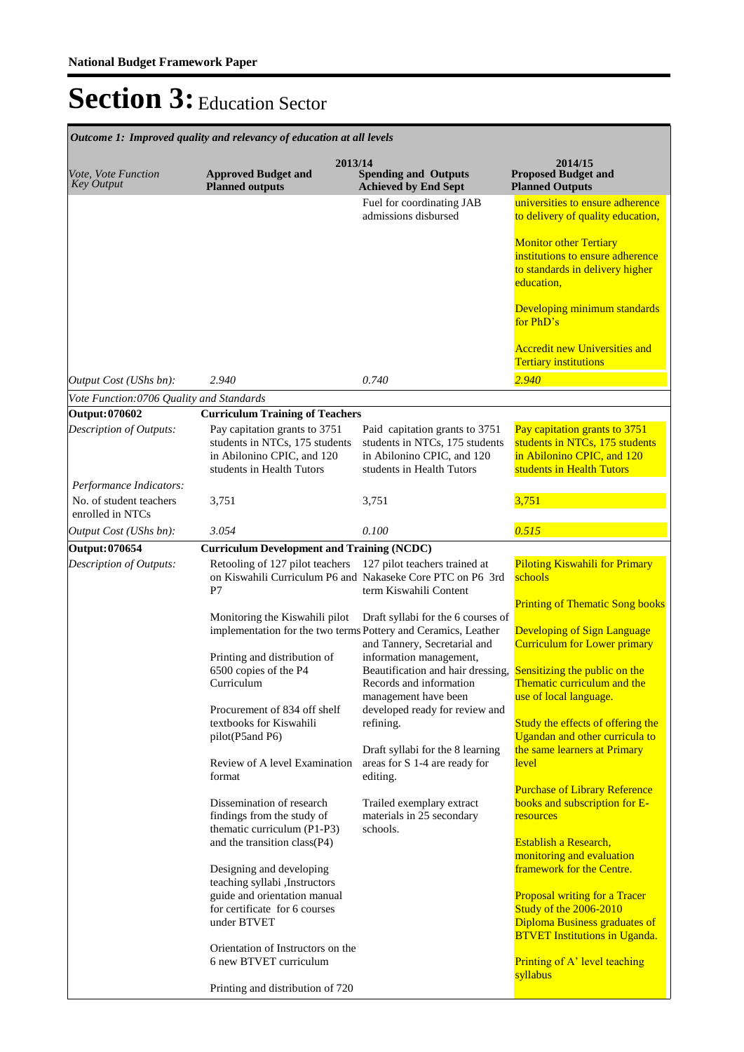| Vote, Vote Function                                | 2013/14<br><b>Approved Budget and</b>                                                                                                      | <b>Spending and Outputs</b>                                                                                                 | 2014/15<br><b>Proposed Budget and</b>                                                                                                                                                                           |
|----------------------------------------------------|--------------------------------------------------------------------------------------------------------------------------------------------|-----------------------------------------------------------------------------------------------------------------------------|-----------------------------------------------------------------------------------------------------------------------------------------------------------------------------------------------------------------|
| <b>Key Output</b>                                  | <b>Planned outputs</b>                                                                                                                     | <b>Achieved by End Sept</b>                                                                                                 | <b>Planned Outputs</b>                                                                                                                                                                                          |
|                                                    |                                                                                                                                            | Fuel for coordinating JAB<br>admissions disbursed                                                                           | universities to ensure adherence<br>to delivery of quality education,                                                                                                                                           |
|                                                    |                                                                                                                                            |                                                                                                                             | <b>Monitor other Tertiary</b><br>institutions to ensure adherence<br>to standards in delivery higher<br>education,                                                                                              |
|                                                    |                                                                                                                                            |                                                                                                                             | Developing minimum standards<br>for PhD's                                                                                                                                                                       |
|                                                    |                                                                                                                                            |                                                                                                                             | <b>Accredit new Universities and</b><br><b>Tertiary institutions</b>                                                                                                                                            |
| Output Cost (UShs bn):                             | 2.940                                                                                                                                      | 0.740                                                                                                                       | 2.940                                                                                                                                                                                                           |
| Vote Function:0706 Quality and Standards           |                                                                                                                                            |                                                                                                                             |                                                                                                                                                                                                                 |
| Output: 070602                                     | <b>Curriculum Training of Teachers</b>                                                                                                     |                                                                                                                             |                                                                                                                                                                                                                 |
| Description of Outputs:                            | Pay capitation grants to 3751<br>students in NTCs, 175 students<br>in Abilonino CPIC, and 120<br>students in Health Tutors                 | Paid capitation grants to 3751<br>students in NTCs, 175 students<br>in Abilonino CPIC, and 120<br>students in Health Tutors | Pay capitation grants to 3751<br>students in NTCs, 175 students<br>in Abilonino CPIC, and 120<br>students in Health Tutors                                                                                      |
| Performance Indicators:<br>No. of student teachers | 3,751                                                                                                                                      | 3,751                                                                                                                       | 3,751                                                                                                                                                                                                           |
| enrolled in NTCs<br>Output Cost (UShs bn):         | 3.054                                                                                                                                      | 0.100                                                                                                                       | 0.515                                                                                                                                                                                                           |
| Output: 070654                                     | <b>Curriculum Development and Training (NCDC)</b>                                                                                          |                                                                                                                             |                                                                                                                                                                                                                 |
| Description of Outputs:                            | Retooling of 127 pilot teachers                                                                                                            | 127 pilot teachers trained at                                                                                               | <b>Piloting Kiswahili for Primary</b>                                                                                                                                                                           |
|                                                    | on Kiswahili Curriculum P6 and Nakaseke Core PTC on P6 3rd<br>P7                                                                           | term Kiswahili Content                                                                                                      | schools                                                                                                                                                                                                         |
|                                                    | Monitoring the Kiswahili pilot<br>implementation for the two terms Pottery and Ceramics, Leather                                           | Draft syllabi for the 6 courses of<br>and Tannery, Secretarial and                                                          | <b>Printing of Thematic Song books</b><br><b>Developing of Sign Language</b><br><b>Curriculum for Lower primary</b>                                                                                             |
|                                                    | Printing and distribution of<br>6500 copies of the P4<br>Curriculum                                                                        | information management,<br>Beautification and hair dressing,<br>Records and information                                     | Sensitizing the public on the<br>Thematic curriculum and the                                                                                                                                                    |
|                                                    | Procurement of 834 off shelf<br>textbooks for Kiswahili                                                                                    | management have been<br>developed ready for review and<br>refining.                                                         | use of local language.<br>Study the effects of offering the                                                                                                                                                     |
|                                                    | pilot(P5and P6)<br>Review of A level Examination<br>format                                                                                 | Draft syllabi for the 8 learning<br>areas for S 1-4 are ready for<br>editing.                                               | Ugandan and other curricula to<br>the same learners at Primary<br>level                                                                                                                                         |
|                                                    | Dissemination of research<br>findings from the study of<br>thematic curriculum (P1-P3)<br>and the transition class(P4)                     | Trailed exemplary extract<br>materials in 25 secondary<br>schools.                                                          | <b>Purchase of Library Reference</b><br>books and subscription for E-<br>resources<br>Establish a Research,                                                                                                     |
|                                                    | Designing and developing<br>teaching syllabi , Instructors<br>guide and orientation manual<br>for certificate for 6 courses<br>under BTVET |                                                                                                                             | monitoring and evaluation<br>framework for the Centre.<br><b>Proposal writing for a Tracer</b><br><b>Study of the 2006-2010</b><br><b>Diploma Business graduates of</b><br><b>BTVET Institutions in Uganda.</b> |
|                                                    | Orientation of Instructors on the<br>6 new BTVET curriculum                                                                                |                                                                                                                             | Printing of A' level teaching<br>syllabus                                                                                                                                                                       |
|                                                    | Printing and distribution of 720                                                                                                           |                                                                                                                             |                                                                                                                                                                                                                 |

*Outcome 1: Improved quality and relevancy of education at all levels*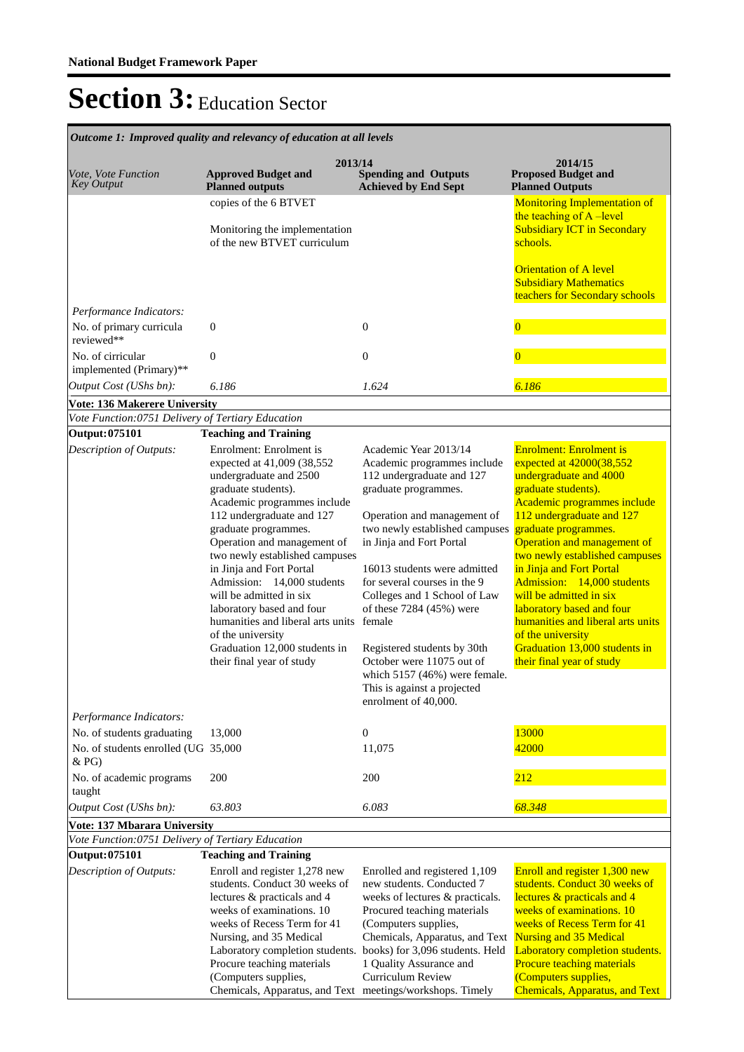| Outcome 1: Improved quality and relevancy of education at all levels                                |                                                                                                                                                                                                                                                                                                                                                                                                                                                                                                                        |                                                                                                                                                                                                                                                                                                                                                                                                                                                                                                             |                                                                                                                                                                                                                                                                                                                                                                                                                                                                                                                     |  |  |
|-----------------------------------------------------------------------------------------------------|------------------------------------------------------------------------------------------------------------------------------------------------------------------------------------------------------------------------------------------------------------------------------------------------------------------------------------------------------------------------------------------------------------------------------------------------------------------------------------------------------------------------|-------------------------------------------------------------------------------------------------------------------------------------------------------------------------------------------------------------------------------------------------------------------------------------------------------------------------------------------------------------------------------------------------------------------------------------------------------------------------------------------------------------|---------------------------------------------------------------------------------------------------------------------------------------------------------------------------------------------------------------------------------------------------------------------------------------------------------------------------------------------------------------------------------------------------------------------------------------------------------------------------------------------------------------------|--|--|
| Vote, Vote Function<br><b>Key Output</b>                                                            | 2013/14<br><b>Approved Budget and</b><br><b>Planned outputs</b>                                                                                                                                                                                                                                                                                                                                                                                                                                                        | <b>Spending and Outputs</b><br><b>Achieved by End Sept</b>                                                                                                                                                                                                                                                                                                                                                                                                                                                  | 2014/15<br><b>Proposed Budget and</b><br><b>Planned Outputs</b>                                                                                                                                                                                                                                                                                                                                                                                                                                                     |  |  |
|                                                                                                     | copies of the 6 BTVET<br>Monitoring the implementation<br>of the new BTVET curriculum                                                                                                                                                                                                                                                                                                                                                                                                                                  |                                                                                                                                                                                                                                                                                                                                                                                                                                                                                                             | <b>Monitoring Implementation of</b><br>the teaching of A-level<br><b>Subsidiary ICT in Secondary</b><br>schools.                                                                                                                                                                                                                                                                                                                                                                                                    |  |  |
|                                                                                                     |                                                                                                                                                                                                                                                                                                                                                                                                                                                                                                                        |                                                                                                                                                                                                                                                                                                                                                                                                                                                                                                             | <b>Orientation of A level</b><br><b>Subsidiary Mathematics</b><br>teachers for Secondary schools                                                                                                                                                                                                                                                                                                                                                                                                                    |  |  |
| Performance Indicators:<br>No. of primary curricula<br>reviewed**                                   | $\boldsymbol{0}$                                                                                                                                                                                                                                                                                                                                                                                                                                                                                                       | $\mathbf{0}$                                                                                                                                                                                                                                                                                                                                                                                                                                                                                                | $\bf{0}$                                                                                                                                                                                                                                                                                                                                                                                                                                                                                                            |  |  |
| No. of cirricular<br>implemented (Primary)**                                                        | $\boldsymbol{0}$                                                                                                                                                                                                                                                                                                                                                                                                                                                                                                       | $\boldsymbol{0}$                                                                                                                                                                                                                                                                                                                                                                                                                                                                                            |                                                                                                                                                                                                                                                                                                                                                                                                                                                                                                                     |  |  |
| Output Cost (UShs bn):                                                                              | 6.186                                                                                                                                                                                                                                                                                                                                                                                                                                                                                                                  | 1.624                                                                                                                                                                                                                                                                                                                                                                                                                                                                                                       | 6.186                                                                                                                                                                                                                                                                                                                                                                                                                                                                                                               |  |  |
| <b>Vote: 136 Makerere University</b>                                                                |                                                                                                                                                                                                                                                                                                                                                                                                                                                                                                                        |                                                                                                                                                                                                                                                                                                                                                                                                                                                                                                             |                                                                                                                                                                                                                                                                                                                                                                                                                                                                                                                     |  |  |
| Vote Function:0751 Delivery of Tertiary Education<br>Output: 075101                                 | <b>Teaching and Training</b>                                                                                                                                                                                                                                                                                                                                                                                                                                                                                           |                                                                                                                                                                                                                                                                                                                                                                                                                                                                                                             |                                                                                                                                                                                                                                                                                                                                                                                                                                                                                                                     |  |  |
| Description of Outputs:<br>Performance Indicators:<br>No. of students graduating                    | Enrolment: Enrolment is<br>expected at 41,009 (38,552<br>undergraduate and 2500<br>graduate students).<br>Academic programmes include<br>112 undergraduate and 127<br>graduate programmes.<br>Operation and management of<br>two newly established campuses<br>in Jinja and Fort Portal<br>Admission: 14,000 students<br>will be admitted in six<br>laboratory based and four<br>humanities and liberal arts units female<br>of the university<br>Graduation 12,000 students in<br>their final year of study<br>13,000 | Academic Year 2013/14<br>Academic programmes include<br>112 undergraduate and 127<br>graduate programmes.<br>Operation and management of<br>two newly established campuses<br>in Jinja and Fort Portal<br>16013 students were admitted<br>for several courses in the 9<br>Colleges and 1 School of Law<br>of these 7284 (45%) were<br>Registered students by 30th<br>October were 11075 out of<br>which $5157(46%)$ were female.<br>This is against a projected<br>enrolment of 40,000.<br>$\boldsymbol{0}$ | <b>Enrolment: Enrolment is</b><br>expected at 42000(38,552<br>undergraduate and 4000<br>graduate students).<br>Academic programmes include<br>112 undergraduate and 127<br>graduate programmes.<br>Operation and management of<br>two newly established campuses<br>in Jinja and Fort Portal<br>Admission: 14,000 students<br>will be admitted in six<br>laboratory based and four<br>humanities and liberal arts units<br>of the university<br>Graduation 13,000 students in<br>their final year of study<br>13000 |  |  |
| No. of students enrolled (UG 35,000                                                                 |                                                                                                                                                                                                                                                                                                                                                                                                                                                                                                                        | 11,075                                                                                                                                                                                                                                                                                                                                                                                                                                                                                                      | 42000                                                                                                                                                                                                                                                                                                                                                                                                                                                                                                               |  |  |
| & PG)<br>No. of academic programs<br>taught                                                         | 200                                                                                                                                                                                                                                                                                                                                                                                                                                                                                                                    | 200                                                                                                                                                                                                                                                                                                                                                                                                                                                                                                         | 212                                                                                                                                                                                                                                                                                                                                                                                                                                                                                                                 |  |  |
| Output Cost (UShs bn):                                                                              | 63.803                                                                                                                                                                                                                                                                                                                                                                                                                                                                                                                 | 6.083                                                                                                                                                                                                                                                                                                                                                                                                                                                                                                       | 68.348                                                                                                                                                                                                                                                                                                                                                                                                                                                                                                              |  |  |
| Vote: 137 Mbarara University<br>Vote Function:0751 Delivery of Tertiary Education<br>Output: 075101 | <b>Teaching and Training</b>                                                                                                                                                                                                                                                                                                                                                                                                                                                                                           |                                                                                                                                                                                                                                                                                                                                                                                                                                                                                                             |                                                                                                                                                                                                                                                                                                                                                                                                                                                                                                                     |  |  |
| Description of Outputs:                                                                             | Enroll and register 1,278 new<br>students. Conduct 30 weeks of<br>lectures & practicals and 4<br>weeks of examinations. 10<br>weeks of Recess Term for 41<br>Nursing, and 35 Medical<br>Laboratory completion students.<br>Procure teaching materials<br>(Computers supplies,<br>Chemicals, Apparatus, and Text meetings/workshops. Timely                                                                                                                                                                             | Enrolled and registered 1,109<br>new students. Conducted 7<br>weeks of lectures & practicals.<br>Procured teaching materials<br>(Computers supplies,<br>Chemicals, Apparatus, and Text<br>books) for 3,096 students. Held<br>1 Quality Assurance and<br>Curriculum Review                                                                                                                                                                                                                                   | Enroll and register 1,300 new<br>students. Conduct 30 weeks of<br>lectures & practicals and 4<br>weeks of examinations. 10<br>weeks of Recess Term for 41<br><b>Nursing and 35 Medical</b><br>Laboratory completion students.<br>Procure teaching materials<br>(Computers supplies,<br><b>Chemicals, Apparatus, and Text</b>                                                                                                                                                                                        |  |  |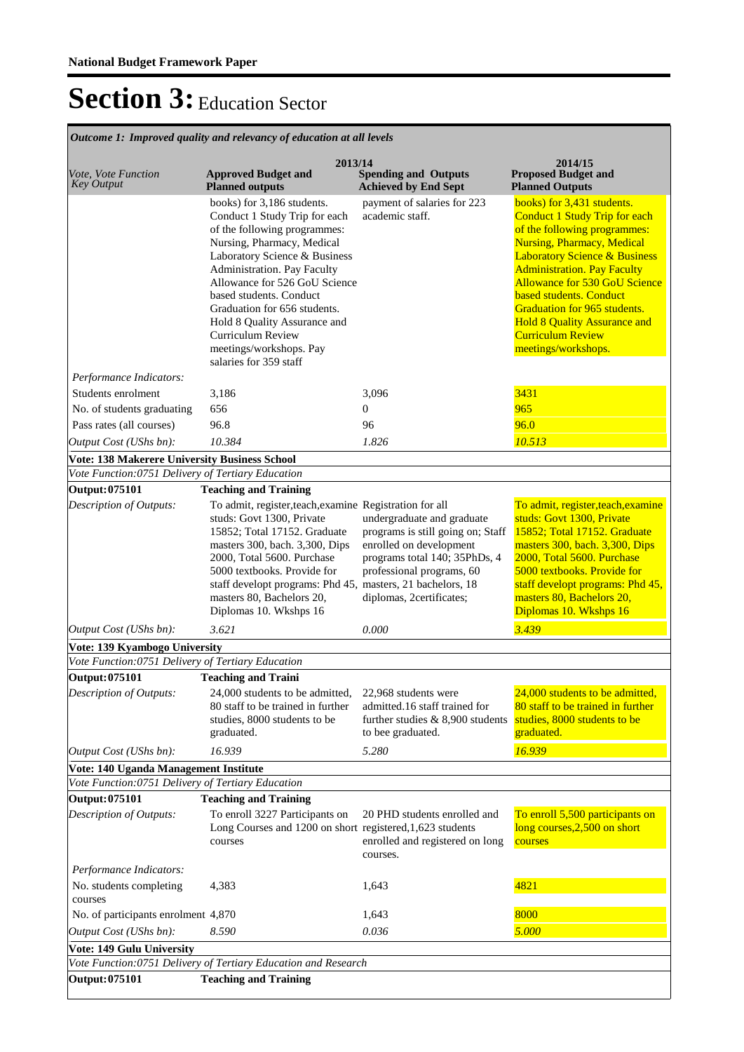**Spending and Outputs Achieved by End Sept Approved Budget and Planned outputs Proposed Budget and Planned Outputs 2013/14** *Vote, Vote Function Key Output* **2014/15** *Outcome 1: Improved quality and relevancy of education at all levels* books) for 3,186 students. Conduct 1 Study Trip for each of the following programmes: Nursing, Pharmacy, Medical Laboratory Science & Business Administration. Pay Faculty Allowance for 526 GoU Science based students. Conduct Graduation for 656 students. Hold 8 Quality Assurance and Curriculum Review meetings/workshops. Pay salaries for 359 staff payment of salaries for 223 academic staff. books) for 3,431 students. Conduct 1 Study Trip for each of the following programmes: Nursing, Pharmacy, Medical **Laboratory Science & Business** Administration. Pay Faculty Allowance for 530 GoU Science based students. Conduct Graduation for 965 students. Hold 8 Quality Assurance and Curriculum Review meetings/workshops. *Output Cost (UShs bn): 10.384 1.826 10.513 Performance Indicators:* Students enrolment 3,186 3,096 3431 No. of students graduating  $656$  0 965 Pass rates (all courses) 96.8 96.0 96.9 96.0 **Vote: 138 Makerere University Business School** *Vote Function:0751 Delivery of Tertiary Education* **Output: 075101 Teaching and Training** To admit, register,teach,examine Registration for all studs: Govt 1300, Private 15852; Total 17152. Graduate masters 300, bach. 3,300, Dips 2000, Total 5600. Purchase 5000 textbooks. Provide for staff developt programs: Phd 45, masters 80, Bachelors 20, Diplomas 10. Wkshps 16 undergraduate and graduate programs is still going on; Staff enrolled on development programs total 140; 35PhDs, 4 professional programs, 60 masters, 21 bachelors, 18 diplomas, 2certificates; To admit, register,teach,examine studs: Govt 1300, Private 15852; Total 17152. Graduate masters 300, bach. 3,300, Dips 2000, Total 5600. Purchase 5000 textbooks. Provide for staff developt programs: Phd 45, masters 80, Bachelors 20, Diplomas 10. Wkshps 16 *Output Cost (UShs bn): 3.621 0.000 3.439 Description of Outputs:* **Vote: 139 Kyambogo University** *Vote Function:0751 Delivery of Tertiary Education* **Output: 075101 Teaching and Traini** 24,000 students to be admitted, 80 staff to be trained in further studies, 8000 students to be graduated. 22,968 students were admitted.16 staff trained for further studies & 8,900 students to bee graduated. 24,000 students to be admitted, 80 staff to be trained in further studies, 8000 students to be graduated. *Output Cost (UShs bn): 16.939 5.280 16.939 Description of Outputs:* **Vote: 140 Uganda Management Institute** *Vote Function:0751 Delivery of Tertiary Education* **Output: 075101 Teaching and Training** To enroll 3227 Participants on Long Courses and 1200 on short registered,1,623 students courses 20 PHD students enrolled and enrolled and registered on long courses. To enroll 5,500 participants on long courses,2,500 on short courses *Output Cost (UShs bn): 8.590 0.036 5.000 Description of Outputs: Performance Indicators:* No. students completing courses 4,383 1,643 1,643 4821 No. of participants enrolment  $4,870$  1,643 8000 **Vote: 149 Gulu University** *Vote Function:0751 Delivery of Tertiary Education and Research* **Output: 075101 Teaching and Training**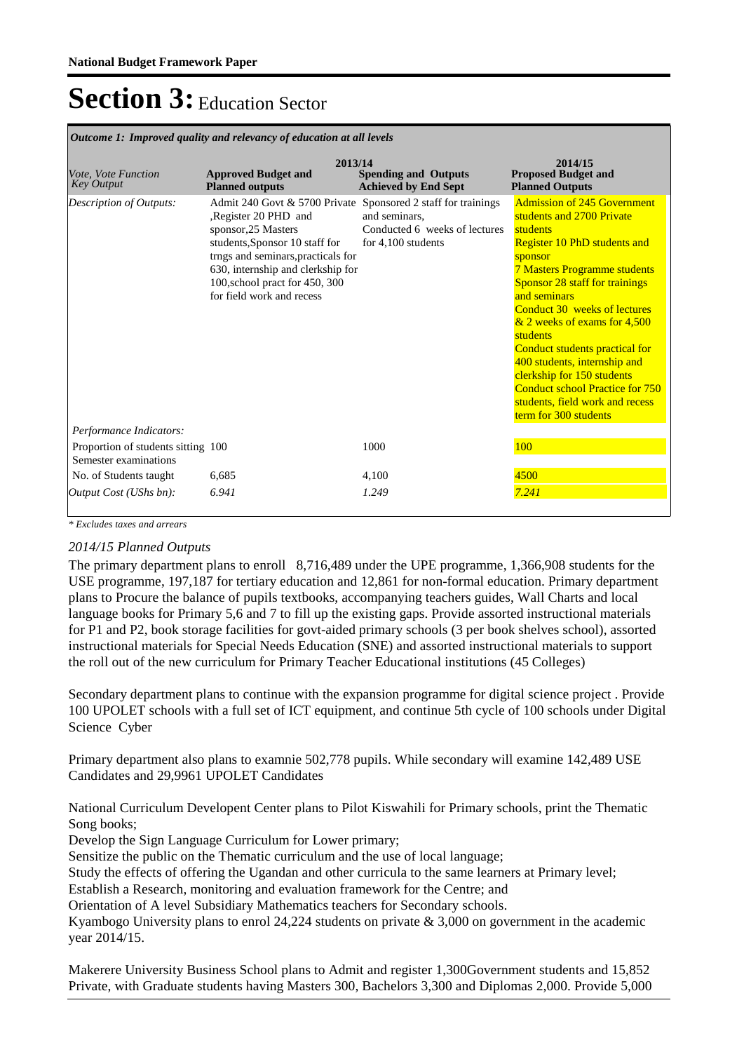| Vote, Vote Function<br><b>Key Output</b>                    | 2013/14<br><b>Approved Budget and</b><br><b>Planned outputs</b>                                                                                                                                                                                                                         | <b>Spending and Outputs</b><br><b>Achieved by End Sept</b>             | 2014/15<br><b>Proposed Budget and</b><br><b>Planned Outputs</b>                                                                                                                                                                                                                                                                                                                                                                                                                                                 |
|-------------------------------------------------------------|-----------------------------------------------------------------------------------------------------------------------------------------------------------------------------------------------------------------------------------------------------------------------------------------|------------------------------------------------------------------------|-----------------------------------------------------------------------------------------------------------------------------------------------------------------------------------------------------------------------------------------------------------------------------------------------------------------------------------------------------------------------------------------------------------------------------------------------------------------------------------------------------------------|
| Description of Outputs:<br>Performance Indicators:          | Admit 240 Govt & 5700 Private Sponsored 2 staff for trainings<br>Register 20 PHD and<br>sponsor, 25 Masters<br>students, Sponsor 10 staff for<br>trngs and seminars, practicals for<br>630, internship and clerkship for<br>100, school pract for 450, 300<br>for field work and recess | and seminars.<br>Conducted 6 weeks of lectures<br>for $4,100$ students | <b>Admission of 245 Government</b><br>students and 2700 Private<br>students<br><b>Register 10 PhD students and</b><br>sponsor<br><b>7 Masters Programme students</b><br><b>Sponsor 28 staff for trainings</b><br>and seminars<br>Conduct 30 weeks of lectures<br>& 2 weeks of exams for 4,500<br>students<br>Conduct students practical for<br>400 students, internship and<br>clerkship for 150 students<br><b>Conduct school Practice for 750</b><br>students, field work and recess<br>term for 300 students |
| Proportion of students sitting 100<br>Semester examinations |                                                                                                                                                                                                                                                                                         | 1000                                                                   | 100                                                                                                                                                                                                                                                                                                                                                                                                                                                                                                             |
| No. of Students taught                                      | 6,685                                                                                                                                                                                                                                                                                   | 4,100                                                                  | 4500                                                                                                                                                                                                                                                                                                                                                                                                                                                                                                            |
| Output Cost (UShs bn):                                      | 6.941                                                                                                                                                                                                                                                                                   | 1.249                                                                  | 7.241                                                                                                                                                                                                                                                                                                                                                                                                                                                                                                           |

*Outcome 1: Improved quality and relevancy of education at all levels*

*\* Excludes taxes and arrears*

#### *2014/15 Planned Outputs*

The primary department plans to enroll 8,716,489 under the UPE programme, 1,366,908 students for the USE programme, 197,187 for tertiary education and 12,861 for non-formal education. Primary department plans to Procure the balance of pupils textbooks, accompanying teachers guides, Wall Charts and local language books for Primary 5,6 and 7 to fill up the existing gaps. Provide assorted instructional materials for P1 and P2, book storage facilities for govt-aided primary schools (3 per book shelves school), assorted instructional materials for Special Needs Education (SNE) and assorted instructional materials to support the roll out of the new curriculum for Primary Teacher Educational institutions (45 Colleges)

Secondary department plans to continue with the expansion programme for digital science project . Provide 100 UPOLET schools with a full set of ICT equipment, and continue 5th cycle of 100 schools under Digital Science Cyber

Primary department also plans to examnie 502,778 pupils. While secondary will examine 142,489 USE Candidates and 29,9961 UPOLET Candidates

National Curriculum Developent Center plans to Pilot Kiswahili for Primary schools, print the Thematic Song books;

Develop the Sign Language Curriculum for Lower primary;

Sensitize the public on the Thematic curriculum and the use of local language;

Study the effects of offering the Ugandan and other curricula to the same learners at Primary level;

Establish a Research, monitoring and evaluation framework for the Centre; and

Orientation of A level Subsidiary Mathematics teachers for Secondary schools.

Kyambogo University plans to enrol 24,224 students on private  $\&$  3,000 on government in the academic year 2014/15.

Makerere University Business School plans to Admit and register 1,300Government students and 15,852 Private, with Graduate students having Masters 300, Bachelors 3,300 and Diplomas 2,000. Provide 5,000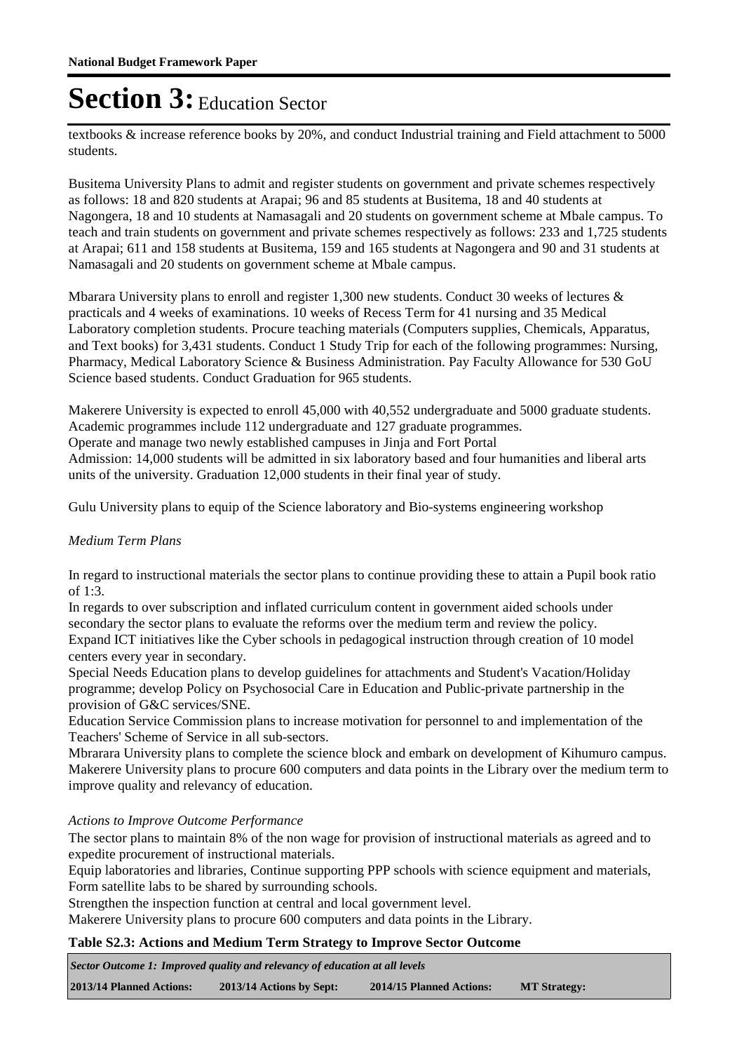textbooks & increase reference books by 20%, and conduct Industrial training and Field attachment to 5000 students.

Busitema University Plans to admit and register students on government and private schemes respectively as follows: 18 and 820 students at Arapai; 96 and 85 students at Busitema, 18 and 40 students at Nagongera, 18 and 10 students at Namasagali and 20 students on government scheme at Mbale campus. To teach and train students on government and private schemes respectively as follows: 233 and 1,725 students at Arapai; 611 and 158 students at Busitema, 159 and 165 students at Nagongera and 90 and 31 students at Namasagali and 20 students on government scheme at Mbale campus.

Mbarara University plans to enroll and register 1,300 new students. Conduct 30 weeks of lectures & practicals and 4 weeks of examinations. 10 weeks of Recess Term for 41 nursing and 35 Medical Laboratory completion students. Procure teaching materials (Computers supplies, Chemicals, Apparatus, and Text books) for 3,431 students. Conduct 1 Study Trip for each of the following programmes: Nursing, Pharmacy, Medical Laboratory Science & Business Administration. Pay Faculty Allowance for 530 GoU Science based students. Conduct Graduation for 965 students.

Makerere University is expected to enroll 45,000 with 40,552 undergraduate and 5000 graduate students. Academic programmes include 112 undergraduate and 127 graduate programmes. Operate and manage two newly established campuses in Jinja and Fort Portal Admission: 14,000 students will be admitted in six laboratory based and four humanities and liberal arts units of the university. Graduation 12,000 students in their final year of study.

Gulu University plans to equip of the Science laboratory and Bio-systems engineering workshop

### *Medium Term Plans*

In regard to instructional materials the sector plans to continue providing these to attain a Pupil book ratio of 1:3.

In regards to over subscription and inflated curriculum content in government aided schools under secondary the sector plans to evaluate the reforms over the medium term and review the policy. Expand ICT initiatives like the Cyber schools in pedagogical instruction through creation of 10 model centers every year in secondary.

Special Needs Education plans to develop guidelines for attachments and Student's Vacation/Holiday programme; develop Policy on Psychosocial Care in Education and Public-private partnership in the provision of G&C services/SNE.

Education Service Commission plans to increase motivation for personnel to and implementation of the Teachers' Scheme of Service in all sub-sectors.

Mbrarara University plans to complete the science block and embark on development of Kihumuro campus. Makerere University plans to procure 600 computers and data points in the Library over the medium term to improve quality and relevancy of education.

### *Actions to Improve Outcome Performance*

The sector plans to maintain 8% of the non wage for provision of instructional materials as agreed and to expedite procurement of instructional materials.

Equip laboratories and libraries, Continue supporting PPP schools with science equipment and materials, Form satellite labs to be shared by surrounding schools.

Strengthen the inspection function at central and local government level.

Makerere University plans to procure 600 computers and data points in the Library.

#### **Table S2.3: Actions and Medium Term Strategy to Improve Sector Outcome**

**2013/14 Planned Actions: 2013/14 Actions by Sept: 2014/15 Planned Actions: MT Strategy:** *Sector Outcome 1: Improved quality and relevancy of education at all levels*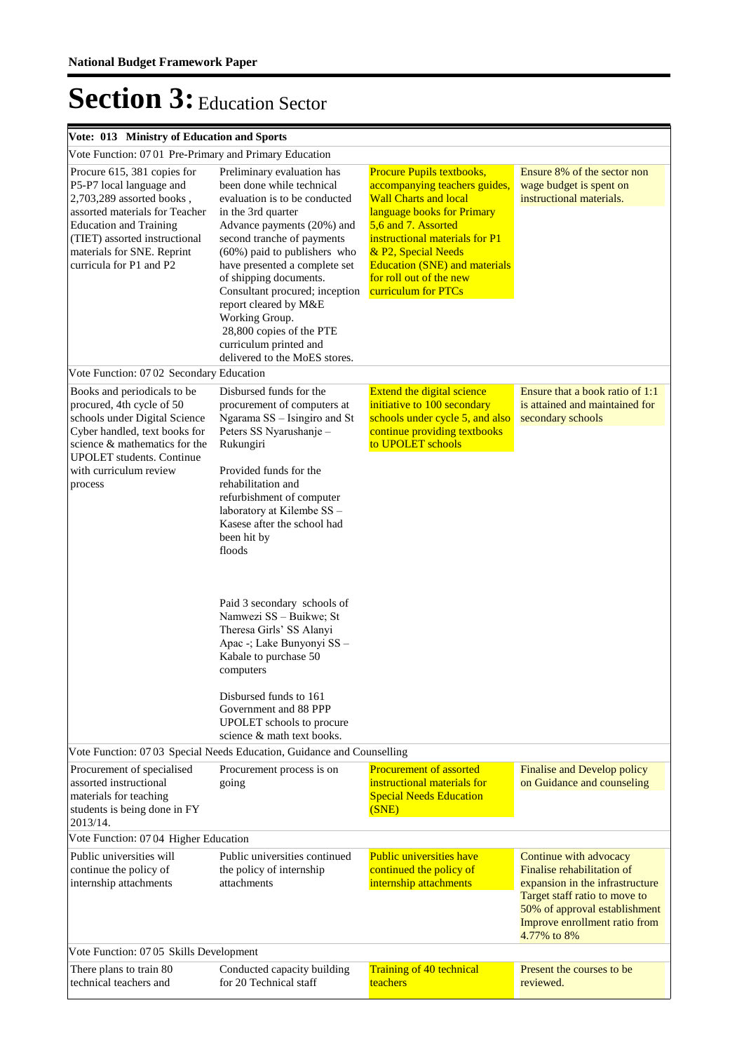| Vote: 013 Ministry of Education and Sports                                                                                                                                                                                                        |                                                                                                                                                                                                                                                                                                                                                                                                                                           |                                                                                                                                                                                                                                                                                                    |                                                                                                                                                                                                           |
|---------------------------------------------------------------------------------------------------------------------------------------------------------------------------------------------------------------------------------------------------|-------------------------------------------------------------------------------------------------------------------------------------------------------------------------------------------------------------------------------------------------------------------------------------------------------------------------------------------------------------------------------------------------------------------------------------------|----------------------------------------------------------------------------------------------------------------------------------------------------------------------------------------------------------------------------------------------------------------------------------------------------|-----------------------------------------------------------------------------------------------------------------------------------------------------------------------------------------------------------|
| Vote Function: 0701 Pre-Primary and Primary Education                                                                                                                                                                                             |                                                                                                                                                                                                                                                                                                                                                                                                                                           |                                                                                                                                                                                                                                                                                                    |                                                                                                                                                                                                           |
| Procure 615, 381 copies for<br>P5-P7 local language and<br>2,703,289 assorted books,<br>assorted materials for Teacher<br><b>Education and Training</b><br>(TIET) assorted instructional<br>materials for SNE. Reprint<br>curricula for P1 and P2 | Preliminary evaluation has<br>been done while technical<br>evaluation is to be conducted<br>in the 3rd quarter<br>Advance payments (20%) and<br>second tranche of payments<br>(60%) paid to publishers who<br>have presented a complete set<br>of shipping documents.<br>Consultant procured; inception<br>report cleared by M&E<br>Working Group.<br>28,800 copies of the PTE<br>curriculum printed and<br>delivered to the MoES stores. | Procure Pupils textbooks,<br>accompanying teachers guides,<br><b>Wall Charts and local</b><br>language books for Primary<br>5,6 and 7. Assorted<br>instructional materials for P1<br>& P2, Special Needs<br><b>Education (SNE) and materials</b><br>for roll out of the new<br>curriculum for PTCs | Ensure 8% of the sector non<br>wage budget is spent on<br>instructional materials.                                                                                                                        |
| Vote Function: 07 02 Secondary Education                                                                                                                                                                                                          |                                                                                                                                                                                                                                                                                                                                                                                                                                           |                                                                                                                                                                                                                                                                                                    |                                                                                                                                                                                                           |
| Books and periodicals to be<br>procured, 4th cycle of 50<br>schools under Digital Science<br>Cyber handled, text books for<br>science & mathematics for the<br><b>UPOLET</b> students. Continue<br>with curriculum review<br>process              | Disbursed funds for the<br>procurement of computers at<br>Ngarama SS - Isingiro and St<br>Peters SS Nyarushanje -<br>Rukungiri<br>Provided funds for the<br>rehabilitation and<br>refurbishment of computer<br>laboratory at Kilembe SS -<br>Kasese after the school had<br>been hit by<br>floods<br>Paid 3 secondary schools of<br>Namwezi SS - Buikwe; St<br>Theresa Girls' SS Alanyi                                                   | Extend the digital science<br>initiative to 100 secondary<br>schools under cycle 5, and also<br>continue providing textbooks<br>to UPOLET schools                                                                                                                                                  | Ensure that a book ratio of 1:1<br>is attained and maintained for<br>secondary schools                                                                                                                    |
|                                                                                                                                                                                                                                                   | Apac -; Lake Bunyonyi SS -<br>Kabale to purchase 50<br>computers<br>Disbursed funds to 161<br>Government and 88 PPP<br><b>UPOLET</b> schools to procure<br>science & math text books.                                                                                                                                                                                                                                                     |                                                                                                                                                                                                                                                                                                    |                                                                                                                                                                                                           |
|                                                                                                                                                                                                                                                   | Vote Function: 07 03 Special Needs Education, Guidance and Counselling                                                                                                                                                                                                                                                                                                                                                                    |                                                                                                                                                                                                                                                                                                    |                                                                                                                                                                                                           |
| Procurement of specialised<br>assorted instructional<br>materials for teaching<br>students is being done in FY<br>2013/14.                                                                                                                        | Procurement process is on<br>going                                                                                                                                                                                                                                                                                                                                                                                                        | <b>Procurement of assorted</b><br>instructional materials for<br><b>Special Needs Education</b><br>(SNE)                                                                                                                                                                                           | Finalise and Develop policy<br>on Guidance and counseling                                                                                                                                                 |
| Vote Function: 07 04 Higher Education                                                                                                                                                                                                             |                                                                                                                                                                                                                                                                                                                                                                                                                                           |                                                                                                                                                                                                                                                                                                    |                                                                                                                                                                                                           |
| Public universities will<br>continue the policy of<br>internship attachments                                                                                                                                                                      | Public universities continued<br>the policy of internship<br>attachments                                                                                                                                                                                                                                                                                                                                                                  | <b>Public universities have</b><br>continued the policy of<br>internship attachments                                                                                                                                                                                                               | Continue with advocacy<br>Finalise rehabilitation of<br>expansion in the infrastructure<br>Target staff ratio to move to<br>50% of approval establishment<br>Improve enrollment ratio from<br>4.77% to 8% |
| Vote Function: 07 05 Skills Development                                                                                                                                                                                                           |                                                                                                                                                                                                                                                                                                                                                                                                                                           |                                                                                                                                                                                                                                                                                                    |                                                                                                                                                                                                           |
| There plans to train 80<br>technical teachers and                                                                                                                                                                                                 | Conducted capacity building<br>for 20 Technical staff                                                                                                                                                                                                                                                                                                                                                                                     | <b>Training of 40 technical</b><br>teachers                                                                                                                                                                                                                                                        | Present the courses to be<br>reviewed.                                                                                                                                                                    |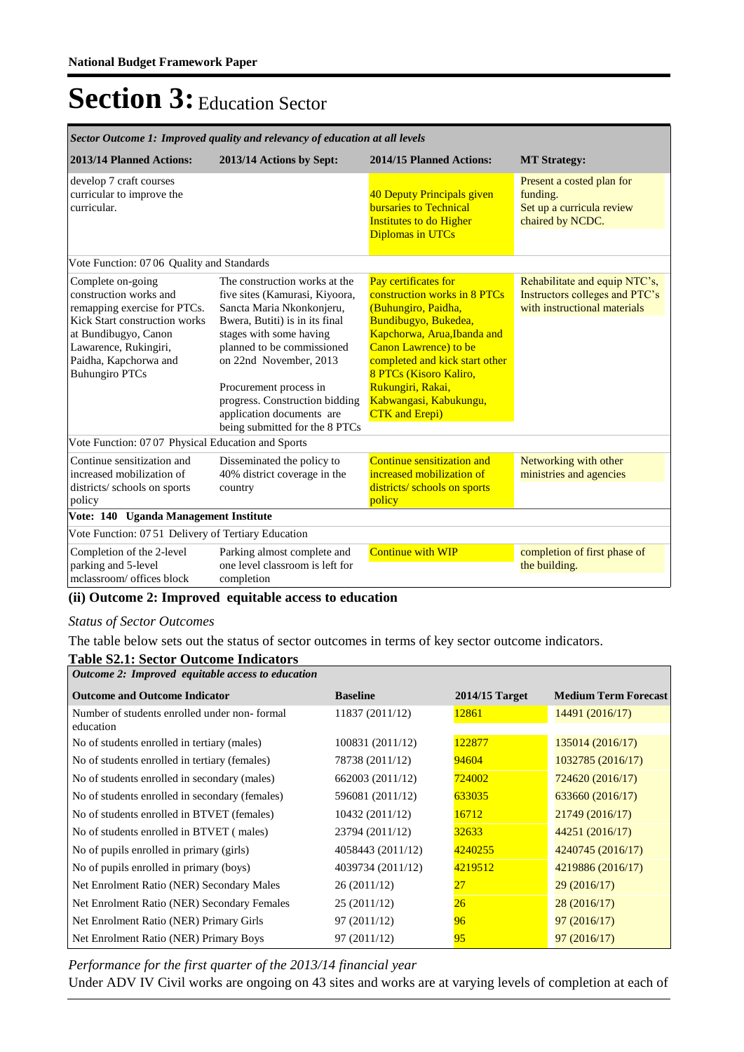| Sector Outcome 1: Improved quality and relevancy of education at all levels                                                                                                                                     |                                                                                                                                                                                                                                                                                                                                              |                                                                                                                                                                                                                                                                                                 |                                                                                                 |  |  |
|-----------------------------------------------------------------------------------------------------------------------------------------------------------------------------------------------------------------|----------------------------------------------------------------------------------------------------------------------------------------------------------------------------------------------------------------------------------------------------------------------------------------------------------------------------------------------|-------------------------------------------------------------------------------------------------------------------------------------------------------------------------------------------------------------------------------------------------------------------------------------------------|-------------------------------------------------------------------------------------------------|--|--|
| 2013/14 Planned Actions:                                                                                                                                                                                        | 2013/14 Actions by Sept:                                                                                                                                                                                                                                                                                                                     | 2014/15 Planned Actions:                                                                                                                                                                                                                                                                        | <b>MT Strategy:</b>                                                                             |  |  |
| develop 7 craft courses<br>curricular to improve the<br>curricular.                                                                                                                                             |                                                                                                                                                                                                                                                                                                                                              | 40 Deputy Principals given<br><b>bursaries to Technical</b><br><b>Institutes to do Higher</b><br><b>Diplomas in UTCs</b>                                                                                                                                                                        | Present a costed plan for<br>funding.<br>Set up a curricula review<br>chaired by NCDC.          |  |  |
| Vote Function: 0706 Quality and Standards                                                                                                                                                                       |                                                                                                                                                                                                                                                                                                                                              |                                                                                                                                                                                                                                                                                                 |                                                                                                 |  |  |
| Complete on-going<br>construction works and<br>remapping exercise for PTCs.<br>Kick Start construction works<br>at Bundibugyo, Canon<br>Lawarence, Rukingiri,<br>Paidha, Kapchorwa and<br><b>Buhungiro PTCs</b> | The construction works at the<br>five sites (Kamurasi, Kiyoora,<br>Sancta Maria Nkonkonjeru,<br>Bwera, Butiti) is in its final<br>stages with some having<br>planned to be commissioned<br>on 22nd November, 2013<br>Procurement process in<br>progress. Construction bidding<br>application documents are<br>being submitted for the 8 PTCs | Pay certificates for<br>construction works in 8 PTCs<br>(Buhungiro, Paidha,<br>Bundibugyo, Bukedea,<br>Kapchorwa, Arua, Ibanda and<br>Canon Lawrence) to be<br>completed and kick start other<br>8 PTCs (Kisoro Kaliro,<br>Rukungiri, Rakai,<br>Kabwangasi, Kabukungu,<br><b>CTK</b> and Erepi) | Rehabilitate and equip NTC's,<br>Instructors colleges and PTC's<br>with instructional materials |  |  |
| Vote Function: 07 07 Physical Education and Sports                                                                                                                                                              |                                                                                                                                                                                                                                                                                                                                              |                                                                                                                                                                                                                                                                                                 |                                                                                                 |  |  |
| Continue sensitization and<br>increased mobilization of<br>districts/ schools on sports<br>policy                                                                                                               | Disseminated the policy to<br>40% district coverage in the<br>country                                                                                                                                                                                                                                                                        | Continue sensitization and<br>increased mobilization of<br>districts/ schools on sports<br>policy                                                                                                                                                                                               | Networking with other<br>ministries and agencies                                                |  |  |
| Vote: 140 Uganda Management Institute                                                                                                                                                                           |                                                                                                                                                                                                                                                                                                                                              |                                                                                                                                                                                                                                                                                                 |                                                                                                 |  |  |
| Vote Function: 0751 Delivery of Tertiary Education                                                                                                                                                              |                                                                                                                                                                                                                                                                                                                                              |                                                                                                                                                                                                                                                                                                 |                                                                                                 |  |  |
| Completion of the 2-level<br>parking and 5-level<br>melassroom/ offices block                                                                                                                                   | Parking almost complete and<br>one level classroom is left for<br>completion                                                                                                                                                                                                                                                                 | <b>Continue with WIP</b>                                                                                                                                                                                                                                                                        | completion of first phase of<br>the building.                                                   |  |  |

#### **(ii) Outcome 2: Improved equitable access to education**

#### *Status of Sector Outcomes*

The table below sets out the status of sector outcomes in terms of key sector outcome indicators.

### **Table S2.1: Sector Outcome Indicators**

| Outcome 2: Improved equitable access to education         |                   |                  |                             |  |  |  |
|-----------------------------------------------------------|-------------------|------------------|-----------------------------|--|--|--|
| <b>Outcome and Outcome Indicator</b>                      | <b>Baseline</b>   | $2014/15$ Target | <b>Medium Term Forecast</b> |  |  |  |
| Number of students enrolled under non-formal<br>education | 11837 (2011/12)   | 12861            | 14491 (2016/17)             |  |  |  |
| No of students enrolled in tertiary (males)               | 100831 (2011/12)  | 122877           | 135014(2016/17)             |  |  |  |
| No of students enrolled in tertiary (females)             | 78738 (2011/12)   | 94604            | 1032785 (2016/17)           |  |  |  |
| No of students enrolled in secondary (males)              | 662003 (2011/12)  | 724002           | 724620(2016/17)             |  |  |  |
| No of students enrolled in secondary (females)            | 596081 (2011/12)  | 633035           | 633660(2016/17)             |  |  |  |
| No of students enrolled in BTVET (females)                | 10432 (2011/12)   | 16712            | 21749 (2016/17)             |  |  |  |
| No of students enrolled in BTVET (males)                  | 23794 (2011/12)   | 32633            | 44251 (2016/17)             |  |  |  |
| No of pupils enrolled in primary (girls)                  | 4058443 (2011/12) | 4240255          | 4240745 (2016/17)           |  |  |  |
| No of pupils enrolled in primary (boys)                   | 4039734 (2011/12) | 4219512          | 4219886 (2016/17)           |  |  |  |
| Net Enrolment Ratio (NER) Secondary Males                 | 26 (2011/12)      | 27               | 29(2016/17)                 |  |  |  |
| Net Enrolment Ratio (NER) Secondary Females               | 25(2011/12)       | 26               | 28(2016/17)                 |  |  |  |
| Net Enrolment Ratio (NER) Primary Girls                   | 97 (2011/12)      | 96               | 97(2016/17)                 |  |  |  |
| Net Enrolment Ratio (NER) Primary Boys                    | 97 (2011/12)      | 95               | 97(2016/17)                 |  |  |  |

*Performance for the first quarter of the 2013/14 financial year*

Under ADV IV Civil works are ongoing on 43 sites and works are at varying levels of completion at each of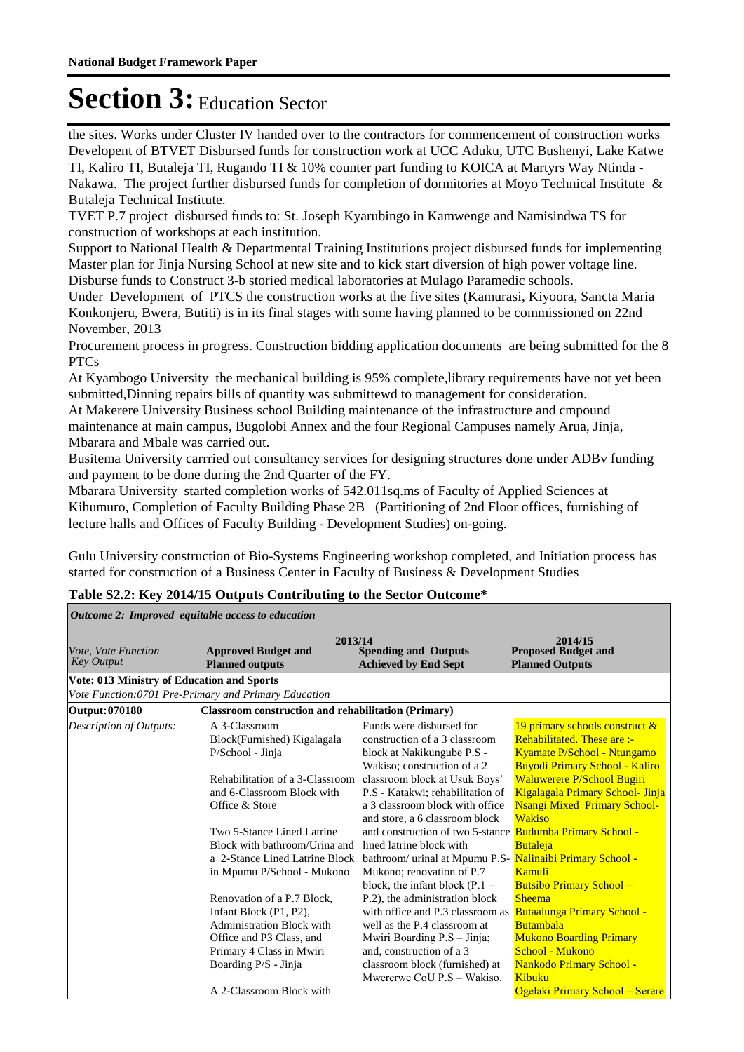the sites. Works under Cluster IV handed over to the contractors for commencement of construction works Developent of BTVET Disbursed funds for construction work at UCC Aduku, UTC Bushenyi, Lake Katwe TI, Kaliro TI, Butaleja TI, Rugando TI & 10% counter part funding to KOICA at Martyrs Way Ntinda - Nakawa. The project further disbursed funds for completion of dormitories at Moyo Technical Institute & Butaleja Technical Institute.

TVET P.7 project disbursed funds to: St. Joseph Kyarubingo in Kamwenge and Namisindwa TS for construction of workshops at each institution.

Support to National Health & Departmental Training Institutions project disbursed funds for implementing Master plan for Jinja Nursing School at new site and to kick start diversion of high power voltage line. Disburse funds to Construct 3-b storied medical laboratories at Mulago Paramedic schools.

Under Development of PTCS the construction works at the five sites (Kamurasi, Kiyoora, Sancta Maria Konkonjeru, Bwera, Butiti) is in its final stages with some having planned to be commissioned on 22nd November, 2013

Procurement process in progress. Construction bidding application documents are being submitted for the 8 PTCs

At Kyambogo University the mechanical building is 95% complete,library requirements have not yet been submitted,Dinning repairs bills of quantity was submittewd to management for consideration.

At Makerere University Business school Building maintenance of the infrastructure and cmpound maintenance at main campus, Bugolobi Annex and the four Regional Campuses namely Arua, Jinja, Mbarara and Mbale was carried out.

Busitema University carrried out consultancy services for designing structures done under ADBv funding and payment to be done during the 2nd Quarter of the FY.

Mbarara University started completion works of 542.011sq.ms of Faculty of Applied Sciences at Kihumuro, Completion of Faculty Building Phase 2B (Partitioning of 2nd Floor offices, furnishing of lecture halls and Offices of Faculty Building - Development Studies) on-going.

Gulu University construction of Bio-Systems Engineering workshop completed, and Initiation process has started for construction of a Business Center in Faculty of Business & Development Studies

| Outcome 2: Improved equitable access to education     |                                                                                                                                                                          |                                                                                                                                                                                                                               |                                                                                                                                                                           |  |  |  |  |
|-------------------------------------------------------|--------------------------------------------------------------------------------------------------------------------------------------------------------------------------|-------------------------------------------------------------------------------------------------------------------------------------------------------------------------------------------------------------------------------|---------------------------------------------------------------------------------------------------------------------------------------------------------------------------|--|--|--|--|
| <i>Vote, Vote Function</i><br><b>Key Output</b>       | 2013/14<br><b>Approved Budget and</b><br><b>Planned outputs</b>                                                                                                          | <b>Spending and Outputs</b><br><b>Achieved by End Sept</b>                                                                                                                                                                    | 2014/15<br><b>Proposed Budget and</b><br><b>Planned Outputs</b>                                                                                                           |  |  |  |  |
|                                                       | <b>Vote: 013 Ministry of Education and Sports</b>                                                                                                                        |                                                                                                                                                                                                                               |                                                                                                                                                                           |  |  |  |  |
| Vote Function: 0701 Pre-Primary and Primary Education |                                                                                                                                                                          |                                                                                                                                                                                                                               |                                                                                                                                                                           |  |  |  |  |
| Output: 070180                                        | <b>Classroom construction and rehabilitation (Primary)</b>                                                                                                               |                                                                                                                                                                                                                               |                                                                                                                                                                           |  |  |  |  |
| <b>Description of Outputs:</b>                        | A 3-Classroom<br>Block(Furnished) Kigalagala<br>P/School - Jinja                                                                                                         | Funds were disbursed for<br>construction of a 3 classroom<br>block at Nakikungube P.S -<br>Wakiso; construction of a 2                                                                                                        | 19 primary schools construct &<br>Rehabilitated. These are :-<br>Kyamate P/School - Ntungamo<br><b>Buyodi Primary School - Kaliro</b>                                     |  |  |  |  |
|                                                       | Rehabilitation of a 3-Classroom<br>and 6-Classroom Block with<br>Office & Store                                                                                          | classroom block at Usuk Boys'<br>P.S - Katakwi; rehabilitation of<br>a 3 classroom block with office<br>and store, a 6 classroom block                                                                                        | <b>Waluwerere P/School Bugiri</b><br>Kigalagala Primary School- Jinja<br><b>Nsangi Mixed Primary School-</b><br><b>Wakiso</b>                                             |  |  |  |  |
|                                                       | Two 5-Stance Lined Latrine<br>Block with bathroom/Urina and<br>a 2-Stance Lined Latrine Block<br>in Mpumu P/School - Mukono                                              | and construction of two 5-stance<br>lined latrine block with<br>bathroom/ urinal at Mpumu P.S- Nalinaibi Primary School -<br>Mukono; renovation of P.7<br>block, the infant block $(P.1 -$                                    | <b>Budumba Primary School -</b><br><b>Butaleja</b><br>Kamuli<br><b>Butsibo Primary School -</b>                                                                           |  |  |  |  |
|                                                       | Renovation of a P.7 Block,<br>Infant Block (P1, P2),<br><b>Administration Block with</b><br>Office and P3 Class, and<br>Primary 4 Class in Mwiri<br>Boarding P/S - Jinja | P.2), the administration block<br>with office and P.3 classroom as<br>well as the P.4 classroom at<br>Mwiri Boarding P.S - Jinja;<br>and, construction of a 3<br>classroom block (furnished) at<br>Mwererwe CoU P.S - Wakiso. | <b>Sheema</b><br><b>Butaalunga Primary School -</b><br><b>Butambala</b><br><b>Mukono Boarding Primary</b><br>School - Mukono<br><b>Nankodo Primary School -</b><br>Kibuku |  |  |  |  |
|                                                       | A 2-Classroom Block with                                                                                                                                                 |                                                                                                                                                                                                                               | Ogelaki Primary School - Serere                                                                                                                                           |  |  |  |  |

#### **Table S2.2: Key 2014/15 Outputs Contributing to the Sector Outcome\***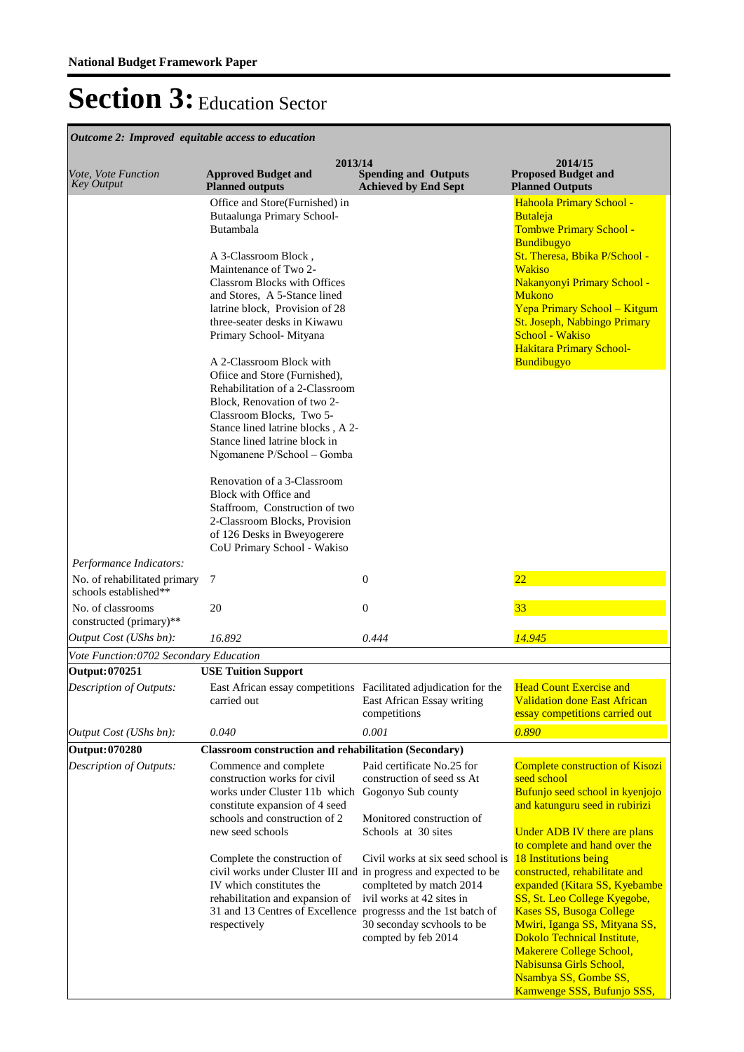| Outcome 2: Improved equitable access to education     |                                                                                                                                                                                                                                                                                                                                                                                                                                                                                                                                                                                                                                                        |                                                                                                                                                                                   |                                                                                                                                                                                                                                                                                                                                                 |
|-------------------------------------------------------|--------------------------------------------------------------------------------------------------------------------------------------------------------------------------------------------------------------------------------------------------------------------------------------------------------------------------------------------------------------------------------------------------------------------------------------------------------------------------------------------------------------------------------------------------------------------------------------------------------------------------------------------------------|-----------------------------------------------------------------------------------------------------------------------------------------------------------------------------------|-------------------------------------------------------------------------------------------------------------------------------------------------------------------------------------------------------------------------------------------------------------------------------------------------------------------------------------------------|
| Vote, Vote Function<br><b>Key Output</b>              | 2013/14<br><b>Approved Budget and</b><br><b>Planned outputs</b>                                                                                                                                                                                                                                                                                                                                                                                                                                                                                                                                                                                        | <b>Spending and Outputs</b><br><b>Achieved by End Sept</b>                                                                                                                        | 2014/15<br><b>Proposed Budget and</b><br><b>Planned Outputs</b>                                                                                                                                                                                                                                                                                 |
|                                                       | Office and Store(Furnished) in<br>Butaalunga Primary School-<br>Butambala<br>A 3-Classroom Block,<br>Maintenance of Two 2-<br><b>Classrom Blocks with Offices</b><br>and Stores, A 5-Stance lined<br>latrine block. Provision of 28<br>three-seater desks in Kiwawu<br>Primary School-Mityana<br>A 2-Classroom Block with<br>Office and Store (Furnished),<br>Rehabilitation of a 2-Classroom<br>Block, Renovation of two 2-<br>Classroom Blocks, Two 5-<br>Stance lined latrine blocks, A 2-<br>Stance lined latrine block in<br>Ngomanene P/School - Gomba<br>Renovation of a 3-Classroom<br>Block with Office and<br>Staffroom, Construction of two |                                                                                                                                                                                   | Hahoola Primary School -<br>Butaleja<br>Tombwe Primary School -<br><b>Bundibugyo</b><br>St. Theresa, Bbika P/School -<br><b>Wakiso</b><br>Nakanyonyi Primary School -<br><b>Mukono</b><br>Yepa Primary School - Kitgum<br>St. Joseph, Nabbingo Primary<br>School - Wakiso<br><b>Hakitara Primary School-</b><br>Bundibugyo                      |
| Performance Indicators:                               | 2-Classroom Blocks, Provision<br>of 126 Desks in Bweyogerere<br>CoU Primary School - Wakiso                                                                                                                                                                                                                                                                                                                                                                                                                                                                                                                                                            |                                                                                                                                                                                   |                                                                                                                                                                                                                                                                                                                                                 |
| No. of rehabilitated primary<br>schools established** | $\tau$                                                                                                                                                                                                                                                                                                                                                                                                                                                                                                                                                                                                                                                 | $\mathbf{0}$                                                                                                                                                                      | $\overline{22}$                                                                                                                                                                                                                                                                                                                                 |
| No. of classrooms<br>constructed (primary)**          | 20                                                                                                                                                                                                                                                                                                                                                                                                                                                                                                                                                                                                                                                     | $\boldsymbol{0}$                                                                                                                                                                  | 33                                                                                                                                                                                                                                                                                                                                              |
| Output Cost (UShs bn):                                | 16.892                                                                                                                                                                                                                                                                                                                                                                                                                                                                                                                                                                                                                                                 | 0.444                                                                                                                                                                             | 14.945                                                                                                                                                                                                                                                                                                                                          |
| Vote Function:0702 Secondary Education                |                                                                                                                                                                                                                                                                                                                                                                                                                                                                                                                                                                                                                                                        |                                                                                                                                                                                   |                                                                                                                                                                                                                                                                                                                                                 |
| Output: 070251                                        | <b>USE Tuition Support</b>                                                                                                                                                                                                                                                                                                                                                                                                                                                                                                                                                                                                                             |                                                                                                                                                                                   |                                                                                                                                                                                                                                                                                                                                                 |
| Description of Outputs:                               | East African essay competitions Facilitated adjudication for the<br>carried out                                                                                                                                                                                                                                                                                                                                                                                                                                                                                                                                                                        | East African Essay writing<br>competitions                                                                                                                                        | <b>Head Count Exercise and</b><br><b>Validation done East African</b><br>essay competitions carried out                                                                                                                                                                                                                                         |
| Output Cost (UShs bn):                                | 0.040                                                                                                                                                                                                                                                                                                                                                                                                                                                                                                                                                                                                                                                  | 0.001                                                                                                                                                                             | 0.890                                                                                                                                                                                                                                                                                                                                           |
| Output: 070280                                        | <b>Classroom construction and rehabilitation (Secondary)</b>                                                                                                                                                                                                                                                                                                                                                                                                                                                                                                                                                                                           |                                                                                                                                                                                   |                                                                                                                                                                                                                                                                                                                                                 |
| Description of Outputs:                               | Commence and complete<br>construction works for civil<br>works under Cluster 11b which<br>constitute expansion of 4 seed<br>schools and construction of 2<br>new seed schools                                                                                                                                                                                                                                                                                                                                                                                                                                                                          | Paid certificate No.25 for<br>construction of seed ss At<br>Gogonyo Sub county<br>Monitored construction of<br>Schools at 30 sites                                                | Complete construction of Kisozi<br>seed school<br>Bufunjo seed school in kyenjojo<br>and katunguru seed in rubirizi<br>Under ADB IV there are plans<br>to complete and hand over the                                                                                                                                                            |
|                                                       | Complete the construction of<br>civil works under Cluster III and in progress and expected to be<br>IV which constitutes the<br>rehabilitation and expansion of<br>31 and 13 Centres of Excellence<br>respectively                                                                                                                                                                                                                                                                                                                                                                                                                                     | Civil works at six seed school is<br>complteted by match 2014<br>ivil works at 42 sites in<br>progresss and the 1st batch of<br>30 seconday scyhools to be<br>compted by feb 2014 | <b>18 Institutions being</b><br>constructed, rehabilitate and<br>expanded (Kitara SS, Kyebambe<br>SS, St. Leo College Kyegobe,<br><b>Kases SS, Busoga College</b><br>Mwiri, Iganga SS, Mityana SS,<br>Dokolo Technical Institute,<br>Makerere College School,<br>Nabisunsa Girls School,<br>Nsambya SS, Gombe SS,<br>Kamwenge SSS, Bufunjo SSS, |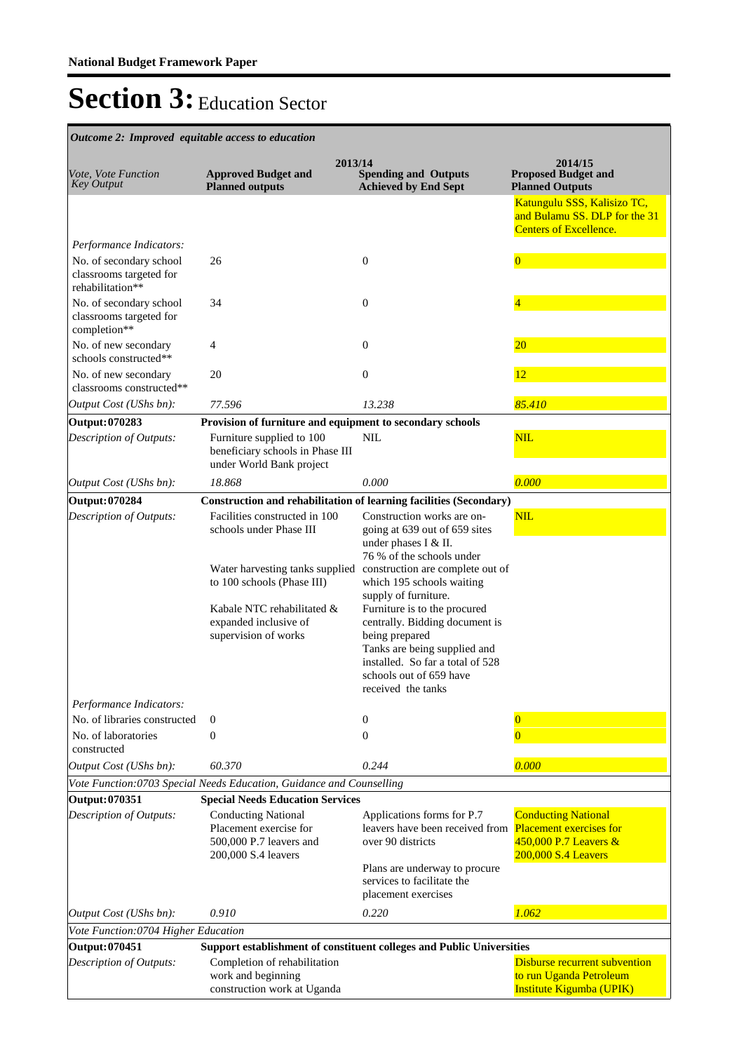**Spending and Outputs Achieved by End Sept Approved Budget and Planned outputs Proposed Budget and Planned Outputs 2013/14** *Vote, Vote Function Key Output* **2014/15** *Outcome 2: Improved equitable access to education* Katungulu SSS, Kalisizo TC, and Bulamu SS. DLP for the 31 Centers of Excellence. *Output Cost (UShs bn): 77.596 13.238 85.410 Performance Indicators:* No. of secondary school classrooms targeted for rehabilitation\*\* 26 0 0 No. of secondary school classrooms targeted for completion\*\* 34 0 4 No. of new secondary schools constructed\*\* 4 0 20 No. of new secondary classrooms constructed\*\* 20 0 12 **Output: 070283 Provision of furniture and equipment to secondary schools** Furniture supplied to 100 beneficiary schools in Phase III under World Bank project NIL NIL *Output Cost (UShs bn): 18.868 0.000 0.000 Description of Outputs:* **Output: 070284 Construction and rehabilitation of learning facilities (Secondary)** Facilities constructed in 100 schools under Phase III Water harvesting tanks supplied construction are complete out of to 100 schools (Phase III) Kabale NTC rehabilitated & expanded inclusive of supervision of works Construction works are ongoing at 639 out of 659 sites under phases I & II. 76 % of the schools under which 195 schools waiting supply of furniture. Furniture is to the procured centrally. Bidding document is being prepared Tanks are being supplied and installed. So far a total of 528 schools out of 659 have received the tanks NIL *Output Cost (UShs bn): 60.370 0.244 0.000 Description of Outputs: Performance Indicators:* No. of libraries constructed 0 0 0 No. of laboratories constructed  $0$  0 *Vote Function:0703 Special Needs Education, Guidance and Counselling* **Output: 070351 Special Needs Education Services** Conducting National Placement exercise for 500,000 P.7 leavers and 200,000 S.4 leavers Applications forms for P.7 leavers have been received from over 90 districts Plans are underway to procure services to facilitate the placement exercises **Conducting National** Placement exercises for 450,000 P.7 Leavers & 200,000 S.4 Leavers *Output Cost (UShs bn): 0.910 0.220 1.062 Description of Outputs: Vote Function:0704 Higher Education* **Output: 070451 Support establishment of constituent colleges and Public Universities** Completion of rehabilitation work and beginning Disburse recurrent subvention to run Uganda Petroleum *Description of Outputs:*

Institute Kigumba (UPIK)

construction work at Uganda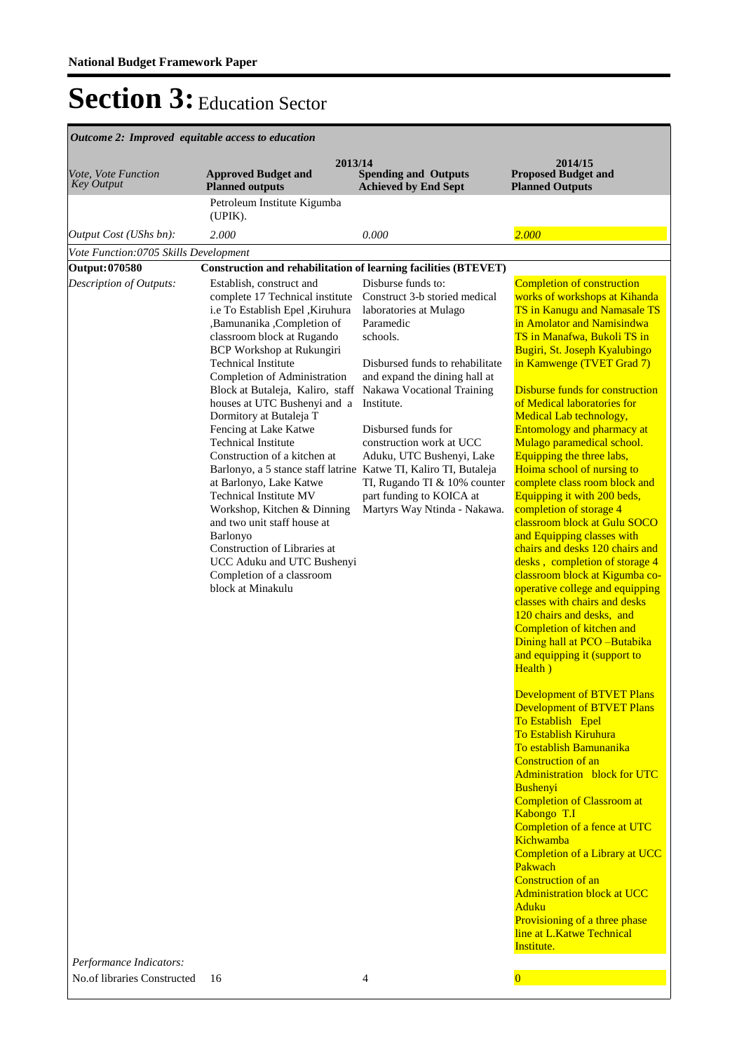| Vote, Vote Function<br><b>Key Output</b>                  | 2013/14<br><b>Approved Budget and</b><br><b>Planned outputs</b>                                                                                                                                                                                                                                                                                                                                                                                                                                                                                                                                                                                                                                                                                                               | <b>Spending and Outputs</b><br><b>Achieved by End Sept</b>                                                                                                                                                                                                                                                                                                                                         | 2014/15<br><b>Proposed Budget and</b><br><b>Planned Outputs</b>                                                                                                                                                                                                                                                                                                                                                                                                                                                                                                                                                                                                                                                                                                                                                                                                                                                                                                                                                                                                                                                                                                                                                                                                                                                                                                                                                                                                                  |
|-----------------------------------------------------------|-------------------------------------------------------------------------------------------------------------------------------------------------------------------------------------------------------------------------------------------------------------------------------------------------------------------------------------------------------------------------------------------------------------------------------------------------------------------------------------------------------------------------------------------------------------------------------------------------------------------------------------------------------------------------------------------------------------------------------------------------------------------------------|----------------------------------------------------------------------------------------------------------------------------------------------------------------------------------------------------------------------------------------------------------------------------------------------------------------------------------------------------------------------------------------------------|----------------------------------------------------------------------------------------------------------------------------------------------------------------------------------------------------------------------------------------------------------------------------------------------------------------------------------------------------------------------------------------------------------------------------------------------------------------------------------------------------------------------------------------------------------------------------------------------------------------------------------------------------------------------------------------------------------------------------------------------------------------------------------------------------------------------------------------------------------------------------------------------------------------------------------------------------------------------------------------------------------------------------------------------------------------------------------------------------------------------------------------------------------------------------------------------------------------------------------------------------------------------------------------------------------------------------------------------------------------------------------------------------------------------------------------------------------------------------------|
|                                                           | Petroleum Institute Kigumba<br>(UPIK).                                                                                                                                                                                                                                                                                                                                                                                                                                                                                                                                                                                                                                                                                                                                        |                                                                                                                                                                                                                                                                                                                                                                                                    |                                                                                                                                                                                                                                                                                                                                                                                                                                                                                                                                                                                                                                                                                                                                                                                                                                                                                                                                                                                                                                                                                                                                                                                                                                                                                                                                                                                                                                                                                  |
| Output Cost (UShs bn):                                    | 2.000                                                                                                                                                                                                                                                                                                                                                                                                                                                                                                                                                                                                                                                                                                                                                                         | 0.000                                                                                                                                                                                                                                                                                                                                                                                              | 2.000                                                                                                                                                                                                                                                                                                                                                                                                                                                                                                                                                                                                                                                                                                                                                                                                                                                                                                                                                                                                                                                                                                                                                                                                                                                                                                                                                                                                                                                                            |
| Vote Function:0705 Skills Development                     |                                                                                                                                                                                                                                                                                                                                                                                                                                                                                                                                                                                                                                                                                                                                                                               |                                                                                                                                                                                                                                                                                                                                                                                                    |                                                                                                                                                                                                                                                                                                                                                                                                                                                                                                                                                                                                                                                                                                                                                                                                                                                                                                                                                                                                                                                                                                                                                                                                                                                                                                                                                                                                                                                                                  |
| Output: 070580                                            | <b>Construction and rehabilitation of learning facilities (BTEVET)</b>                                                                                                                                                                                                                                                                                                                                                                                                                                                                                                                                                                                                                                                                                                        |                                                                                                                                                                                                                                                                                                                                                                                                    |                                                                                                                                                                                                                                                                                                                                                                                                                                                                                                                                                                                                                                                                                                                                                                                                                                                                                                                                                                                                                                                                                                                                                                                                                                                                                                                                                                                                                                                                                  |
| Description of Outputs:                                   | Establish, construct and<br>complete 17 Technical institute<br>i.e To Establish Epel , Kiruhura<br>,Bamunanika ,Completion of<br>classroom block at Rugando<br><b>BCP Workshop at Rukungiri</b><br><b>Technical Institute</b><br>Completion of Administration<br>Block at Butaleja, Kaliro, staff<br>houses at UTC Bushenyi and a<br>Dormitory at Butaleja T<br>Fencing at Lake Katwe<br><b>Technical Institute</b><br>Construction of a kitchen at<br>Barlonyo, a 5 stance staff latrine Katwe TI, Kaliro TI, Butaleja<br>at Barlonyo, Lake Katwe<br><b>Technical Institute MV</b><br>Workshop, Kitchen & Dinning<br>and two unit staff house at<br>Barlonyo<br>Construction of Libraries at<br>UCC Aduku and UTC Bushenyi<br>Completion of a classroom<br>block at Minakulu | Disburse funds to:<br>Construct 3-b storied medical<br>laboratories at Mulago<br>Paramedic<br>schools.<br>Disbursed funds to rehabilitate<br>and expand the dining hall at<br>Nakawa Vocational Training<br>Institute.<br>Disbursed funds for<br>construction work at UCC<br>Aduku, UTC Bushenyi, Lake<br>TI, Rugando TI & 10% counter<br>part funding to KOICA at<br>Martyrs Way Ntinda - Nakawa. | Completion of construction<br>works of workshops at Kihanda<br>TS in Kanugu and Namasale TS<br>in Amolator and Namisindwa<br>TS in Manafwa, Bukoli TS in<br>Bugiri, St. Joseph Kyalubingo<br>in Kamwenge (TVET Grad 7)<br><b>Disburse funds for construction</b><br>of Medical laboratories for<br>Medical Lab technology,<br><b>Entomology and pharmacy at</b><br>Mulago paramedical school.<br>Equipping the three labs,<br>Hoima school of nursing to<br>complete class room block and<br>Equipping it with 200 beds,<br>completion of storage 4<br>classroom block at Gulu SOCO<br>and Equipping classes with<br>chairs and desks 120 chairs and<br>desks, completion of storage 4<br>classroom block at Kigumba co-<br>operative college and equipping<br>classes with chairs and desks<br>120 chairs and desks, and<br>Completion of kitchen and<br>Dining hall at PCO-Butabika<br>and equipping it (support to<br>Health)<br><b>Development of BTVET Plans</b><br><b>Development of BTVET Plans</b><br>To Establish Epel<br><b>To Establish Kiruhura</b><br>To establish Bamunanika<br><b>Construction of an</b><br><b>Administration</b> block for UTC<br>Bushenyi<br><b>Completion of Classroom at</b><br>Kabongo T.I<br>Completion of a fence at UTC<br>Kichwamba<br>Completion of a Library at UCC<br>Pakwach<br><b>Construction of an</b><br><b>Administration block at UCC</b><br>Aduku<br>Provisioning of a three phase<br>line at L.Katwe Technical<br>Institute. |
| Performance Indicators:<br>No of libraries Constructed 16 |                                                                                                                                                                                                                                                                                                                                                                                                                                                                                                                                                                                                                                                                                                                                                                               | 4                                                                                                                                                                                                                                                                                                                                                                                                  | $\Omega$                                                                                                                                                                                                                                                                                                                                                                                                                                                                                                                                                                                                                                                                                                                                                                                                                                                                                                                                                                                                                                                                                                                                                                                                                                                                                                                                                                                                                                                                         |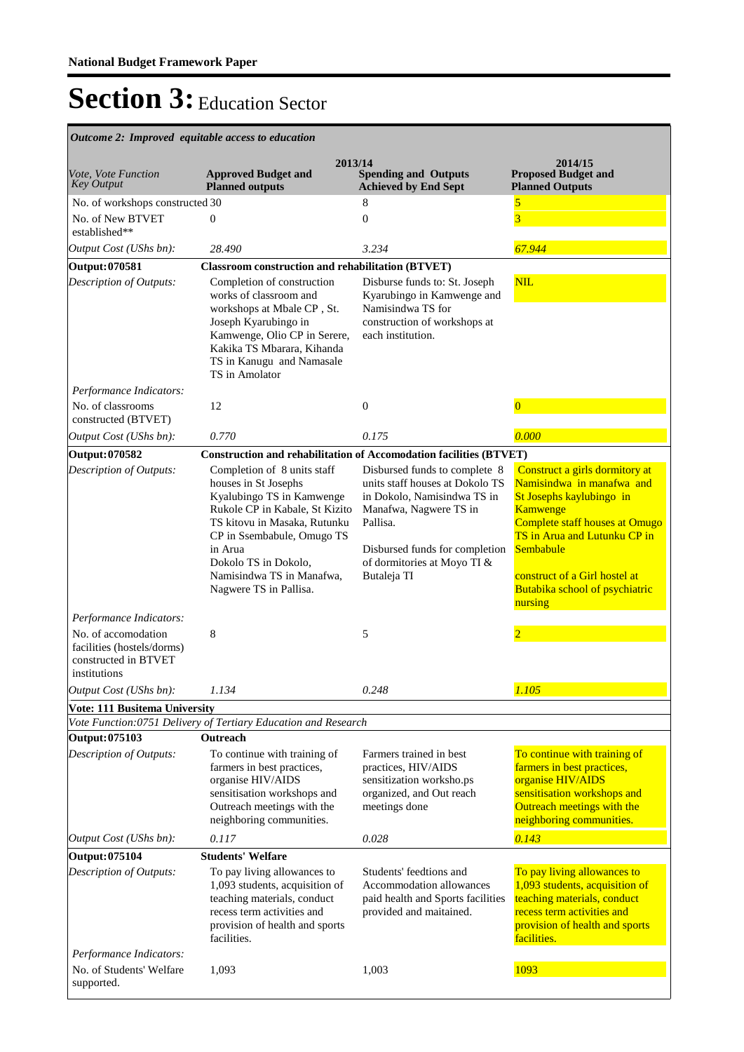| Outcome 2: Improved equitable access to education                                         |                                                                                                                                                                                                                                                                            |                                                                                                                                                                                                                       |                                                                                                                                                                                                                                                                         |  |
|-------------------------------------------------------------------------------------------|----------------------------------------------------------------------------------------------------------------------------------------------------------------------------------------------------------------------------------------------------------------------------|-----------------------------------------------------------------------------------------------------------------------------------------------------------------------------------------------------------------------|-------------------------------------------------------------------------------------------------------------------------------------------------------------------------------------------------------------------------------------------------------------------------|--|
| Vote, Vote Function<br><b>Key Output</b>                                                  | 2013/14<br><b>Approved Budget and</b><br><b>Planned outputs</b>                                                                                                                                                                                                            | <b>Spending and Outputs</b><br><b>Achieved by End Sept</b>                                                                                                                                                            | 2014/15<br><b>Proposed Budget and</b><br><b>Planned Outputs</b>                                                                                                                                                                                                         |  |
| No. of workshops constructed 30                                                           |                                                                                                                                                                                                                                                                            | 8                                                                                                                                                                                                                     | 5                                                                                                                                                                                                                                                                       |  |
| No. of New BTVET<br>established**                                                         | $\overline{0}$                                                                                                                                                                                                                                                             | $\overline{0}$                                                                                                                                                                                                        | $\overline{3}$                                                                                                                                                                                                                                                          |  |
| Output Cost (UShs bn):                                                                    | 28.490                                                                                                                                                                                                                                                                     | 3.234                                                                                                                                                                                                                 | 67.944                                                                                                                                                                                                                                                                  |  |
| Output: 070581                                                                            | <b>Classroom construction and rehabilitation (BTVET)</b>                                                                                                                                                                                                                   |                                                                                                                                                                                                                       |                                                                                                                                                                                                                                                                         |  |
| Description of Outputs:                                                                   | Completion of construction<br>works of classroom and<br>workshops at Mbale CP, St.<br>Joseph Kyarubingo in<br>Kamwenge, Olio CP in Serere,<br>Kakika TS Mbarara, Kihanda<br>TS in Kanugu and Namasale<br>TS in Amolator                                                    | Disburse funds to: St. Joseph<br>Kyarubingo in Kamwenge and<br>Namisindwa TS for<br>construction of workshops at<br>each institution.                                                                                 | <b>NIL</b>                                                                                                                                                                                                                                                              |  |
| Performance Indicators:                                                                   |                                                                                                                                                                                                                                                                            |                                                                                                                                                                                                                       |                                                                                                                                                                                                                                                                         |  |
| No. of classrooms<br>constructed (BTVET)                                                  | 12                                                                                                                                                                                                                                                                         | $\mathbf{0}$                                                                                                                                                                                                          | $\Omega$                                                                                                                                                                                                                                                                |  |
| Output Cost (UShs bn):                                                                    | 0.770                                                                                                                                                                                                                                                                      | 0.175                                                                                                                                                                                                                 | 0.000                                                                                                                                                                                                                                                                   |  |
| Output: 070582                                                                            | <b>Construction and rehabilitation of Accomodation facilities (BTVET)</b>                                                                                                                                                                                                  |                                                                                                                                                                                                                       |                                                                                                                                                                                                                                                                         |  |
| <b>Description of Outputs:</b>                                                            | Completion of 8 units staff<br>houses in St Josephs<br>Kyalubingo TS in Kamwenge<br>Rukole CP in Kabale, St Kizito<br>TS kitovu in Masaka, Rutunku<br>CP in Ssembabule, Omugo TS<br>in Arua<br>Dokolo TS in Dokolo,<br>Namisindwa TS in Manafwa,<br>Nagwere TS in Pallisa. | Disbursed funds to complete 8<br>units staff houses at Dokolo TS<br>in Dokolo, Namisindwa TS in<br>Manafwa, Nagwere TS in<br>Pallisa.<br>Disbursed funds for completion<br>of dormitories at Moyo TI &<br>Butaleja TI | Construct a girls dormitory at<br>Namisindwa in manafwa and<br>St Josephs kaylubingo in<br>Kamwenge<br><b>Complete staff houses at Omugo</b><br>TS in Arua and Lutunku CP in<br>Sembabule<br>construct of a Girl hostel at<br>Butabika school of psychiatric<br>nursing |  |
| Performance Indicators:                                                                   |                                                                                                                                                                                                                                                                            |                                                                                                                                                                                                                       |                                                                                                                                                                                                                                                                         |  |
| No. of accomodation<br>facilities (hostels/dorms)<br>constructed in BTVET<br>institutions | 8                                                                                                                                                                                                                                                                          | 5                                                                                                                                                                                                                     |                                                                                                                                                                                                                                                                         |  |
| Output Cost (UShs bn):                                                                    | 1.134                                                                                                                                                                                                                                                                      | 0.248                                                                                                                                                                                                                 | 1.105                                                                                                                                                                                                                                                                   |  |
| <b>Vote: 111 Busitema University</b>                                                      |                                                                                                                                                                                                                                                                            |                                                                                                                                                                                                                       |                                                                                                                                                                                                                                                                         |  |
|                                                                                           | Vote Function:0751 Delivery of Tertiary Education and Research                                                                                                                                                                                                             |                                                                                                                                                                                                                       |                                                                                                                                                                                                                                                                         |  |
| Output: 075103                                                                            | Outreach                                                                                                                                                                                                                                                                   |                                                                                                                                                                                                                       |                                                                                                                                                                                                                                                                         |  |
| Description of Outputs:                                                                   | To continue with training of<br>farmers in best practices,<br>organise HIV/AIDS<br>sensitisation workshops and<br>Outreach meetings with the<br>neighboring communities.                                                                                                   | Farmers trained in best<br>practices, HIV/AIDS<br>sensitization worksho.ps<br>organized, and Out reach<br>meetings done                                                                                               | To continue with training of<br>farmers in best practices,<br>organise HIV/AIDS<br>sensitisation workshops and<br>Outreach meetings with the<br>neighboring communities.                                                                                                |  |
| Output Cost (UShs bn):                                                                    | 0.117                                                                                                                                                                                                                                                                      | 0.028                                                                                                                                                                                                                 | 0.143                                                                                                                                                                                                                                                                   |  |
| Output: 075104                                                                            | <b>Students' Welfare</b>                                                                                                                                                                                                                                                   |                                                                                                                                                                                                                       |                                                                                                                                                                                                                                                                         |  |
| Description of Outputs:                                                                   | To pay living allowances to<br>1,093 students, acquisition of<br>teaching materials, conduct<br>recess term activities and<br>provision of health and sports<br>facilities.                                                                                                | Students' feedtions and<br>Accommodation allowances<br>paid health and Sports facilities<br>provided and maitained.                                                                                                   | To pay living allowances to<br>1,093 students, acquisition of<br>teaching materials, conduct<br>recess term activities and<br>provision of health and sports<br>facilities.                                                                                             |  |
| Performance Indicators:                                                                   |                                                                                                                                                                                                                                                                            |                                                                                                                                                                                                                       |                                                                                                                                                                                                                                                                         |  |
| No. of Students' Welfare<br>supported.                                                    | 1,093                                                                                                                                                                                                                                                                      | 1,003                                                                                                                                                                                                                 | 1093                                                                                                                                                                                                                                                                    |  |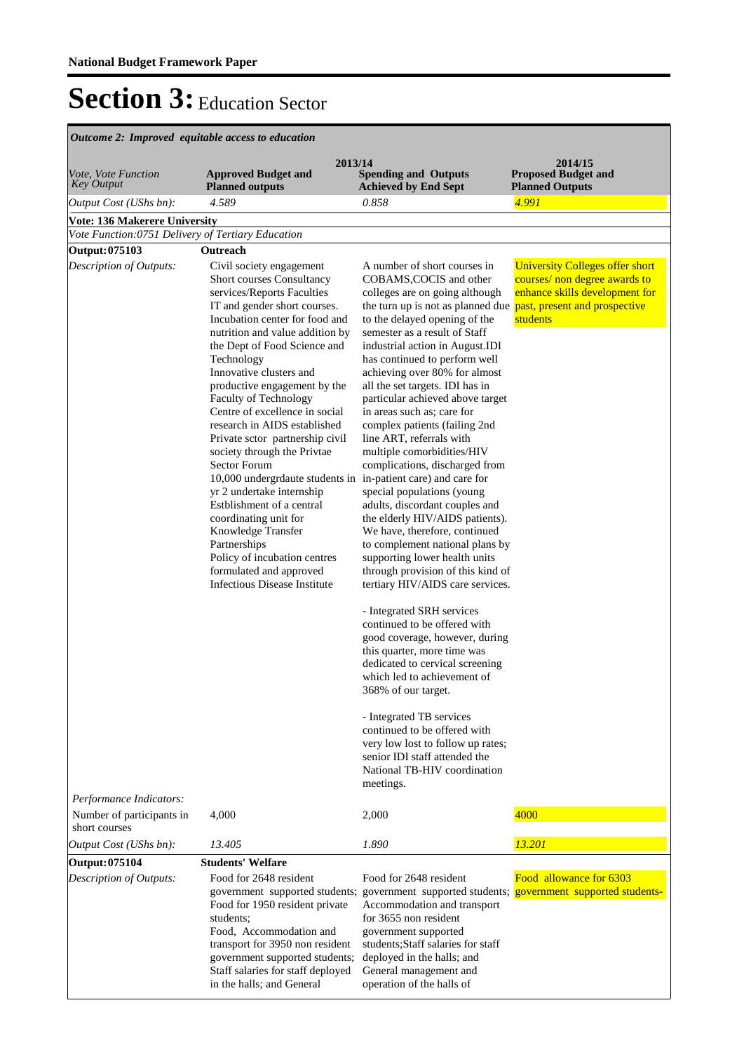| Outcome 2: Improved equitable access to education  |                                                                                                                                                                                                                                                                                                                                                                                                                                                                                                                                                                                                                                                                                                                                                                            |                                                                                                                                                                                                                                                                                                                                                                                                                                                                                                                                                                                                                                                                                                                                                                                                                                                                                                                                                                                                                                                                                                                                                                                                                                                              |                                                                                                                         |  |
|----------------------------------------------------|----------------------------------------------------------------------------------------------------------------------------------------------------------------------------------------------------------------------------------------------------------------------------------------------------------------------------------------------------------------------------------------------------------------------------------------------------------------------------------------------------------------------------------------------------------------------------------------------------------------------------------------------------------------------------------------------------------------------------------------------------------------------------|--------------------------------------------------------------------------------------------------------------------------------------------------------------------------------------------------------------------------------------------------------------------------------------------------------------------------------------------------------------------------------------------------------------------------------------------------------------------------------------------------------------------------------------------------------------------------------------------------------------------------------------------------------------------------------------------------------------------------------------------------------------------------------------------------------------------------------------------------------------------------------------------------------------------------------------------------------------------------------------------------------------------------------------------------------------------------------------------------------------------------------------------------------------------------------------------------------------------------------------------------------------|-------------------------------------------------------------------------------------------------------------------------|--|
| <i>Vote, Vote Function</i><br><b>Key Output</b>    | 2013/14<br><b>Approved Budget and</b><br><b>Planned outputs</b>                                                                                                                                                                                                                                                                                                                                                                                                                                                                                                                                                                                                                                                                                                            | <b>Spending and Outputs</b><br><b>Achieved by End Sept</b>                                                                                                                                                                                                                                                                                                                                                                                                                                                                                                                                                                                                                                                                                                                                                                                                                                                                                                                                                                                                                                                                                                                                                                                                   | 2014/15<br><b>Proposed Budget and</b><br><b>Planned Outputs</b>                                                         |  |
| Output Cost (UShs bn):                             | 4.589                                                                                                                                                                                                                                                                                                                                                                                                                                                                                                                                                                                                                                                                                                                                                                      | 0.858                                                                                                                                                                                                                                                                                                                                                                                                                                                                                                                                                                                                                                                                                                                                                                                                                                                                                                                                                                                                                                                                                                                                                                                                                                                        | 4.991                                                                                                                   |  |
| <b>Vote: 136 Makerere University</b>               |                                                                                                                                                                                                                                                                                                                                                                                                                                                                                                                                                                                                                                                                                                                                                                            |                                                                                                                                                                                                                                                                                                                                                                                                                                                                                                                                                                                                                                                                                                                                                                                                                                                                                                                                                                                                                                                                                                                                                                                                                                                              |                                                                                                                         |  |
| Vote Function:0751 Delivery of Tertiary Education  |                                                                                                                                                                                                                                                                                                                                                                                                                                                                                                                                                                                                                                                                                                                                                                            |                                                                                                                                                                                                                                                                                                                                                                                                                                                                                                                                                                                                                                                                                                                                                                                                                                                                                                                                                                                                                                                                                                                                                                                                                                                              |                                                                                                                         |  |
| Output: 075103                                     | Outreach                                                                                                                                                                                                                                                                                                                                                                                                                                                                                                                                                                                                                                                                                                                                                                   |                                                                                                                                                                                                                                                                                                                                                                                                                                                                                                                                                                                                                                                                                                                                                                                                                                                                                                                                                                                                                                                                                                                                                                                                                                                              |                                                                                                                         |  |
| Description of Outputs:<br>Performance Indicators: | Civil society engagement<br>Short courses Consultancy<br>services/Reports Faculties<br>IT and gender short courses.<br>Incubation center for food and<br>nutrition and value addition by<br>the Dept of Food Science and<br>Technology<br>Innovative clusters and<br>productive engagement by the<br>Faculty of Technology<br>Centre of excellence in social<br>research in AIDS established<br>Private sctor partnership civil<br>society through the Privtae<br>Sector Forum<br>10,000 undergrdaute students in in-patient care) and care for<br>yr 2 undertake internship<br>Estblishment of a central<br>coordinating unit for<br>Knowledge Transfer<br>Partnerships<br>Policy of incubation centres<br>formulated and approved<br><b>Infectious Disease Institute</b> | A number of short courses in<br>COBAMS, COCIS and other<br>colleges are on going although<br>the turn up is not as planned due past, present and prospective<br>to the delayed opening of the<br>semester as a result of Staff<br>industrial action in August.IDI<br>has continued to perform well<br>achieving over 80% for almost<br>all the set targets. IDI has in<br>particular achieved above target<br>in areas such as; care for<br>complex patients (failing 2nd<br>line ART, referrals with<br>multiple comorbidities/HIV<br>complications, discharged from<br>special populations (young<br>adults, discordant couples and<br>the elderly HIV/AIDS patients).<br>We have, therefore, continued<br>to complement national plans by<br>supporting lower health units<br>through provision of this kind of<br>tertiary HIV/AIDS care services.<br>- Integrated SRH services<br>continued to be offered with<br>good coverage, however, during<br>this quarter, more time was<br>dedicated to cervical screening<br>which led to achievement of<br>368% of our target.<br>- Integrated TB services<br>continued to be offered with<br>very low lost to follow up rates;<br>senior IDI staff attended the<br>National TB-HIV coordination<br>meetings. | <b>University Colleges offer short</b><br>courses/ non degree awards to<br>enhance skills development for<br>students   |  |
| Number of participants in<br>short courses         | 4,000                                                                                                                                                                                                                                                                                                                                                                                                                                                                                                                                                                                                                                                                                                                                                                      | 2,000                                                                                                                                                                                                                                                                                                                                                                                                                                                                                                                                                                                                                                                                                                                                                                                                                                                                                                                                                                                                                                                                                                                                                                                                                                                        | 4000                                                                                                                    |  |
| Output Cost (UShs bn):                             | 13.405                                                                                                                                                                                                                                                                                                                                                                                                                                                                                                                                                                                                                                                                                                                                                                     | 1.890                                                                                                                                                                                                                                                                                                                                                                                                                                                                                                                                                                                                                                                                                                                                                                                                                                                                                                                                                                                                                                                                                                                                                                                                                                                        | 13.201                                                                                                                  |  |
| <b>Output: 075104</b>                              | <b>Students' Welfare</b>                                                                                                                                                                                                                                                                                                                                                                                                                                                                                                                                                                                                                                                                                                                                                   |                                                                                                                                                                                                                                                                                                                                                                                                                                                                                                                                                                                                                                                                                                                                                                                                                                                                                                                                                                                                                                                                                                                                                                                                                                                              |                                                                                                                         |  |
| Description of Outputs:                            | Food for 2648 resident<br>Food for 1950 resident private<br>students:<br>Food, Accommodation and<br>transport for 3950 non resident<br>government supported students;<br>Staff salaries for staff deployed<br>in the halls; and General                                                                                                                                                                                                                                                                                                                                                                                                                                                                                                                                    | Food for 2648 resident<br>Accommodation and transport<br>for 3655 non resident<br>government supported<br>students; Staff salaries for staff<br>deployed in the halls; and<br>General management and<br>operation of the halls of                                                                                                                                                                                                                                                                                                                                                                                                                                                                                                                                                                                                                                                                                                                                                                                                                                                                                                                                                                                                                            | Food allowance for 6303<br>government supported students; government supported students; government supported students- |  |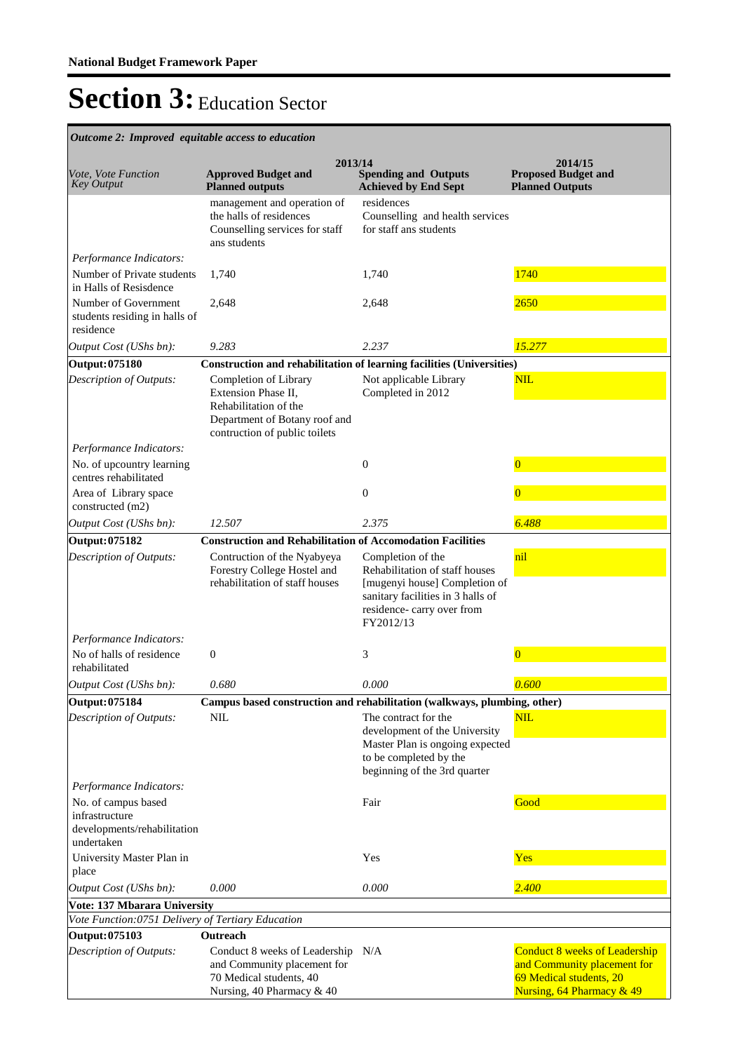| Outcome 2: Improved equitable access to education                  |                                                                                                                                         |                                                                                                                                                                     |                                                                                                                             |
|--------------------------------------------------------------------|-----------------------------------------------------------------------------------------------------------------------------------------|---------------------------------------------------------------------------------------------------------------------------------------------------------------------|-----------------------------------------------------------------------------------------------------------------------------|
| <i>Vote, Vote Function</i><br><b>Key Output</b>                    | 2013/14<br><b>Approved Budget and</b><br><b>Planned outputs</b>                                                                         | <b>Spending and Outputs</b><br><b>Achieved by End Sept</b>                                                                                                          | 2014/15<br><b>Proposed Budget and</b><br><b>Planned Outputs</b>                                                             |
|                                                                    | management and operation of<br>the halls of residences<br>Counselling services for staff<br>ans students                                | residences<br>Counselling and health services<br>for staff ans students                                                                                             |                                                                                                                             |
| Performance Indicators:                                            |                                                                                                                                         |                                                                                                                                                                     |                                                                                                                             |
| Number of Private students<br>in Halls of Resisdence               | 1,740                                                                                                                                   | 1,740                                                                                                                                                               | 1740                                                                                                                        |
| Number of Government<br>students residing in halls of<br>residence | 2,648                                                                                                                                   | 2,648                                                                                                                                                               | 2650                                                                                                                        |
| Output Cost (UShs bn):                                             | 9.283                                                                                                                                   | 2.237                                                                                                                                                               | 15.277                                                                                                                      |
| <b>Output: 075180</b>                                              | Construction and rehabilitation of learning facilities (Universities)                                                                   |                                                                                                                                                                     |                                                                                                                             |
| Description of Outputs:                                            | Completion of Library<br>Extension Phase II,<br>Rehabilitation of the<br>Department of Botany roof and<br>contruction of public toilets | Not applicable Library<br>Completed in 2012                                                                                                                         | NIL                                                                                                                         |
| Performance Indicators:                                            |                                                                                                                                         |                                                                                                                                                                     |                                                                                                                             |
| No. of upcountry learning<br>centres rehabilitated                 |                                                                                                                                         | 0                                                                                                                                                                   | $\overline{0}$                                                                                                              |
| Area of Library space<br>constructed (m2)                          |                                                                                                                                         | $\overline{0}$                                                                                                                                                      | $\Omega$                                                                                                                    |
| Output Cost (UShs bn):                                             | 12.507                                                                                                                                  | 2.375                                                                                                                                                               | 6.488                                                                                                                       |
| Output: 075182                                                     | <b>Construction and Rehabilitation of Accomodation Facilities</b>                                                                       |                                                                                                                                                                     |                                                                                                                             |
| Description of Outputs:                                            | Contruction of the Nyabyeya<br>Forestry College Hostel and<br>rehabilitation of staff houses                                            | Completion of the<br>Rehabilitation of staff houses<br>[mugenyi house] Completion of<br>sanitary facilities in 3 halls of<br>residence-carry over from<br>FY2012/13 | nil                                                                                                                         |
| Performance Indicators:                                            |                                                                                                                                         |                                                                                                                                                                     |                                                                                                                             |
| No of halls of residence<br>rehabilitated                          | $\boldsymbol{0}$                                                                                                                        | 3                                                                                                                                                                   | $\overline{0}$                                                                                                              |
| Output Cost (UShs bn):                                             | 0.680                                                                                                                                   | 0.000                                                                                                                                                               | 0.600                                                                                                                       |
| <b>Output: 075184</b>                                              | Campus based construction and rehabilitation (walkways, plumbing, other)                                                                |                                                                                                                                                                     |                                                                                                                             |
| Description of Outputs:<br>Performance Indicators:                 | <b>NIL</b>                                                                                                                              | The contract for the<br>development of the University<br>Master Plan is ongoing expected<br>to be completed by the<br>beginning of the 3rd quarter                  | NIL                                                                                                                         |
| No. of campus based                                                |                                                                                                                                         | Fair                                                                                                                                                                | Good                                                                                                                        |
| infrastructure<br>developments/rehabilitation<br>undertaken        |                                                                                                                                         |                                                                                                                                                                     |                                                                                                                             |
| University Master Plan in<br>place                                 |                                                                                                                                         | Yes                                                                                                                                                                 | Yes                                                                                                                         |
| Output Cost (UShs bn):                                             | 0.000                                                                                                                                   | 0.000                                                                                                                                                               | 2.400                                                                                                                       |
| Vote: 137 Mbarara University                                       |                                                                                                                                         |                                                                                                                                                                     |                                                                                                                             |
| Vote Function:0751 Delivery of Tertiary Education                  |                                                                                                                                         |                                                                                                                                                                     |                                                                                                                             |
| <b>Output: 075103</b>                                              | Outreach                                                                                                                                |                                                                                                                                                                     |                                                                                                                             |
| Description of Outputs:                                            | Conduct 8 weeks of Leadership N/A<br>and Community placement for<br>70 Medical students, 40<br>Nursing, 40 Pharmacy & 40                |                                                                                                                                                                     | <b>Conduct 8 weeks of Leadership</b><br>and Community placement for<br>69 Medical students, 20<br>Nursing, 64 Pharmacy & 49 |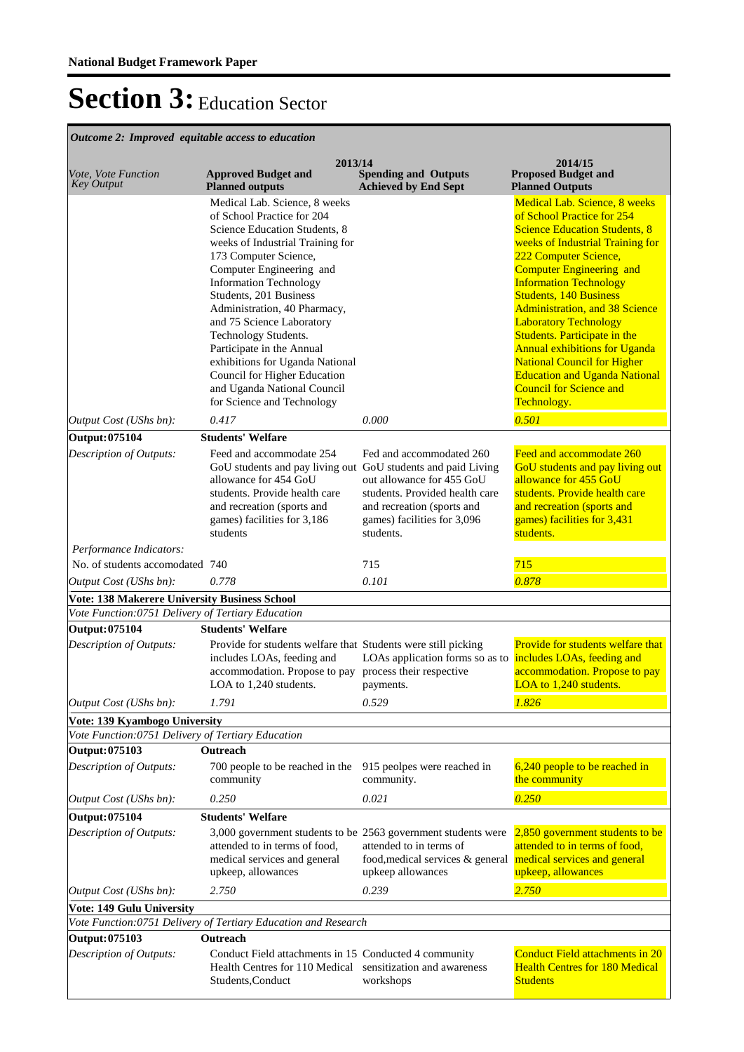| Outcome 2: Improved equitable access to education                   |                                                                                                                                                                                                                                                                                                                                                                                                                                                                                                    |                                                                                                                                                                                |                                                                                                                                                                                                                                                                                                                                                                                                                                                                                                                                                       |  |
|---------------------------------------------------------------------|----------------------------------------------------------------------------------------------------------------------------------------------------------------------------------------------------------------------------------------------------------------------------------------------------------------------------------------------------------------------------------------------------------------------------------------------------------------------------------------------------|--------------------------------------------------------------------------------------------------------------------------------------------------------------------------------|-------------------------------------------------------------------------------------------------------------------------------------------------------------------------------------------------------------------------------------------------------------------------------------------------------------------------------------------------------------------------------------------------------------------------------------------------------------------------------------------------------------------------------------------------------|--|
| Vote, Vote Function<br><b>Key Output</b>                            | 2013/14<br><b>Approved Budget and</b><br><b>Planned outputs</b>                                                                                                                                                                                                                                                                                                                                                                                                                                    | <b>Spending and Outputs</b><br><b>Achieved by End Sept</b>                                                                                                                     | 2014/15<br><b>Proposed Budget and</b><br><b>Planned Outputs</b>                                                                                                                                                                                                                                                                                                                                                                                                                                                                                       |  |
|                                                                     | Medical Lab. Science, 8 weeks<br>of School Practice for 204<br>Science Education Students, 8<br>weeks of Industrial Training for<br>173 Computer Science,<br>Computer Engineering and<br><b>Information Technology</b><br>Students, 201 Business<br>Administration, 40 Pharmacy,<br>and 75 Science Laboratory<br>Technology Students.<br>Participate in the Annual<br>exhibitions for Uganda National<br>Council for Higher Education<br>and Uganda National Council<br>for Science and Technology |                                                                                                                                                                                | Medical Lab. Science, 8 weeks<br>of School Practice for 254<br><b>Science Education Students, 8</b><br>weeks of Industrial Training for<br>222 Computer Science,<br><b>Computer Engineering and</b><br><b>Information Technology</b><br><b>Students, 140 Business</b><br><b>Administration, and 38 Science</b><br><b>Laboratory Technology</b><br>Students. Participate in the<br><b>Annual exhibitions for Uganda</b><br><b>National Council for Higher</b><br><b>Education and Uganda National</b><br><b>Council for Science and</b><br>Technology. |  |
| Output Cost (UShs bn):                                              | 0.417                                                                                                                                                                                                                                                                                                                                                                                                                                                                                              | 0.000                                                                                                                                                                          | 0.501                                                                                                                                                                                                                                                                                                                                                                                                                                                                                                                                                 |  |
| Output: 075104<br>Description of Outputs:                           | <b>Students' Welfare</b><br>Feed and accommodate 254<br>GoU students and pay living out GoU students and paid Living<br>allowance for 454 GoU<br>students. Provide health care<br>and recreation (sports and<br>games) facilities for 3,186<br>students                                                                                                                                                                                                                                            | Fed and accommodated 260<br>out allowance for 455 GoU<br>students. Provided health care<br>and recreation (sports and<br>games) facilities for 3,096<br>students.              | Feed and accommodate 260<br>GoU students and pay living out<br>allowance for 455 GoU<br>students. Provide health care<br>and recreation (sports and<br>games) facilities for 3,431<br>students.                                                                                                                                                                                                                                                                                                                                                       |  |
| Performance Indicators:                                             |                                                                                                                                                                                                                                                                                                                                                                                                                                                                                                    |                                                                                                                                                                                |                                                                                                                                                                                                                                                                                                                                                                                                                                                                                                                                                       |  |
| No. of students accomodated 740                                     |                                                                                                                                                                                                                                                                                                                                                                                                                                                                                                    | 715                                                                                                                                                                            | 715                                                                                                                                                                                                                                                                                                                                                                                                                                                                                                                                                   |  |
| Output Cost (UShs bn):                                              | 0.778                                                                                                                                                                                                                                                                                                                                                                                                                                                                                              | 0.101                                                                                                                                                                          | 0.878                                                                                                                                                                                                                                                                                                                                                                                                                                                                                                                                                 |  |
| <b>Vote: 138 Makerere University Business School</b>                |                                                                                                                                                                                                                                                                                                                                                                                                                                                                                                    |                                                                                                                                                                                |                                                                                                                                                                                                                                                                                                                                                                                                                                                                                                                                                       |  |
| Vote Function:0751 Delivery of Tertiary Education<br>Output: 075104 | <b>Students' Welfare</b>                                                                                                                                                                                                                                                                                                                                                                                                                                                                           |                                                                                                                                                                                |                                                                                                                                                                                                                                                                                                                                                                                                                                                                                                                                                       |  |
| Description of Outputs:                                             | Provide for students welfare that Students were still picking<br>includes LOAs, feeding and<br>accommodation. Propose to pay<br>LOA to 1,240 students.                                                                                                                                                                                                                                                                                                                                             | LOAs application forms so as to includes LOAs, feeding and<br>process their respective<br>payments.                                                                            | Provide for students welfare that<br>accommodation. Propose to pay<br>LOA to 1,240 students.                                                                                                                                                                                                                                                                                                                                                                                                                                                          |  |
| Output Cost (UShs bn):                                              | 1.791                                                                                                                                                                                                                                                                                                                                                                                                                                                                                              | 0.529                                                                                                                                                                          | 1.826                                                                                                                                                                                                                                                                                                                                                                                                                                                                                                                                                 |  |
| Vote: 139 Kyambogo University                                       |                                                                                                                                                                                                                                                                                                                                                                                                                                                                                                    |                                                                                                                                                                                |                                                                                                                                                                                                                                                                                                                                                                                                                                                                                                                                                       |  |
| Vote Function:0751 Delivery of Tertiary Education<br>Output: 075103 | Outreach                                                                                                                                                                                                                                                                                                                                                                                                                                                                                           |                                                                                                                                                                                |                                                                                                                                                                                                                                                                                                                                                                                                                                                                                                                                                       |  |
| Description of Outputs:                                             | 700 people to be reached in the<br>community                                                                                                                                                                                                                                                                                                                                                                                                                                                       | 915 peolpes were reached in<br>community.                                                                                                                                      | 6,240 people to be reached in<br>the community                                                                                                                                                                                                                                                                                                                                                                                                                                                                                                        |  |
| Output Cost (UShs bn):                                              | 0.250                                                                                                                                                                                                                                                                                                                                                                                                                                                                                              | 0.021                                                                                                                                                                          | 0.250                                                                                                                                                                                                                                                                                                                                                                                                                                                                                                                                                 |  |
| Output: 075104                                                      | <b>Students' Welfare</b>                                                                                                                                                                                                                                                                                                                                                                                                                                                                           |                                                                                                                                                                                |                                                                                                                                                                                                                                                                                                                                                                                                                                                                                                                                                       |  |
| Description of Outputs:                                             | attended to in terms of food,<br>medical services and general<br>upkeep, allowances                                                                                                                                                                                                                                                                                                                                                                                                                | 3,000 government students to be 2563 government students were<br>attended to in terms of<br>food, medical services & general medical services and general<br>upkeep allowances | 2,850 government students to be<br>attended to in terms of food,<br>upkeep, allowances                                                                                                                                                                                                                                                                                                                                                                                                                                                                |  |
| Output Cost (UShs bn):                                              | 2.750                                                                                                                                                                                                                                                                                                                                                                                                                                                                                              | 0.239                                                                                                                                                                          | 2.750                                                                                                                                                                                                                                                                                                                                                                                                                                                                                                                                                 |  |
| <b>Vote: 149 Gulu University</b>                                    |                                                                                                                                                                                                                                                                                                                                                                                                                                                                                                    |                                                                                                                                                                                |                                                                                                                                                                                                                                                                                                                                                                                                                                                                                                                                                       |  |
|                                                                     | Vote Function: 0751 Delivery of Tertiary Education and Research                                                                                                                                                                                                                                                                                                                                                                                                                                    |                                                                                                                                                                                |                                                                                                                                                                                                                                                                                                                                                                                                                                                                                                                                                       |  |
| Output: 075103                                                      | Outreach                                                                                                                                                                                                                                                                                                                                                                                                                                                                                           |                                                                                                                                                                                |                                                                                                                                                                                                                                                                                                                                                                                                                                                                                                                                                       |  |
| Description of Outputs:                                             | Conduct Field attachments in 15 Conducted 4 community<br>Health Centres for 110 Medical sensitization and awareness<br>Students, Conduct                                                                                                                                                                                                                                                                                                                                                           | workshops                                                                                                                                                                      | <b>Conduct Field attachments in 20</b><br><b>Health Centres for 180 Medical</b><br><b>Students</b>                                                                                                                                                                                                                                                                                                                                                                                                                                                    |  |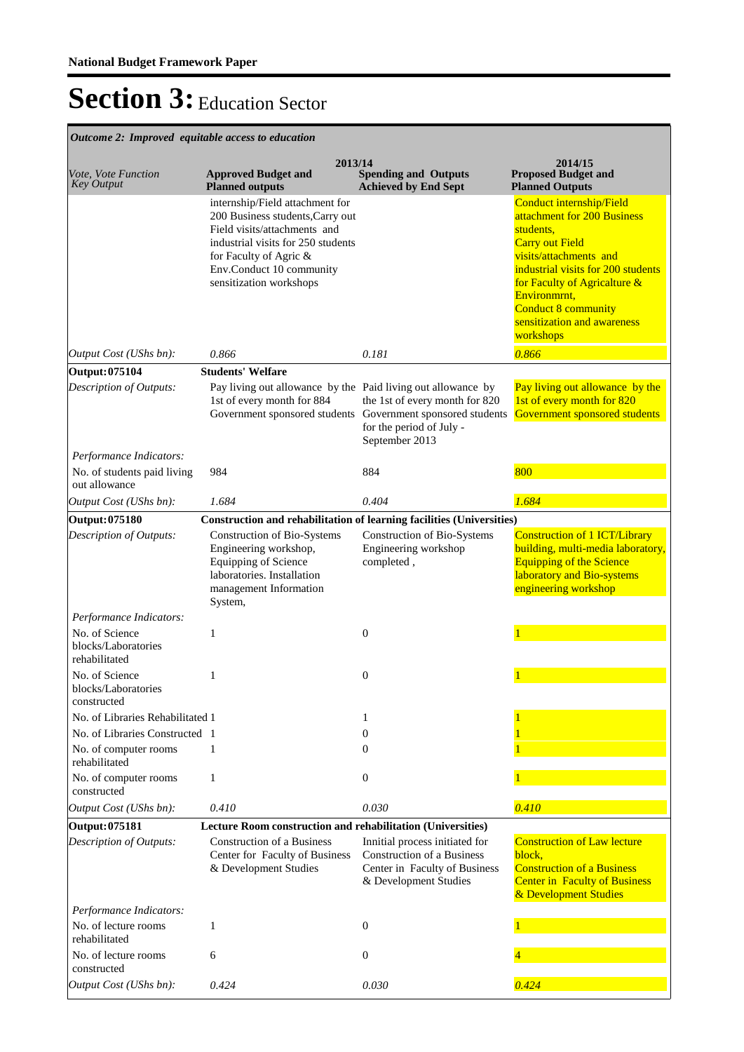| Outcome 2: Improved equitable access to education                       |                                                                                                                                                                                                                            |                                                                                                                               |                                                                                                                                                                                                                                                                                   |  |  |
|-------------------------------------------------------------------------|----------------------------------------------------------------------------------------------------------------------------------------------------------------------------------------------------------------------------|-------------------------------------------------------------------------------------------------------------------------------|-----------------------------------------------------------------------------------------------------------------------------------------------------------------------------------------------------------------------------------------------------------------------------------|--|--|
| Vote, Vote Function<br><b>Key Output</b>                                | 2013/14<br><b>Approved Budget and</b><br><b>Planned outputs</b>                                                                                                                                                            | <b>Spending and Outputs</b><br><b>Achieved by End Sept</b>                                                                    | 2014/15<br><b>Proposed Budget and</b><br><b>Planned Outputs</b>                                                                                                                                                                                                                   |  |  |
|                                                                         | internship/Field attachment for<br>200 Business students, Carry out<br>Field visits/attachments and<br>industrial visits for 250 students<br>for Faculty of Agric &<br>Env.Conduct 10 community<br>sensitization workshops |                                                                                                                               | Conduct internship/Field<br>attachment for 200 Business<br>students,<br><b>Carry out Field</b><br>visits/attachments and<br>industrial visits for 200 students<br>for Faculty of Agricalture &<br>Environmrnt,<br>Conduct 8 community<br>sensitization and awareness<br>workshops |  |  |
| Output Cost (UShs bn):                                                  | 0.866                                                                                                                                                                                                                      | 0.181                                                                                                                         | 0.866                                                                                                                                                                                                                                                                             |  |  |
| Output: 075104                                                          | <b>Students' Welfare</b>                                                                                                                                                                                                   |                                                                                                                               |                                                                                                                                                                                                                                                                                   |  |  |
| Description of Outputs:                                                 | Pay living out allowance by the Paid living out allowance by<br>1st of every month for 884<br>Government sponsored students                                                                                                | the 1st of every month for 820<br>Government sponsored students<br>for the period of July -<br>September 2013                 | Pay living out allowance by the<br>1st of every month for 820<br>Government sponsored students                                                                                                                                                                                    |  |  |
| Performance Indicators:<br>No. of students paid living<br>out allowance | 984                                                                                                                                                                                                                        | 884                                                                                                                           | 800                                                                                                                                                                                                                                                                               |  |  |
| Output Cost (UShs bn):                                                  | 1.684                                                                                                                                                                                                                      | 0.404                                                                                                                         | 1.684                                                                                                                                                                                                                                                                             |  |  |
| Output: 075180                                                          | Construction and rehabilitation of learning facilities (Universities)                                                                                                                                                      |                                                                                                                               |                                                                                                                                                                                                                                                                                   |  |  |
| Description of Outputs:                                                 | Construction of Bio-Systems<br>Engineering workshop,<br>Equipping of Science<br>laboratories. Installation<br>management Information<br>System,                                                                            | Construction of Bio-Systems<br>Engineering workshop<br>completed,                                                             | <b>Construction of 1 ICT/Library</b><br>building, multi-media laboratory,<br><b>Equipping of the Science</b><br>laboratory and Bio-systems<br>engineering workshop                                                                                                                |  |  |
| Performance Indicators:                                                 |                                                                                                                                                                                                                            |                                                                                                                               |                                                                                                                                                                                                                                                                                   |  |  |
| No. of Science<br>blocks/Laboratories<br>rehabilitated                  | 1                                                                                                                                                                                                                          | $\mathbf{0}$                                                                                                                  |                                                                                                                                                                                                                                                                                   |  |  |
| No. of Science<br>blocks/Laboratories<br>constructed                    | 1                                                                                                                                                                                                                          | $\overline{0}$                                                                                                                |                                                                                                                                                                                                                                                                                   |  |  |
| No. of Libraries Rehabilitated 1                                        |                                                                                                                                                                                                                            | 1                                                                                                                             |                                                                                                                                                                                                                                                                                   |  |  |
| No. of Libraries Constructed 1                                          |                                                                                                                                                                                                                            | $\overline{0}$                                                                                                                |                                                                                                                                                                                                                                                                                   |  |  |
| No. of computer rooms<br>rehabilitated                                  | 1                                                                                                                                                                                                                          | $\Omega$                                                                                                                      |                                                                                                                                                                                                                                                                                   |  |  |
| No. of computer rooms<br>constructed                                    | 1                                                                                                                                                                                                                          | $\mathbf{0}$                                                                                                                  |                                                                                                                                                                                                                                                                                   |  |  |
| Output Cost (UShs bn):                                                  | 0.410                                                                                                                                                                                                                      | 0.030                                                                                                                         | 0.410                                                                                                                                                                                                                                                                             |  |  |
| Output: 075181                                                          | Lecture Room construction and rehabilitation (Universities)                                                                                                                                                                |                                                                                                                               |                                                                                                                                                                                                                                                                                   |  |  |
| Description of Outputs:                                                 | <b>Construction of a Business</b><br>Center for Faculty of Business<br>& Development Studies                                                                                                                               | Innitial process initiated for<br><b>Construction of a Business</b><br>Center in Faculty of Business<br>& Development Studies | <b>Construction of Law lecture</b><br>block,<br><b>Construction of a Business</b><br><b>Center in Faculty of Business</b><br>& Development Studies                                                                                                                                |  |  |
| Performance Indicators:                                                 |                                                                                                                                                                                                                            |                                                                                                                               |                                                                                                                                                                                                                                                                                   |  |  |
| No. of lecture rooms<br>rehabilitated                                   | 1                                                                                                                                                                                                                          | $\mathbf{0}$                                                                                                                  |                                                                                                                                                                                                                                                                                   |  |  |
| No. of lecture rooms<br>constructed                                     | 6                                                                                                                                                                                                                          | $\mathbf{0}$                                                                                                                  |                                                                                                                                                                                                                                                                                   |  |  |
| Output Cost (UShs bn):                                                  | 0.424                                                                                                                                                                                                                      | 0.030                                                                                                                         | 0.424                                                                                                                                                                                                                                                                             |  |  |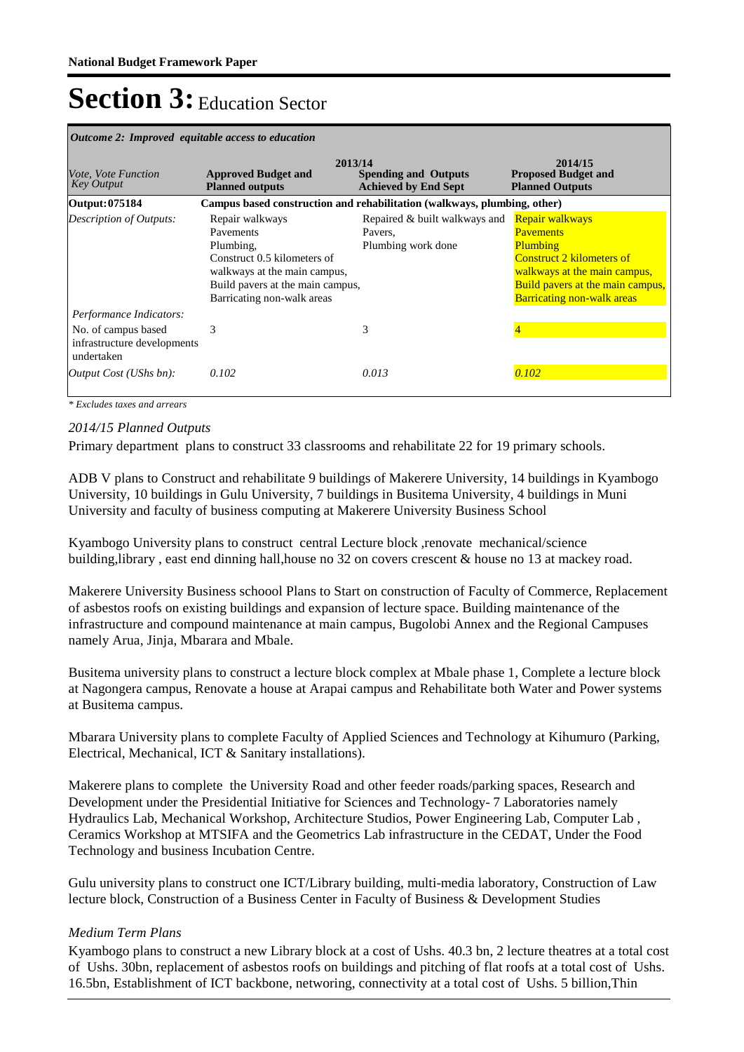| <i>Outcome 2: Improved equitable access to education</i>                                    |                                                                                                                                                                            |                                                                          |                                                                                                                                                                                                     |  |
|---------------------------------------------------------------------------------------------|----------------------------------------------------------------------------------------------------------------------------------------------------------------------------|--------------------------------------------------------------------------|-----------------------------------------------------------------------------------------------------------------------------------------------------------------------------------------------------|--|
| <i>Vote, Vote Function</i><br><b>Key Output</b>                                             | <b>Approved Budget and</b><br><b>Planned outputs</b>                                                                                                                       | 2013/14<br><b>Spending and Outputs</b><br><b>Achieved by End Sept</b>    | 2014/15<br><b>Proposed Budget and</b><br><b>Planned Outputs</b>                                                                                                                                     |  |
| Output: 075184                                                                              |                                                                                                                                                                            | Campus based construction and rehabilitation (walkways, plumbing, other) |                                                                                                                                                                                                     |  |
| <b>Description of Outputs:</b>                                                              | Repair walkways<br>Pavements<br>Plumbing,<br>Construct 0.5 kilometers of<br>walkways at the main campus,<br>Build pavers at the main campus,<br>Barricating non-walk areas | Repaired & built walkways and<br>Pavers,<br>Plumbing work done           | Repair walkways<br><b>Pavements</b><br><b>Plumbing</b><br><b>Construct 2 kilometers of</b><br>walkways at the main campus,<br>Build pavers at the main campus,<br><b>Barricating non-walk areas</b> |  |
| Performance Indicators:<br>No. of campus based<br>infrastructure developments<br>undertaken | 3                                                                                                                                                                          | 3                                                                        |                                                                                                                                                                                                     |  |
| <i>Output Cost (UShs bn):</i>                                                               | 0.102                                                                                                                                                                      | 0.013                                                                    | 0.102                                                                                                                                                                                               |  |

*\* Excludes taxes and arrears*

### *2014/15 Planned Outputs*

Primary department plans to construct 33 classrooms and rehabilitate 22 for 19 primary schools.

ADB V plans to Construct and rehabilitate 9 buildings of Makerere University, 14 buildings in Kyambogo University, 10 buildings in Gulu University, 7 buildings in Busitema University, 4 buildings in Muni University and faculty of business computing at Makerere University Business School

Kyambogo University plans to construct central Lecture block ,renovate mechanical/science building,library , east end dinning hall,house no 32 on covers crescent & house no 13 at mackey road.

Makerere University Business schoool Plans to Start on construction of Faculty of Commerce, Replacement of asbestos roofs on existing buildings and expansion of lecture space. Building maintenance of the infrastructure and compound maintenance at main campus, Bugolobi Annex and the Regional Campuses namely Arua, Jinja, Mbarara and Mbale.

Busitema university plans to construct a lecture block complex at Mbale phase 1, Complete a lecture block at Nagongera campus, Renovate a house at Arapai campus and Rehabilitate both Water and Power systems at Busitema campus.

Mbarara University plans to complete Faculty of Applied Sciences and Technology at Kihumuro (Parking, Electrical, Mechanical, ICT & Sanitary installations).

Makerere plans to complete the University Road and other feeder roads/parking spaces, Research and Development under the Presidential Initiative for Sciences and Technology- 7 Laboratories namely Hydraulics Lab, Mechanical Workshop, Architecture Studios, Power Engineering Lab, Computer Lab , Ceramics Workshop at MTSIFA and the Geometrics Lab infrastructure in the CEDAT, Under the Food Technology and business Incubation Centre.

Gulu university plans to construct one ICT/Library building, multi-media laboratory, Construction of Law lecture block, Construction of a Business Center in Faculty of Business & Development Studies

### *Medium Term Plans*

Kyambogo plans to construct a new Library block at a cost of Ushs. 40.3 bn, 2 lecture theatres at a total cost of Ushs. 30bn, replacement of asbestos roofs on buildings and pitching of flat roofs at a total cost of Ushs. 16.5bn, Establishment of ICT backbone, networing, connectivity at a total cost of Ushs. 5 billion,Thin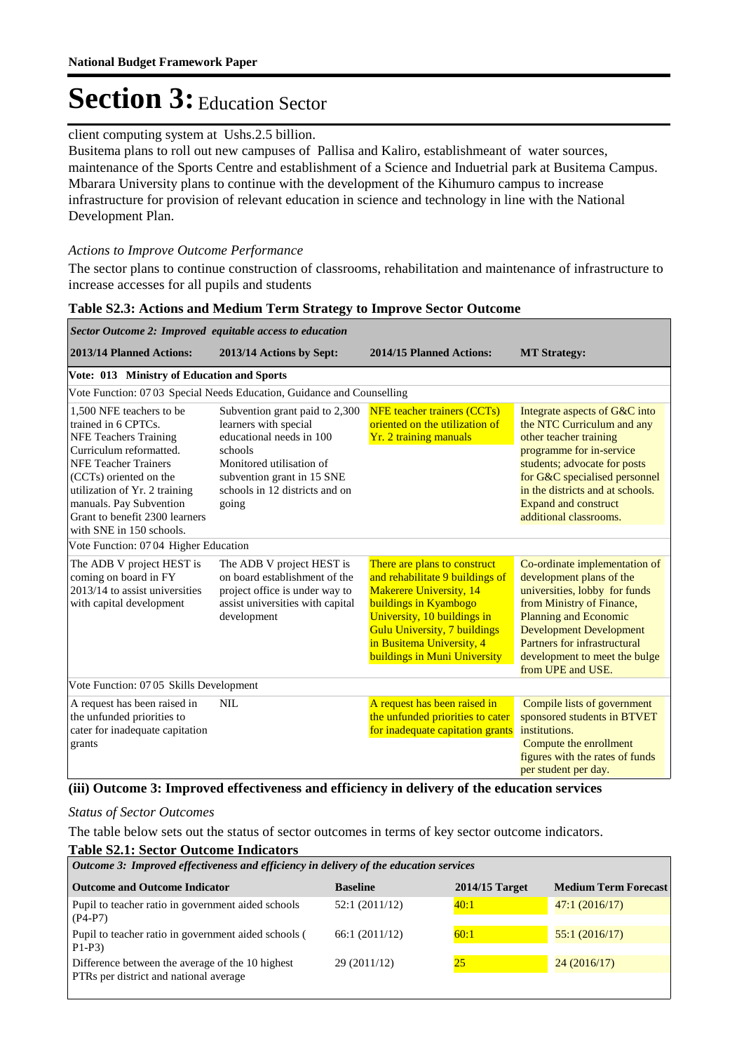### client computing system at Ushs.2.5 billion.

Busitema plans to roll out new campuses of Pallisa and Kaliro, establishmeant of water sources, maintenance of the Sports Centre and establishment of a Science and Induetrial park at Busitema Campus. Mbarara University plans to continue with the development of the Kihumuro campus to increase infrastructure for provision of relevant education in science and technology in line with the National Development Plan.

#### *Actions to Improve Outcome Performance*

Г

The sector plans to continue construction of classrooms, rehabilitation and maintenance of infrastructure to increase accesses for all pupils and students

| Sector Outcome 2: Improved equitable access to education                                                                                                                                                                                                                                                   |                                                                                                                                                                                                     |                                                                                                                                                                                                                                                                              |                                                                                                                                                                                                                                                                                 |  |
|------------------------------------------------------------------------------------------------------------------------------------------------------------------------------------------------------------------------------------------------------------------------------------------------------------|-----------------------------------------------------------------------------------------------------------------------------------------------------------------------------------------------------|------------------------------------------------------------------------------------------------------------------------------------------------------------------------------------------------------------------------------------------------------------------------------|---------------------------------------------------------------------------------------------------------------------------------------------------------------------------------------------------------------------------------------------------------------------------------|--|
| 2013/14 Planned Actions:                                                                                                                                                                                                                                                                                   | 2013/14 Actions by Sept:                                                                                                                                                                            | 2014/15 Planned Actions:                                                                                                                                                                                                                                                     | <b>MT Strategy:</b>                                                                                                                                                                                                                                                             |  |
| Vote: 013 Ministry of Education and Sports                                                                                                                                                                                                                                                                 |                                                                                                                                                                                                     |                                                                                                                                                                                                                                                                              |                                                                                                                                                                                                                                                                                 |  |
|                                                                                                                                                                                                                                                                                                            | Vote Function: 07 03 Special Needs Education, Guidance and Counselling                                                                                                                              |                                                                                                                                                                                                                                                                              |                                                                                                                                                                                                                                                                                 |  |
| 1.500 NFE teachers to be<br>trained in 6 CPTCs.<br><b>NFE Teachers Training</b><br>Curriculum reformatted.<br><b>NFE Teacher Trainers</b><br>(CCT <sub>s</sub> ) oriented on the<br>utilization of Yr. 2 training<br>manuals. Pay Subvention<br>Grant to benefit 2300 learners<br>with SNE in 150 schools. | Subvention grant paid to 2,300<br>learners with special<br>educational needs in 100<br>schools<br>Monitored utilisation of<br>subvention grant in 15 SNE<br>schools in 12 districts and on<br>going | <b>NFE</b> teacher trainers (CCTs)<br>oriented on the utilization of<br>Yr. 2 training manuals                                                                                                                                                                               | Integrate aspects of G&C into<br>the NTC Curriculum and any<br>other teacher training<br>programme for in-service<br>students; advocate for posts<br>for G&C specialised personnel<br>in the districts and at schools.<br><b>Expand and construct</b><br>additional classrooms. |  |
| Vote Function: 07 04 Higher Education                                                                                                                                                                                                                                                                      |                                                                                                                                                                                                     |                                                                                                                                                                                                                                                                              |                                                                                                                                                                                                                                                                                 |  |
| The ADB V project HEST is<br>coming on board in FY<br>2013/14 to assist universities<br>with capital development                                                                                                                                                                                           | The ADB V project HEST is<br>on board establishment of the<br>project office is under way to<br>assist universities with capital<br>development                                                     | There are plans to construct<br>and rehabilitate 9 buildings of<br><b>Makerere University</b> , 14<br><b>buildings in Kyambogo</b><br>University, 10 buildings in<br><b>Gulu University, 7 buildings</b><br>in Busitema University, 4<br><b>buildings in Muni University</b> | Co-ordinate implementation of<br>development plans of the<br>universities, lobby for funds<br>from Ministry of Finance,<br><b>Planning and Economic</b><br><b>Development Development</b><br>Partners for infrastructural<br>development to meet the bulge<br>from UPE and USE. |  |
| Vote Function: 07 05 Skills Development                                                                                                                                                                                                                                                                    |                                                                                                                                                                                                     |                                                                                                                                                                                                                                                                              |                                                                                                                                                                                                                                                                                 |  |
| A request has been raised in<br>the unfunded priorities to<br>cater for inadequate capitation<br>grants                                                                                                                                                                                                    | <b>NIL</b>                                                                                                                                                                                          | A request has been raised in<br>the unfunded priorities to cater<br>for inadequate capitation grants                                                                                                                                                                         | Compile lists of government<br>sponsored students in BTVET<br>institutions.<br>Compute the enrollment<br>figures with the rates of funds<br>per student per day.                                                                                                                |  |
| $\sim$ $\sim$ $\sim$<br>$\sim$ $\sim$                                                                                                                                                                                                                                                                      | $\blacksquare$ $\blacksquare$ $\blacksquare$                                                                                                                                                        | $\mathbf{v}$<br>0.1                                                                                                                                                                                                                                                          |                                                                                                                                                                                                                                                                                 |  |

#### **Table S2.3: Actions and Medium Term Strategy to Improve Sector Outcome**

#### **(iii) Outcome 3: Improved effectiveness and efficiency in delivery of the education services**

#### *Status of Sector Outcomes*

The table below sets out the status of sector outcomes in terms of key sector outcome indicators.

#### **Table S2.1: Sector Outcome Indicators**

| Outcome 3: Improved effectiveness and efficiency in delivery of the education services                     |               |      |               |  |
|------------------------------------------------------------------------------------------------------------|---------------|------|---------------|--|
| <b>Medium Term Forecast</b><br><b>Outcome and Outcome Indicator</b><br>$2014/15$ Target<br><b>Baseline</b> |               |      |               |  |
| Pupil to teacher ratio in government aided schools<br>$(P4-P7)$                                            | 52:1(2011/12) | 40:1 | 47:1(2016/17) |  |
| Pupil to teacher ratio in government aided schools (<br>$P1-P3$                                            | 66:1(2011/12) | 60:1 | 55:1(2016/17) |  |
| Difference between the average of the 10 highest<br>PTRs per district and national average                 | 29 (2011/12)  | 25   | 24(2016/17)   |  |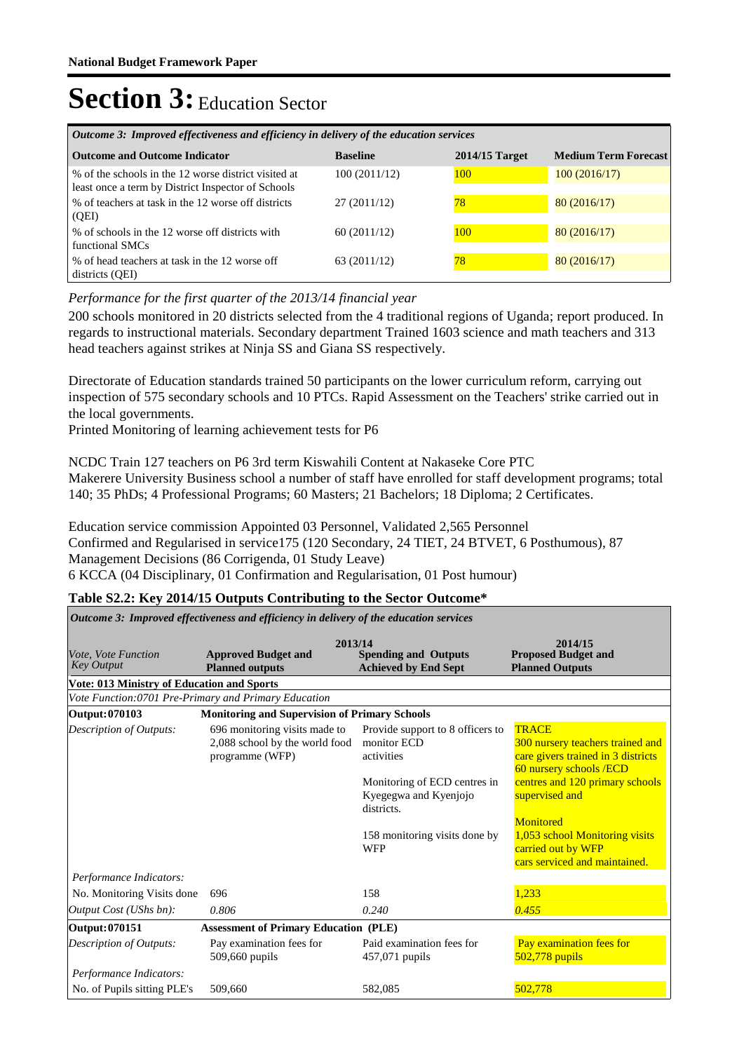| Outcome 3: Improved effectiveness and efficiency in delivery of the education services                     |                 |                  |                             |  |
|------------------------------------------------------------------------------------------------------------|-----------------|------------------|-----------------------------|--|
| <b>Outcome and Outcome Indicator</b>                                                                       | <b>Baseline</b> | $2014/15$ Target | <b>Medium Term Forecast</b> |  |
| % of the schools in the 12 worse district visited at<br>least once a term by District Inspector of Schools | 100(2011/12)    | 100              | 100(2016/17)                |  |
| % of teachers at task in the 12 worse off districts<br>(QEI)                                               | 27(2011/12)     | 78               | 80(2016/17)                 |  |
| % of schools in the 12 worse off districts with<br>functional SMCs                                         | 60(2011/12)     | 100              | 80(2016/17)                 |  |
| % of head teachers at task in the 12 worse off<br>districts (OEI)                                          | 63 (2011/12)    | 78               | 80(2016/17)                 |  |

*Performance for the first quarter of the 2013/14 financial year*

200 schools monitored in 20 districts selected from the 4 traditional regions of Uganda; report produced. In regards to instructional materials. Secondary department Trained 1603 science and math teachers and 313 head teachers against strikes at Ninja SS and Giana SS respectively.

Directorate of Education standards trained 50 participants on the lower curriculum reform, carrying out inspection of 575 secondary schools and 10 PTCs. Rapid Assessment on the Teachers' strike carried out in the local governments.

Printed Monitoring of learning achievement tests for P6

NCDC Train 127 teachers on P6 3rd term Kiswahili Content at Nakaseke Core PTC Makerere University Business school a number of staff have enrolled for staff development programs; total 140; 35 PhDs; 4 Professional Programs; 60 Masters; 21 Bachelors; 18 Diploma; 2 Certificates.

Education service commission Appointed 03 Personnel, Validated 2,565 Personnel Confirmed and Regularised in service175 (120 Secondary, 24 TIET, 24 BTVET, 6 Posthumous), 87 Management Decisions (86 Corrigenda, 01 Study Leave) 6 KCCA (04 Disciplinary, 01 Confirmation and Regularisation, 01 Post humour)

#### **Table S2.2: Key 2014/15 Outputs Contributing to the Sector Outcome\***

| Outcome 3: Improved effectiveness and efficiency in delivery of the education services |                                                                                    |                                                                                                                                                                                     |                                                                                                                                                                                                                                                                                     |  |  |
|----------------------------------------------------------------------------------------|------------------------------------------------------------------------------------|-------------------------------------------------------------------------------------------------------------------------------------------------------------------------------------|-------------------------------------------------------------------------------------------------------------------------------------------------------------------------------------------------------------------------------------------------------------------------------------|--|--|
| 2013/14<br>2014/15                                                                     |                                                                                    |                                                                                                                                                                                     |                                                                                                                                                                                                                                                                                     |  |  |
| Vote, Vote Function<br><b>Key Output</b>                                               | <b>Approved Budget and</b><br><b>Planned outputs</b>                               | <b>Spending and Outputs</b><br><b>Achieved by End Sept</b>                                                                                                                          | <b>Proposed Budget and</b><br><b>Planned Outputs</b>                                                                                                                                                                                                                                |  |  |
| <b>Vote: 013 Ministry of Education and Sports</b>                                      |                                                                                    |                                                                                                                                                                                     |                                                                                                                                                                                                                                                                                     |  |  |
|                                                                                        | Vote Function: 0701 Pre-Primary and Primary Education                              |                                                                                                                                                                                     |                                                                                                                                                                                                                                                                                     |  |  |
| Output: 070103                                                                         | <b>Monitoring and Supervision of Primary Schools</b>                               |                                                                                                                                                                                     |                                                                                                                                                                                                                                                                                     |  |  |
| Description of Outputs:                                                                | 696 monitoring visits made to<br>2,088 school by the world food<br>programme (WFP) | Provide support to 8 officers to<br>monitor ECD<br>activities<br>Monitoring of ECD centres in<br>Kyegegwa and Kyenjojo<br>districts.<br>158 monitoring visits done by<br><b>WFP</b> | <b>TRACE</b><br>300 nursery teachers trained and<br>care givers trained in 3 districts<br>60 nursery schools /ECD<br>centres and 120 primary schools<br>supervised and<br><b>Monitored</b><br>1,053 school Monitoring visits<br>carried out by WFP<br>cars serviced and maintained. |  |  |
| Performance Indicators:                                                                |                                                                                    |                                                                                                                                                                                     |                                                                                                                                                                                                                                                                                     |  |  |
| No. Monitoring Visits done                                                             | 696                                                                                | 158                                                                                                                                                                                 | 1,233                                                                                                                                                                                                                                                                               |  |  |
| Output Cost (UShs bn):                                                                 | 0.806                                                                              | 0.240                                                                                                                                                                               | 0.455                                                                                                                                                                                                                                                                               |  |  |
| Output: 070151                                                                         | <b>Assessment of Primary Education (PLE)</b>                                       |                                                                                                                                                                                     |                                                                                                                                                                                                                                                                                     |  |  |
| Description of Outputs:                                                                | Pay examination fees for<br>509,660 pupils                                         | Paid examination fees for<br>457,071 pupils                                                                                                                                         | Pay examination fees for<br>$502,778$ pupils                                                                                                                                                                                                                                        |  |  |
| Performance Indicators:                                                                |                                                                                    |                                                                                                                                                                                     |                                                                                                                                                                                                                                                                                     |  |  |
| No. of Pupils sitting PLE's                                                            | 509,660                                                                            | 582.085                                                                                                                                                                             | 502,778                                                                                                                                                                                                                                                                             |  |  |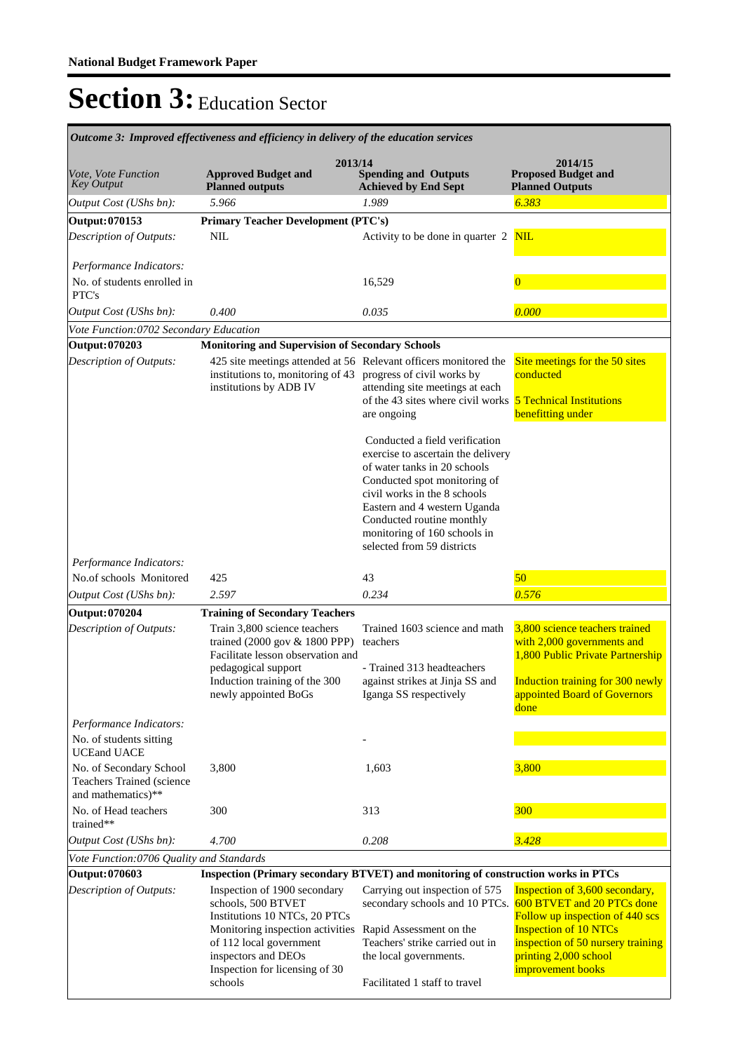|                                                                            | Outcome 3: Improved effectiveness and efficiency in delivery of the education services                                                                                                                                 |                                                                                                                                                                                                                                                                                           |                                                                                                                                                                                                                    |  |  |  |  |
|----------------------------------------------------------------------------|------------------------------------------------------------------------------------------------------------------------------------------------------------------------------------------------------------------------|-------------------------------------------------------------------------------------------------------------------------------------------------------------------------------------------------------------------------------------------------------------------------------------------|--------------------------------------------------------------------------------------------------------------------------------------------------------------------------------------------------------------------|--|--|--|--|
| Vote, Vote Function<br>Key Output                                          | 2013/14<br><b>Approved Budget and</b><br><b>Planned outputs</b>                                                                                                                                                        | <b>Spending and Outputs</b><br><b>Achieved by End Sept</b>                                                                                                                                                                                                                                | 2014/15<br><b>Proposed Budget and</b><br><b>Planned Outputs</b>                                                                                                                                                    |  |  |  |  |
| Output Cost (UShs bn):                                                     | 5.966                                                                                                                                                                                                                  | 1.989                                                                                                                                                                                                                                                                                     | 6.383                                                                                                                                                                                                              |  |  |  |  |
| Output: 070153                                                             | <b>Primary Teacher Development (PTC's)</b>                                                                                                                                                                             |                                                                                                                                                                                                                                                                                           |                                                                                                                                                                                                                    |  |  |  |  |
| Description of Outputs:                                                    | NIL                                                                                                                                                                                                                    | Activity to be done in quarter 2                                                                                                                                                                                                                                                          | <b>NIL</b>                                                                                                                                                                                                         |  |  |  |  |
| Performance Indicators:<br>No. of students enrolled in<br>PTC's            |                                                                                                                                                                                                                        | 16,529                                                                                                                                                                                                                                                                                    | $\overline{0}$                                                                                                                                                                                                     |  |  |  |  |
| Output Cost (UShs bn):                                                     | 0.400                                                                                                                                                                                                                  | 0.035                                                                                                                                                                                                                                                                                     | 0.000                                                                                                                                                                                                              |  |  |  |  |
| Vote Function:0702 Secondary Education                                     |                                                                                                                                                                                                                        |                                                                                                                                                                                                                                                                                           |                                                                                                                                                                                                                    |  |  |  |  |
| Output: 070203                                                             | <b>Monitoring and Supervision of Secondary Schools</b>                                                                                                                                                                 |                                                                                                                                                                                                                                                                                           |                                                                                                                                                                                                                    |  |  |  |  |
| Description of Outputs:                                                    | 425 site meetings attended at 56 Relevant officers monitored the<br>institutions to, monitoring of 43<br>institutions by ADB IV                                                                                        | progress of civil works by<br>attending site meetings at each<br>of the 43 sites where civil works<br>are ongoing<br>Conducted a field verification<br>exercise to ascertain the delivery<br>of water tanks in 20 schools<br>Conducted spot monitoring of<br>civil works in the 8 schools | Site meetings for the 50 sites<br>conducted<br><b>5 Technical Institutions</b><br>benefitting under                                                                                                                |  |  |  |  |
| Performance Indicators:                                                    |                                                                                                                                                                                                                        | Eastern and 4 western Uganda<br>Conducted routine monthly<br>monitoring of 160 schools in<br>selected from 59 districts                                                                                                                                                                   |                                                                                                                                                                                                                    |  |  |  |  |
| No.of schools Monitored                                                    | 425                                                                                                                                                                                                                    | 43                                                                                                                                                                                                                                                                                        | 50                                                                                                                                                                                                                 |  |  |  |  |
| Output Cost (UShs bn):                                                     | 2.597                                                                                                                                                                                                                  | 0.234                                                                                                                                                                                                                                                                                     | 0.576                                                                                                                                                                                                              |  |  |  |  |
| <b>Output: 070204</b>                                                      | <b>Training of Secondary Teachers</b>                                                                                                                                                                                  |                                                                                                                                                                                                                                                                                           |                                                                                                                                                                                                                    |  |  |  |  |
| Description of Outputs:                                                    | Train 3,800 science teachers<br>trained $(2000 \text{ gov} \& 1800 \text{ PPP})$<br>Facilitate lesson observation and<br>pedagogical support<br>Induction training of the 300<br>newly appointed BoGs                  | Trained 1603 science and math<br>teachers<br>- Trained 313 headteachers<br>against strikes at Jinja SS and<br>Iganga SS respectively                                                                                                                                                      |                                                                                                                                                                                                                    |  |  |  |  |
| Performance Indicators:                                                    |                                                                                                                                                                                                                        |                                                                                                                                                                                                                                                                                           |                                                                                                                                                                                                                    |  |  |  |  |
| No. of students sitting<br><b>UCEand UACE</b>                              |                                                                                                                                                                                                                        |                                                                                                                                                                                                                                                                                           |                                                                                                                                                                                                                    |  |  |  |  |
| No. of Secondary School<br>Teachers Trained (science<br>and mathematics)** | 3,800                                                                                                                                                                                                                  | 1,603                                                                                                                                                                                                                                                                                     | 3,800                                                                                                                                                                                                              |  |  |  |  |
| No. of Head teachers<br>trained**                                          | 300                                                                                                                                                                                                                    | 313                                                                                                                                                                                                                                                                                       | 300                                                                                                                                                                                                                |  |  |  |  |
| Output Cost (UShs bn):                                                     | 4.700                                                                                                                                                                                                                  | 0.208                                                                                                                                                                                                                                                                                     | 3.428                                                                                                                                                                                                              |  |  |  |  |
| Vote Function:0706 Quality and Standards                                   |                                                                                                                                                                                                                        |                                                                                                                                                                                                                                                                                           |                                                                                                                                                                                                                    |  |  |  |  |
| Output: 070603                                                             | Inspection (Primary secondary BTVET) and monitoring of construction works in PTCs                                                                                                                                      |                                                                                                                                                                                                                                                                                           |                                                                                                                                                                                                                    |  |  |  |  |
| Description of Outputs:                                                    | Inspection of 1900 secondary<br>schools, 500 BTVET<br>Institutions 10 NTCs, 20 PTCs<br>Monitoring inspection activities<br>of 112 local government<br>inspectors and DEOs<br>Inspection for licensing of 30<br>schools | Carrying out inspection of 575<br>secondary schools and 10 PTCs.<br>Rapid Assessment on the<br>Teachers' strike carried out in<br>the local governments.<br>Facilitated 1 staff to travel                                                                                                 | Inspection of 3,600 secondary,<br>600 BTVET and 20 PTCs done<br>Follow up inspection of 440 scs<br><b>Inspection of 10 NTCs</b><br>inspection of 50 nursery training<br>printing 2,000 school<br>improvement books |  |  |  |  |
|                                                                            |                                                                                                                                                                                                                        |                                                                                                                                                                                                                                                                                           |                                                                                                                                                                                                                    |  |  |  |  |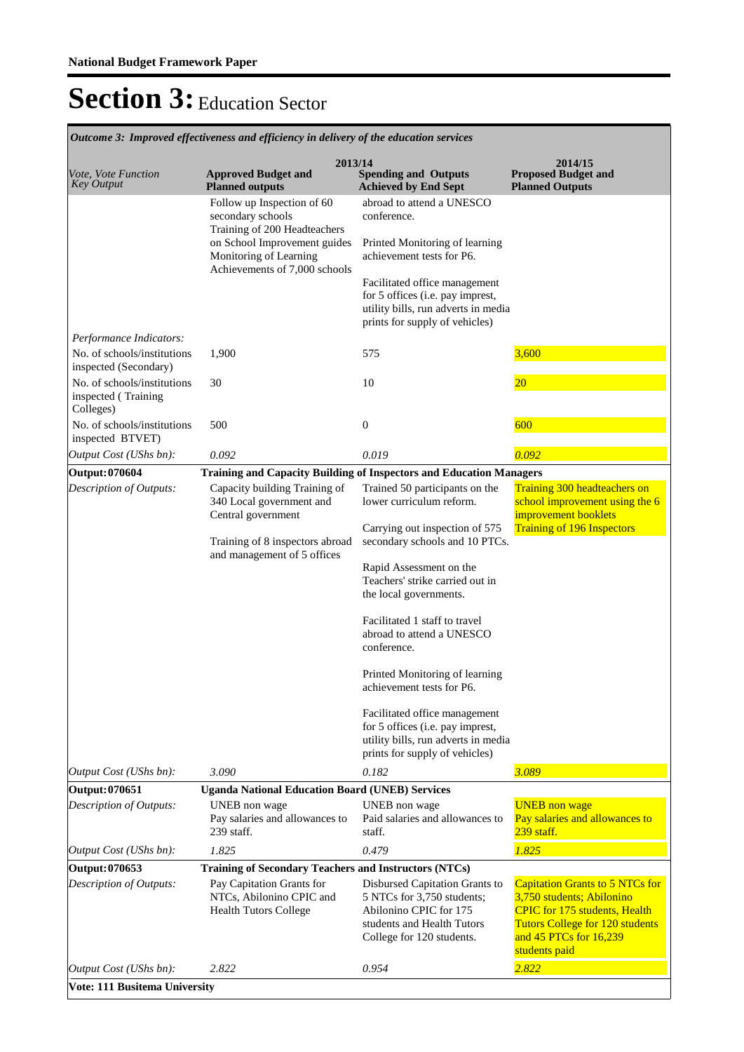|                                                                 | alcome 9. Improved effectiveness and effectively in activery of the calculation services |                                                                                                                                                   |                                                                                                                                                                                                  |
|-----------------------------------------------------------------|------------------------------------------------------------------------------------------|---------------------------------------------------------------------------------------------------------------------------------------------------|--------------------------------------------------------------------------------------------------------------------------------------------------------------------------------------------------|
| Vote, Vote Function<br><b>Key Output</b>                        | 2013/14<br><b>Approved Budget and</b><br><b>Planned outputs</b>                          | <b>Spending and Outputs</b><br><b>Achieved by End Sept</b>                                                                                        | 2014/15<br><b>Proposed Budget and</b><br><b>Planned Outputs</b>                                                                                                                                  |
|                                                                 | Follow up Inspection of 60<br>secondary schools<br>Training of 200 Headteachers          | abroad to attend a UNESCO<br>conference.                                                                                                          |                                                                                                                                                                                                  |
|                                                                 | on School Improvement guides<br>Monitoring of Learning<br>Achievements of 7,000 schools  | Printed Monitoring of learning<br>achievement tests for P6.                                                                                       |                                                                                                                                                                                                  |
|                                                                 |                                                                                          | Facilitated office management<br>for 5 offices (i.e. pay imprest,<br>utility bills, run adverts in media<br>prints for supply of vehicles)        |                                                                                                                                                                                                  |
| Performance Indicators:                                         |                                                                                          |                                                                                                                                                   |                                                                                                                                                                                                  |
| No. of schools/institutions<br>inspected (Secondary)            | 1,900                                                                                    | 575                                                                                                                                               | 3,600                                                                                                                                                                                            |
| No. of schools/institutions<br>inspected (Training<br>Colleges) | 30                                                                                       | 10                                                                                                                                                | $\overline{20}$                                                                                                                                                                                  |
| No. of schools/institutions<br>inspected BTVET)                 | 500                                                                                      | $\boldsymbol{0}$                                                                                                                                  | 600                                                                                                                                                                                              |
| Output Cost (UShs bn):                                          | 0.092                                                                                    | 0.019                                                                                                                                             | 0.092                                                                                                                                                                                            |
| Output: 070604                                                  | Training and Capacity Building of Inspectors and Education Managers                      |                                                                                                                                                   |                                                                                                                                                                                                  |
| Description of Outputs:                                         | Capacity building Training of<br>340 Local government and<br>Central government          | Trained 50 participants on the<br>lower curriculum reform.                                                                                        | Training 300 headteachers on<br>school improvement using the 6<br>improvement booklets                                                                                                           |
|                                                                 | Training of 8 inspectors abroad                                                          | Carrying out inspection of 575<br>secondary schools and 10 PTCs.                                                                                  | <b>Training of 196 Inspectors</b>                                                                                                                                                                |
|                                                                 | and management of 5 offices                                                              | Rapid Assessment on the<br>Teachers' strike carried out in<br>the local governments.                                                              |                                                                                                                                                                                                  |
|                                                                 |                                                                                          | Facilitated 1 staff to travel<br>abroad to attend a UNESCO<br>conference.                                                                         |                                                                                                                                                                                                  |
|                                                                 |                                                                                          | Printed Monitoring of learning<br>achievement tests for P6.                                                                                       |                                                                                                                                                                                                  |
|                                                                 |                                                                                          | Facilitated office management<br>for 5 offices (i.e. pay imprest,<br>utility bills, run adverts in media<br>prints for supply of vehicles)        |                                                                                                                                                                                                  |
| Output Cost (UShs bn):                                          | 3.090                                                                                    | 0.182                                                                                                                                             | 3.089                                                                                                                                                                                            |
| Output: 070651                                                  | <b>Uganda National Education Board (UNEB) Services</b>                                   |                                                                                                                                                   |                                                                                                                                                                                                  |
| Description of Outputs:                                         | UNEB non wage<br>Pay salaries and allowances to<br>239 staff.                            | UNEB non wage<br>Paid salaries and allowances to<br>staff.                                                                                        | <b>UNEB</b> non wage<br>Pay salaries and allowances to<br>239 staff.                                                                                                                             |
| Output Cost (UShs bn):                                          | 1.825                                                                                    | 0.479                                                                                                                                             | 1.825                                                                                                                                                                                            |
| Output: 070653                                                  | Training of Secondary Teachers and Instructors (NTCs)                                    |                                                                                                                                                   |                                                                                                                                                                                                  |
| Description of Outputs:                                         | Pay Capitation Grants for<br>NTCs, Abilonino CPIC and<br><b>Health Tutors College</b>    | Disbursed Capitation Grants to<br>5 NTCs for 3,750 students;<br>Abilonino CPIC for 175<br>students and Health Tutors<br>College for 120 students. | <b>Capitation Grants to 5 NTCs for</b><br>3,750 students; Abilonino<br><b>CPIC</b> for 175 students, Health<br><b>Tutors College for 120 students</b><br>and 45 PTCs for 16,239<br>students paid |
| Output Cost (UShs bn):                                          | 2.822                                                                                    | 0.954                                                                                                                                             | 2.822                                                                                                                                                                                            |
| Vote: 111 Busitema University                                   |                                                                                          |                                                                                                                                                   |                                                                                                                                                                                                  |

*Outcome 3: Improved effectiveness and efficiency in delivery of the education services*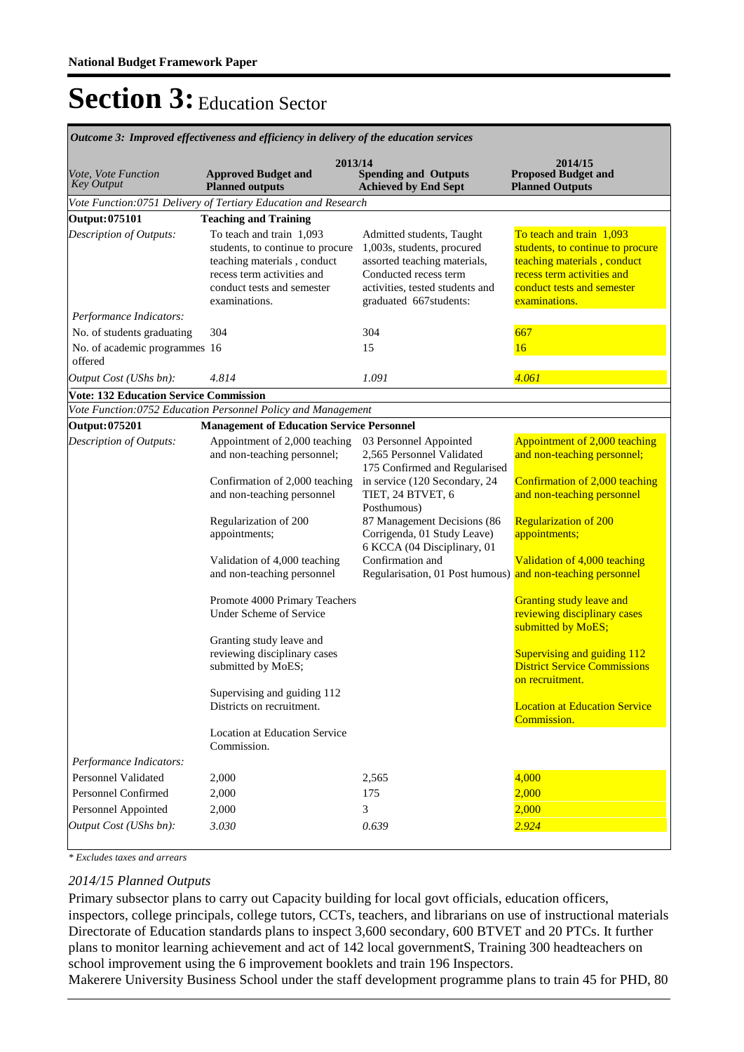| лисоте э. тирготси сујесителезз ини сујесниоу нгиститу ој ни синешноп зегтнесз |                                                                                                                                                                          |                                                                                                                                                                               |                                                                                                                                                                          |  |  |  |  |
|--------------------------------------------------------------------------------|--------------------------------------------------------------------------------------------------------------------------------------------------------------------------|-------------------------------------------------------------------------------------------------------------------------------------------------------------------------------|--------------------------------------------------------------------------------------------------------------------------------------------------------------------------|--|--|--|--|
| Vote, Vote Function<br><b>Key Output</b>                                       | 2013/14<br><b>Approved Budget and</b><br><b>Planned outputs</b>                                                                                                          | 2014/15<br><b>Proposed Budget and</b><br><b>Planned Outputs</b>                                                                                                               |                                                                                                                                                                          |  |  |  |  |
|                                                                                | Vote Function:0751 Delivery of Tertiary Education and Research                                                                                                           |                                                                                                                                                                               |                                                                                                                                                                          |  |  |  |  |
| Output: 075101                                                                 | <b>Teaching and Training</b>                                                                                                                                             |                                                                                                                                                                               |                                                                                                                                                                          |  |  |  |  |
| Description of Outputs:                                                        | To teach and train 1,093<br>students, to continue to procure<br>teaching materials, conduct<br>recess term activities and<br>conduct tests and semester<br>examinations. | Admitted students, Taught<br>1,003s, students, procured<br>assorted teaching materials,<br>Conducted recess term<br>activities, tested students and<br>graduated 667students: | To teach and train 1,093<br>students, to continue to procure<br>teaching materials, conduct<br>recess term activities and<br>conduct tests and semester<br>examinations. |  |  |  |  |
| Performance Indicators:                                                        |                                                                                                                                                                          |                                                                                                                                                                               |                                                                                                                                                                          |  |  |  |  |
| No. of students graduating                                                     | 304                                                                                                                                                                      | 304                                                                                                                                                                           | 667                                                                                                                                                                      |  |  |  |  |
| No. of academic programmes 16                                                  |                                                                                                                                                                          | 15                                                                                                                                                                            | 16                                                                                                                                                                       |  |  |  |  |
| offered                                                                        |                                                                                                                                                                          |                                                                                                                                                                               |                                                                                                                                                                          |  |  |  |  |
| Output Cost (UShs bn):                                                         | 4.814                                                                                                                                                                    | 1.091                                                                                                                                                                         | 4.061                                                                                                                                                                    |  |  |  |  |
| <b>Vote: 132 Education Service Commission</b>                                  |                                                                                                                                                                          |                                                                                                                                                                               |                                                                                                                                                                          |  |  |  |  |
|                                                                                | Vote Function:0752 Education Personnel Policy and Management                                                                                                             |                                                                                                                                                                               |                                                                                                                                                                          |  |  |  |  |
| Output: 075201                                                                 | <b>Management of Education Service Personnel</b>                                                                                                                         |                                                                                                                                                                               |                                                                                                                                                                          |  |  |  |  |
| Description of Outputs:                                                        | Appointment of 2,000 teaching<br>and non-teaching personnel;                                                                                                             | 03 Personnel Appointed<br>2,565 Personnel Validated<br>175 Confirmed and Regularised                                                                                          | Appointment of 2,000 teaching<br>and non-teaching personnel;                                                                                                             |  |  |  |  |
|                                                                                | Confirmation of 2,000 teaching<br>and non-teaching personnel                                                                                                             | in service (120 Secondary, 24<br>TIET, 24 BTVET, 6<br>Posthumous)                                                                                                             | Confirmation of 2,000 teaching<br>and non-teaching personnel                                                                                                             |  |  |  |  |
|                                                                                | Regularization of 200<br>appointments;                                                                                                                                   | 87 Management Decisions (86<br>Corrigenda, 01 Study Leave)<br>6 KCCA (04 Disciplinary, 01                                                                                     | <b>Regularization of 200</b><br>appointments;                                                                                                                            |  |  |  |  |
|                                                                                | Validation of 4,000 teaching<br>and non-teaching personnel                                                                                                               | Confirmation and<br>Regularisation, 01 Post humous) and non-teaching personnel                                                                                                | Validation of 4,000 teaching                                                                                                                                             |  |  |  |  |
|                                                                                | Promote 4000 Primary Teachers<br><b>Under Scheme of Service</b>                                                                                                          |                                                                                                                                                                               | <b>Granting study leave and</b><br>reviewing disciplinary cases<br>submitted by MoES;                                                                                    |  |  |  |  |
|                                                                                | Granting study leave and<br>reviewing disciplinary cases<br>submitted by MoES;                                                                                           |                                                                                                                                                                               | Supervising and guiding 112<br><b>District Service Commissions</b><br>on recruitment.                                                                                    |  |  |  |  |
|                                                                                | Supervising and guiding 112<br>Districts on recruitment.                                                                                                                 |                                                                                                                                                                               | <b>Location at Education Service</b><br>Commission.                                                                                                                      |  |  |  |  |
|                                                                                | Location at Education Service<br>Commission.                                                                                                                             |                                                                                                                                                                               |                                                                                                                                                                          |  |  |  |  |
| Performance Indicators:<br>Personnel Validated                                 |                                                                                                                                                                          |                                                                                                                                                                               | 4,000                                                                                                                                                                    |  |  |  |  |
| <b>Personnel Confirmed</b>                                                     | 2,000                                                                                                                                                                    | 2,565<br>175                                                                                                                                                                  | 2,000                                                                                                                                                                    |  |  |  |  |
| Personnel Appointed                                                            | 2,000                                                                                                                                                                    | 3                                                                                                                                                                             |                                                                                                                                                                          |  |  |  |  |
|                                                                                | 2,000                                                                                                                                                                    |                                                                                                                                                                               | 2,000<br>2.924                                                                                                                                                           |  |  |  |  |
| Output Cost (UShs bn):                                                         | 3.030                                                                                                                                                                    | 0.639                                                                                                                                                                         |                                                                                                                                                                          |  |  |  |  |

*Outcome 3: Improved effectiveness and efficiency in delivery of the education services*

*\* Excludes taxes and arrears*

#### *2014/15 Planned Outputs*

Primary subsector plans to carry out Capacity building for local govt officials, education officers, inspectors, college principals, college tutors, CCTs, teachers, and librarians on use of instructional materials Directorate of Education standards plans to inspect 3,600 secondary, 600 BTVET and 20 PTCs. It further plans to monitor learning achievement and act of 142 local governmentS, Training 300 headteachers on school improvement using the 6 improvement booklets and train 196 Inspectors.

Makerere University Business School under the staff development programme plans to train 45 for PHD, 80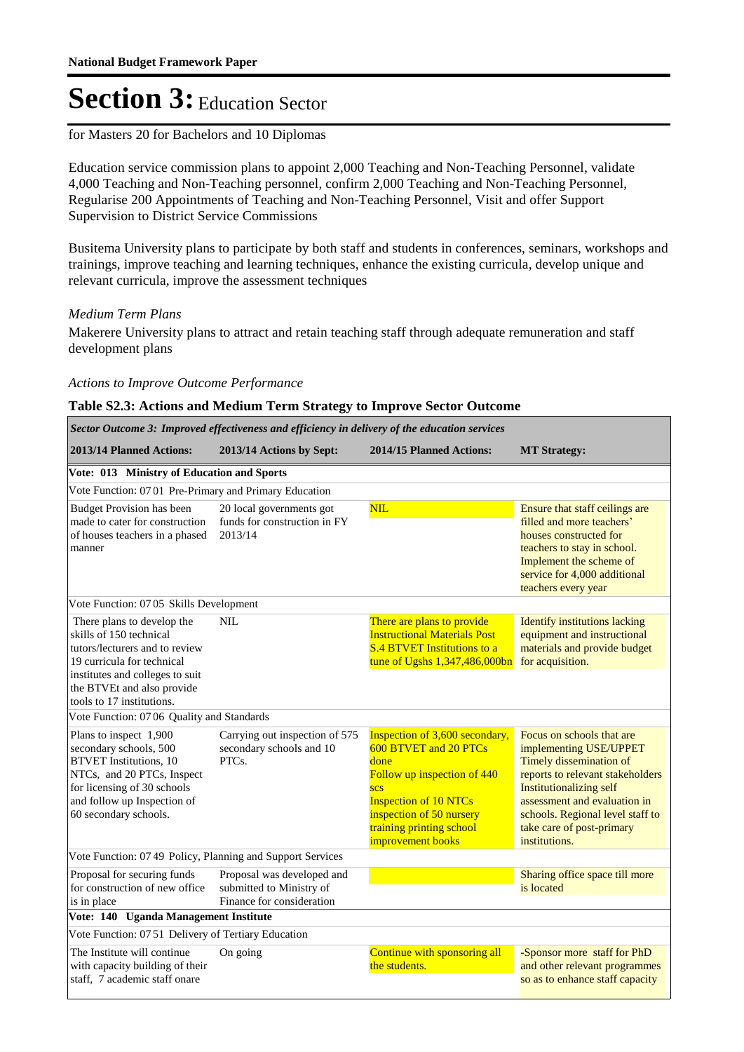#### for Masters 20 for Bachelors and 10 Diplomas

Education service commission plans to appoint 2,000 Teaching and Non-Teaching Personnel, validate 4,000 Teaching and Non-Teaching personnel, confirm 2,000 Teaching and Non-Teaching Personnel, Regularise 200 Appointments of Teaching and Non-Teaching Personnel, Visit and offer Support Supervision to District Service Commissions

Busitema University plans to participate by both staff and students in conferences, seminars, workshops and trainings, improve teaching and learning techniques, enhance the existing curricula, develop unique and relevant curricula, improve the assessment techniques

#### *Medium Term Plans*

Makerere University plans to attract and retain teaching staff through adequate remuneration and staff development plans

#### *Actions to Improve Outcome Performance*

#### **Table S2.3: Actions and Medium Term Strategy to Improve Sector Outcome**

| Sector Outcome 3: Improved effectiveness and efficiency in delivery of the education services                                                                                                          |                                                                                     |                                                                                                                                                                                                                           |                                                                                                                                                                                                                                                                        |  |  |  |  |
|--------------------------------------------------------------------------------------------------------------------------------------------------------------------------------------------------------|-------------------------------------------------------------------------------------|---------------------------------------------------------------------------------------------------------------------------------------------------------------------------------------------------------------------------|------------------------------------------------------------------------------------------------------------------------------------------------------------------------------------------------------------------------------------------------------------------------|--|--|--|--|
| 2013/14 Planned Actions:                                                                                                                                                                               | 2013/14 Actions by Sept:                                                            | 2014/15 Planned Actions:                                                                                                                                                                                                  | <b>MT Strategy:</b>                                                                                                                                                                                                                                                    |  |  |  |  |
| Vote: 013 Ministry of Education and Sports                                                                                                                                                             |                                                                                     |                                                                                                                                                                                                                           |                                                                                                                                                                                                                                                                        |  |  |  |  |
| Vote Function: 07 01 Pre-Primary and Primary Education                                                                                                                                                 |                                                                                     |                                                                                                                                                                                                                           |                                                                                                                                                                                                                                                                        |  |  |  |  |
| <b>Budget Provision has been</b><br>made to cater for construction<br>of houses teachers in a phased<br>manner                                                                                         | 20 local governments got<br>funds for construction in FY<br>2013/14                 | <b>NIL</b>                                                                                                                                                                                                                | Ensure that staff ceilings are<br>filled and more teachers'<br>houses constructed for<br>teachers to stay in school.<br>Implement the scheme of<br>service for 4,000 additional<br>teachers every year                                                                 |  |  |  |  |
| Vote Function: 07 05 Skills Development                                                                                                                                                                |                                                                                     |                                                                                                                                                                                                                           |                                                                                                                                                                                                                                                                        |  |  |  |  |
| There plans to develop the<br>skills of 150 technical<br>tutors/lecturers and to review<br>19 curricula for technical<br>institutes and colleges to suit<br>the BTVEt and also provide                 | <b>NIL</b>                                                                          | There are plans to provide<br><b>Instructional Materials Post</b><br><b>S.4 BTVET Institutions to a</b><br>tune of Ugshs 1,347,486,000bn                                                                                  | <b>Identify institutions lacking</b><br>equipment and instructional<br>materials and provide budget<br>for acquisition.                                                                                                                                                |  |  |  |  |
| tools to 17 institutions.                                                                                                                                                                              |                                                                                     |                                                                                                                                                                                                                           |                                                                                                                                                                                                                                                                        |  |  |  |  |
| Vote Function: 07 06 Quality and Standards                                                                                                                                                             |                                                                                     |                                                                                                                                                                                                                           |                                                                                                                                                                                                                                                                        |  |  |  |  |
| Plans to inspect 1,900<br>secondary schools, 500<br><b>BTVET</b> Institutions, 10<br>NTCs, and 20 PTCs, Inspect<br>for licensing of 30 schools<br>and follow up Inspection of<br>60 secondary schools. | Carrying out inspection of 575<br>secondary schools and 10<br>PTCs.                 | Inspection of 3,600 secondary,<br>600 BTVET and 20 PTCs<br>done<br>Follow up inspection of 440<br><b>SCS</b><br><b>Inspection of 10 NTCs</b><br>inspection of 50 nursery<br>training printing school<br>improvement books | Focus on schools that are<br>implementing USE/UPPET<br>Timely dissemination of<br>reports to relevant stakeholders<br><b>Institutionalizing self</b><br>assessment and evaluation in<br>schools. Regional level staff to<br>take care of post-primary<br>institutions. |  |  |  |  |
| Vote Function: 07 49 Policy, Planning and Support Services                                                                                                                                             |                                                                                     |                                                                                                                                                                                                                           |                                                                                                                                                                                                                                                                        |  |  |  |  |
| Proposal for securing funds<br>for construction of new office<br>is in place                                                                                                                           | Proposal was developed and<br>submitted to Ministry of<br>Finance for consideration |                                                                                                                                                                                                                           | Sharing office space till more<br>is located                                                                                                                                                                                                                           |  |  |  |  |
| Vote: 140 Uganda Management Institute                                                                                                                                                                  |                                                                                     |                                                                                                                                                                                                                           |                                                                                                                                                                                                                                                                        |  |  |  |  |
| Vote Function: 07 51 Delivery of Tertiary Education                                                                                                                                                    |                                                                                     |                                                                                                                                                                                                                           |                                                                                                                                                                                                                                                                        |  |  |  |  |
| The Institute will continue<br>with capacity building of their<br>staff, 7 academic staff onare                                                                                                        | On going                                                                            | Continue with sponsoring all<br>the students.                                                                                                                                                                             | -Sponsor more staff for PhD<br>and other relevant programmes<br>so as to enhance staff capacity                                                                                                                                                                        |  |  |  |  |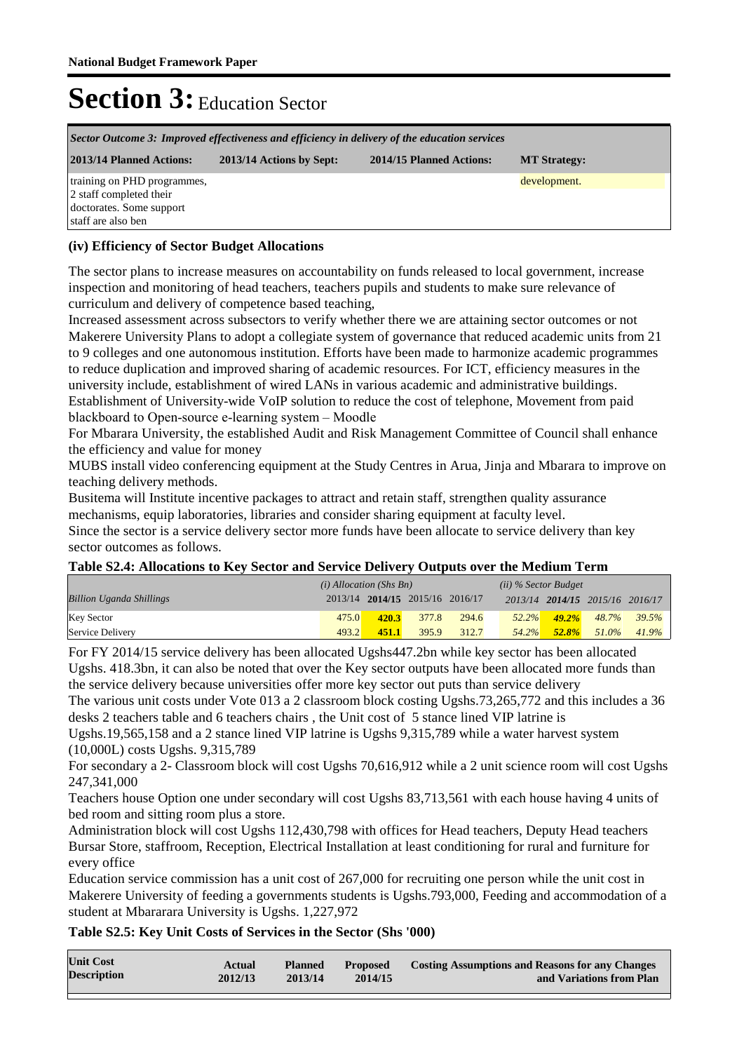| Sector Outcome 3: Improved effectiveness and efficiency in delivery of the education services            |  |  |              |  |  |  |
|----------------------------------------------------------------------------------------------------------|--|--|--------------|--|--|--|
| 2013/14 Planned Actions:<br>2013/14 Actions by Sept:<br>2014/15 Planned Actions:<br><b>MT Strategy:</b>  |  |  |              |  |  |  |
| training on PHD programmes,<br>2 staff completed their<br>doctorates. Some support<br>staff are also ben |  |  | development. |  |  |  |

### **(iv) Efficiency of Sector Budget Allocations**

The sector plans to increase measures on accountability on funds released to local government, increase inspection and monitoring of head teachers, teachers pupils and students to make sure relevance of curriculum and delivery of competence based teaching,

Increased assessment across subsectors to verify whether there we are attaining sector outcomes or not Makerere University Plans to adopt a collegiate system of governance that reduced academic units from 21 to 9 colleges and one autonomous institution. Efforts have been made to harmonize academic programmes to reduce duplication and improved sharing of academic resources. For ICT, efficiency measures in the university include, establishment of wired LANs in various academic and administrative buildings. Establishment of University-wide VoIP solution to reduce the cost of telephone, Movement from paid blackboard to Open-source e-learning system – Moodle

For Mbarara University, the established Audit and Risk Management Committee of Council shall enhance the efficiency and value for money

MUBS install video conferencing equipment at the Study Centres in Arua, Jinja and Mbarara to improve on teaching delivery methods.

Busitema will Institute incentive packages to attract and retain staff, strengthen quality assurance mechanisms, equip laboratories, libraries and consider sharing equipment at faculty level.

Since the sector is a service delivery sector more funds have been allocate to service delivery than key sector outcomes as follows.

#### **Table S2.4: Allocations to Key Sector and Service Delivery Outputs over the Medium Term**

|                                 | $(i)$ Allocation (Shs Bn) |       |                                 | $(ii)$ % Sector Budget |          |          |                                 |          |
|---------------------------------|---------------------------|-------|---------------------------------|------------------------|----------|----------|---------------------------------|----------|
| <b>Billion Uganda Shillings</b> |                           |       | 2013/14 2014/15 2015/16 2016/17 |                        |          |          | 2013/14 2014/15 2015/16 2016/17 |          |
| <b>Key Sector</b>               | 475.07                    | 420.3 | 377.8                           | 294.6                  | $52.2\%$ | $49.2\%$ | 48.7%                           | 39.5%    |
| Service Delivery                | 493.2                     | 451.1 | 395.9                           | 312.7                  | 54.2%    | $52.8\%$ | 51.0%                           | $41.9\%$ |

For FY 2014/15 service delivery has been allocated Ugshs447.2bn while key sector has been allocated Ugshs. 418.3bn, it can also be noted that over the Key sector outputs have been allocated more funds than the service delivery because universities offer more key sector out puts than service delivery

The various unit costs under Vote 013 a 2 classroom block costing Ugshs.73,265,772 and this includes a 36 desks 2 teachers table and 6 teachers chairs , the Unit cost of 5 stance lined VIP latrine is

Ugshs.19,565,158 and a 2 stance lined VIP latrine is Ugshs 9,315,789 while a water harvest system (10,000L) costs Ugshs. 9,315,789

For secondary a 2- Classroom block will cost Ugshs 70,616,912 while a 2 unit science room will cost Ugshs 247,341,000

Teachers house Option one under secondary will cost Ugshs 83,713,561 with each house having 4 units of bed room and sitting room plus a store.

Administration block will cost Ugshs 112,430,798 with offices for Head teachers, Deputy Head teachers Bursar Store, staffroom, Reception, Electrical Installation at least conditioning for rural and furniture for every office

Education service commission has a unit cost of 267,000 for recruiting one person while the unit cost in Makerere University of feeding a governments students is Ugshs.793,000, Feeding and accommodation of a student at Mbararara University is Ugshs. 1,227,972

#### **Table S2.5: Key Unit Costs of Services in the Sector (Shs '000)**

| <b>Unit Cost</b>   | Actual  | <b>Planned</b> | <b>Proposed</b> | <b>Costing Assumptions and Reasons for any Changes</b> |
|--------------------|---------|----------------|-----------------|--------------------------------------------------------|
| <b>Description</b> | 2012/13 | 2013/14        | 2014/15         | and Variations from Plan                               |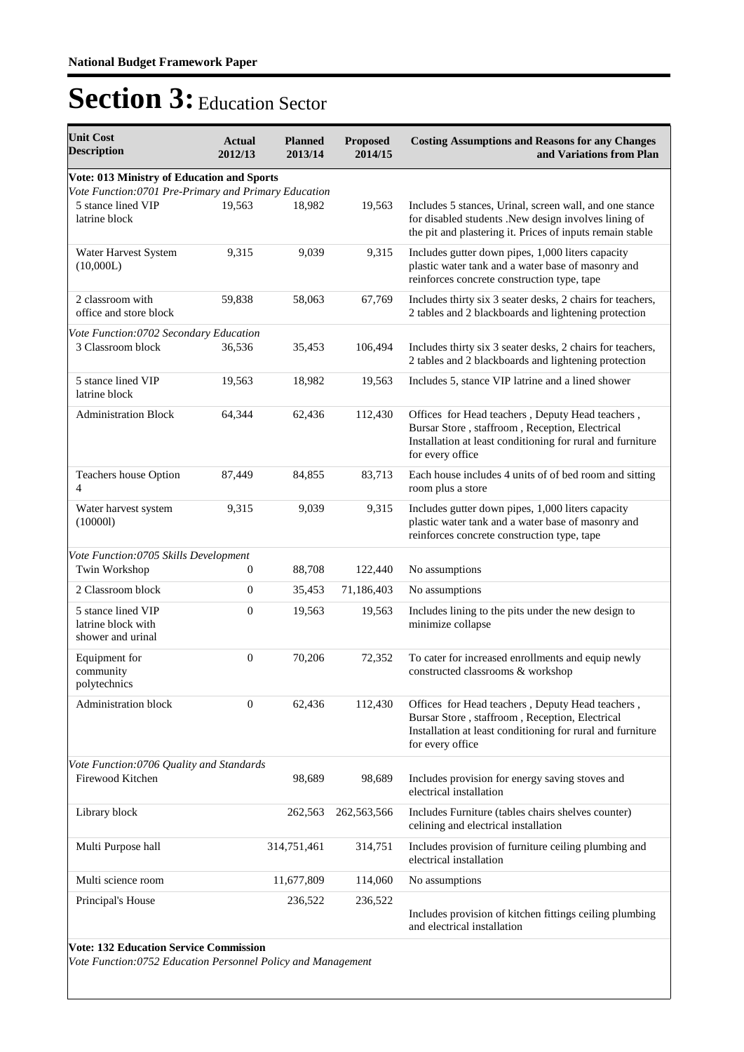| <b>Unit Cost</b><br><b>Description</b>                                                                        | <b>Actual</b><br>2012/13 | <b>Planned</b><br>2013/14 | <b>Proposed</b><br>2014/15 | <b>Costing Assumptions and Reasons for any Changes</b><br>and Variations from Plan                                                                                                   |
|---------------------------------------------------------------------------------------------------------------|--------------------------|---------------------------|----------------------------|--------------------------------------------------------------------------------------------------------------------------------------------------------------------------------------|
| Vote: 013 Ministry of Education and Sports                                                                    |                          |                           |                            |                                                                                                                                                                                      |
| Vote Function: 0701 Pre-Primary and Primary Education<br>5 stance lined VIP<br>latrine block                  | 19,563                   | 18,982                    | 19,563                     | Includes 5 stances, Urinal, screen wall, and one stance<br>for disabled students .New design involves lining of<br>the pit and plastering it. Prices of inputs remain stable         |
| Water Harvest System<br>(10,000L)                                                                             | 9,315                    | 9,039                     | 9,315                      | Includes gutter down pipes, 1,000 liters capacity<br>plastic water tank and a water base of masonry and<br>reinforces concrete construction type, tape                               |
| 2 classroom with<br>office and store block                                                                    | 59,838                   | 58,063                    | 67,769                     | Includes thirty six 3 seater desks, 2 chairs for teachers,<br>2 tables and 2 blackboards and lightening protection                                                                   |
| Vote Function: 0702 Secondary Education                                                                       |                          |                           |                            |                                                                                                                                                                                      |
| 3 Classroom block                                                                                             | 36,536                   | 35,453                    | 106,494                    | Includes thirty six 3 seater desks, 2 chairs for teachers,<br>2 tables and 2 blackboards and lightening protection                                                                   |
| 5 stance lined VIP<br>latrine block                                                                           | 19,563                   | 18,982                    | 19,563                     | Includes 5, stance VIP latrine and a lined shower                                                                                                                                    |
| <b>Administration Block</b>                                                                                   | 64,344                   | 62,436                    | 112,430                    | Offices for Head teachers, Deputy Head teachers,<br>Bursar Store, staffroom, Reception, Electrical<br>Installation at least conditioning for rural and furniture<br>for every office |
| Teachers house Option<br>4                                                                                    | 87,449                   | 84,855                    | 83,713                     | Each house includes 4 units of of bed room and sitting<br>room plus a store                                                                                                          |
| Water harvest system<br>(100001)                                                                              | 9,315                    | 9,039                     | 9,315                      | Includes gutter down pipes, 1,000 liters capacity<br>plastic water tank and a water base of masonry and<br>reinforces concrete construction type, tape                               |
| Vote Function:0705 Skills Development<br>Twin Workshop                                                        | 0                        | 88,708                    | 122,440                    | No assumptions                                                                                                                                                                       |
| 2 Classroom block                                                                                             | $\mathbf{0}$             | 35,453                    | 71,186,403                 | No assumptions                                                                                                                                                                       |
| 5 stance lined VIP<br>latrine block with<br>shower and urinal                                                 | 0                        | 19,563                    | 19,563                     | Includes lining to the pits under the new design to<br>minimize collapse                                                                                                             |
| Equipment for<br>community<br>polytechnics                                                                    | $\mathbf{0}$             | 70,206                    | 72,352                     | To cater for increased enrollments and equip newly<br>constructed classrooms & workshop                                                                                              |
| <b>Administration block</b>                                                                                   | $\theta$                 | 62,436                    | 112,430                    | Offices for Head teachers, Deputy Head teachers,<br>Bursar Store, staffroom, Reception, Electrical<br>Installation at least conditioning for rural and furniture<br>for every office |
| Vote Function:0706 Quality and Standards                                                                      |                          |                           |                            |                                                                                                                                                                                      |
| Firewood Kitchen                                                                                              |                          | 98,689                    | 98,689                     | Includes provision for energy saving stoves and<br>electrical installation                                                                                                           |
| Library block                                                                                                 |                          | 262,563                   | 262,563,566                | Includes Furniture (tables chairs shelves counter)<br>celining and electrical installation                                                                                           |
| Multi Purpose hall                                                                                            |                          | 314,751,461               | 314,751                    | Includes provision of furniture ceiling plumbing and<br>electrical installation                                                                                                      |
| Multi science room                                                                                            |                          | 11,677,809                | 114,060                    | No assumptions                                                                                                                                                                       |
| Principal's House                                                                                             |                          | 236,522                   | 236,522                    | Includes provision of kitchen fittings ceiling plumbing<br>and electrical installation                                                                                               |
| <b>Vote: 132 Education Service Commission</b><br>Vote Function:0752 Education Personnel Policy and Management |                          |                           |                            |                                                                                                                                                                                      |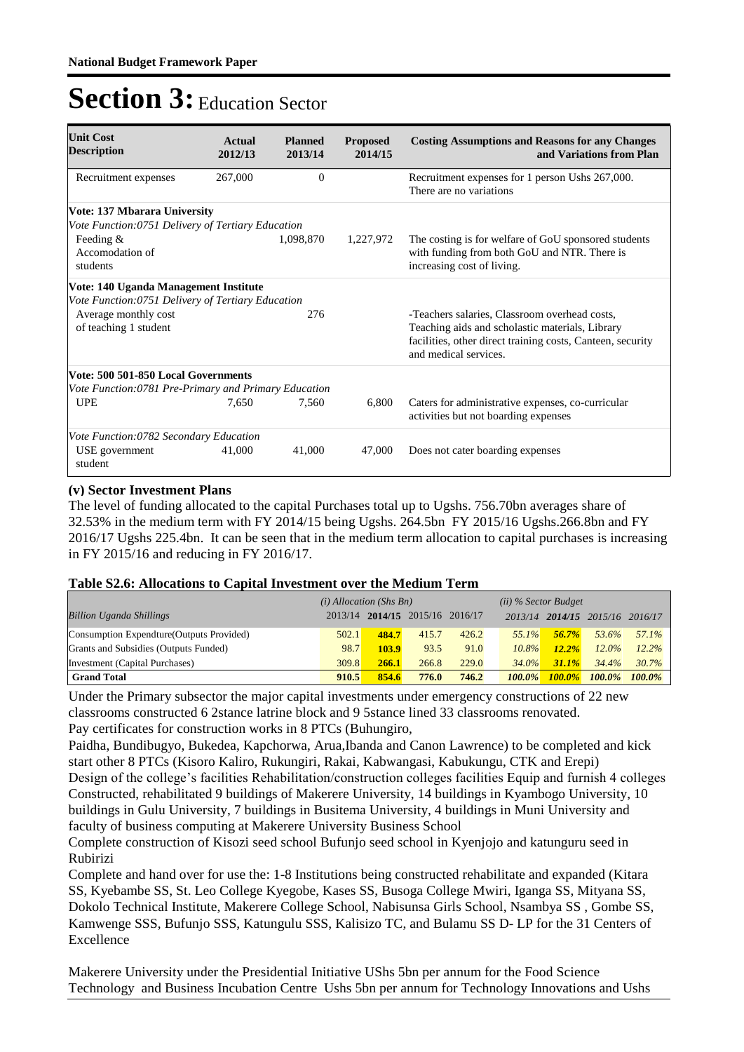| <b>Unit Cost</b><br><b>Description</b>               | Actual<br>2012/13 | <b>Planned</b><br>2013/14 | <b>Proposed</b><br>2014/15 | <b>Costing Assumptions and Reasons for any Changes</b><br>and Variations from Plan                                                                                                      |
|------------------------------------------------------|-------------------|---------------------------|----------------------------|-----------------------------------------------------------------------------------------------------------------------------------------------------------------------------------------|
| Recruitment expenses                                 | 267,000           | $\theta$                  |                            | Recruitment expenses for 1 person Ushs 267,000.<br>There are no variations                                                                                                              |
| Vote: 137 Mbarara University                         |                   |                           |                            |                                                                                                                                                                                         |
| Vote Function: 0751 Delivery of Tertiary Education   |                   |                           |                            |                                                                                                                                                                                         |
| Feeding $&$<br>Accomodation of<br>students           |                   | 1,098,870                 | 1,227,972                  | The costing is for welfare of GoU sponsored students<br>with funding from both GoU and NTR. There is<br>increasing cost of living.                                                      |
| Vote: 140 Uganda Management Institute                |                   |                           |                            |                                                                                                                                                                                         |
| Vote Function:0751 Delivery of Tertiary Education    |                   |                           |                            |                                                                                                                                                                                         |
| Average monthly cost<br>of teaching 1 student        |                   | 276                       |                            | -Teachers salaries, Classroom overhead costs,<br>Teaching aids and scholastic materials, Library<br>facilities, other direct training costs, Canteen, security<br>and medical services. |
| Vote: 500 501-850 Local Governments                  |                   |                           |                            |                                                                                                                                                                                         |
| Vote Function:0781 Pre-Primary and Primary Education |                   |                           |                            |                                                                                                                                                                                         |
| <b>UPE</b>                                           | 7,650             | 7,560                     | 6,800                      | Caters for administrative expenses, co-curricular<br>activities but not boarding expenses                                                                                               |
| Vote Function:0782 Secondary Education               |                   |                           |                            |                                                                                                                                                                                         |
| USE government<br>student                            | 41,000            | 41,000                    | 47,000                     | Does not cater boarding expenses                                                                                                                                                        |

#### **(v) Sector Investment Plans**

The level of funding allocated to the capital Purchases total up to Ugshs. 756.70bn averages share of 32.53% in the medium term with FY 2014/15 being Ugshs. 264.5bn FY 2015/16 Ugshs.266.8bn and FY 2016/17 Ugshs 225.4bn. It can be seen that in the medium term allocation to capital purchases is increasing in FY 2015/16 and reducing in FY 2016/17.

|                                           | $(i)$ Allocation (Shs Bn) |       |                         | $(ii)$ % Sector Budget |           |           |                                 |           |
|-------------------------------------------|---------------------------|-------|-------------------------|------------------------|-----------|-----------|---------------------------------|-----------|
| <b>Billion Uganda Shillings</b>           | 2013/14                   |       | 2014/15 2015/16 2016/17 |                        |           |           | 2013/14 2014/15 2015/16 2016/17 |           |
| Consumption Expendture (Outputs Provided) | 502.1                     | 484.7 | 415.7                   | 426.2                  | $55.1\%$  | 56.7%     | 53.6%                           | 57.1%     |
| Grants and Subsidies (Outputs Funded)     | 98.7                      | 103.9 | 93.5                    | 91.0                   | $10.8\%$  | $12.2\%$  | $12.0\%$                        | 12.2%     |
| Investment (Capital Purchases)            | 309.8                     | 266.1 | 266.8                   | 229.0                  | $34.0\%$  | 31.1%     | 34.4%                           | 30.7%     |
| <b>Grand Total</b>                        | 910.5                     | 854.6 | 776.0                   | 746.2                  | $100.0\%$ | $100.0\%$ | $100.0\%$                       | $100.0\%$ |

#### **Table S2.6: Allocations to Capital Investment over the Medium Term**

Under the Primary subsector the major capital investments under emergency constructions of 22 new classrooms constructed 6 2stance latrine block and 9 5stance lined 33 classrooms renovated. Pay certificates for construction works in 8 PTCs (Buhungiro,

Paidha, Bundibugyo, Bukedea, Kapchorwa, Arua,Ibanda and Canon Lawrence) to be completed and kick start other 8 PTCs (Kisoro Kaliro, Rukungiri, Rakai, Kabwangasi, Kabukungu, CTK and Erepi) Design of the college's facilities Rehabilitation/construction colleges facilities Equip and furnish 4 colleges Constructed, rehabilitated 9 buildings of Makerere University, 14 buildings in Kyambogo University, 10 buildings in Gulu University, 7 buildings in Busitema University, 4 buildings in Muni University and faculty of business computing at Makerere University Business School

Complete construction of Kisozi seed school Bufunjo seed school in Kyenjojo and katunguru seed in Rubirizi

Complete and hand over for use the: 1-8 Institutions being constructed rehabilitate and expanded (Kitara SS, Kyebambe SS, St. Leo College Kyegobe, Kases SS, Busoga College Mwiri, Iganga SS, Mityana SS, Dokolo Technical Institute, Makerere College School, Nabisunsa Girls School, Nsambya SS , Gombe SS, Kamwenge SSS, Bufunjo SSS, Katungulu SSS, Kalisizo TC, and Bulamu SS D- LP for the 31 Centers of Excellence

Makerere University under the Presidential Initiative UShs 5bn per annum for the Food Science Technology and Business Incubation Centre Ushs 5bn per annum for Technology Innovations and Ushs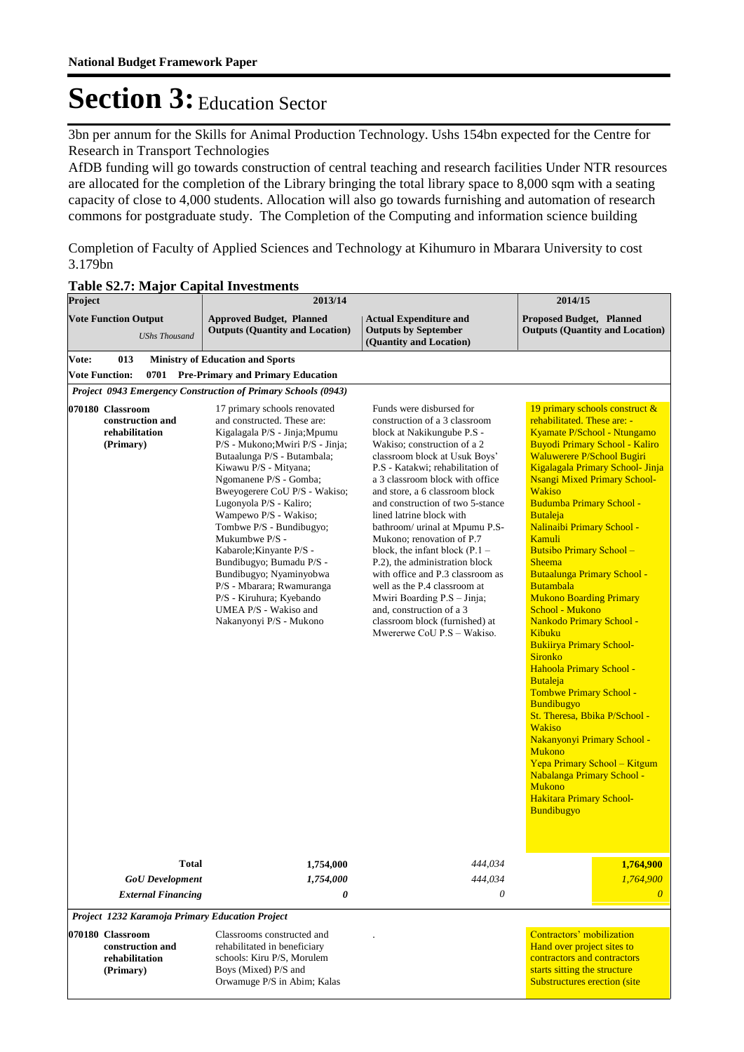3bn per annum for the Skills for Animal Production Technology. Ushs 154bn expected for the Centre for Research in Transport Technologies

AfDB funding will go towards construction of central teaching and research facilities Under NTR resources are allocated for the completion of the Library bringing the total library space to 8,000 sqm with a seating capacity of close to 4,000 students. Allocation will also go towards furnishing and automation of research commons for postgraduate study. The Completion of the Computing and information science building

Completion of Faculty of Applied Sciences and Technology at Kihumuro in Mbarara University to cost 3.179bn

| Project                                                             | 2013/14                                                                                                                                                                                                                                                                                                                                                                                                                                                                                                                                               |                                                                                                                                                                                                                                                                                                                                                                                                                                                                                                                                                                                                                                                                      | 2014/15                                                                                                                                                                                                                                                                                                                                                                                                                                                                                                                                                                                                                                                                                                                                                                                                                                                                                                                                                      |  |  |
|---------------------------------------------------------------------|-------------------------------------------------------------------------------------------------------------------------------------------------------------------------------------------------------------------------------------------------------------------------------------------------------------------------------------------------------------------------------------------------------------------------------------------------------------------------------------------------------------------------------------------------------|----------------------------------------------------------------------------------------------------------------------------------------------------------------------------------------------------------------------------------------------------------------------------------------------------------------------------------------------------------------------------------------------------------------------------------------------------------------------------------------------------------------------------------------------------------------------------------------------------------------------------------------------------------------------|--------------------------------------------------------------------------------------------------------------------------------------------------------------------------------------------------------------------------------------------------------------------------------------------------------------------------------------------------------------------------------------------------------------------------------------------------------------------------------------------------------------------------------------------------------------------------------------------------------------------------------------------------------------------------------------------------------------------------------------------------------------------------------------------------------------------------------------------------------------------------------------------------------------------------------------------------------------|--|--|
| <b>Vote Function Output</b><br><b>UShs Thousand</b>                 | <b>Approved Budget, Planned</b><br><b>Outputs (Quantity and Location)</b>                                                                                                                                                                                                                                                                                                                                                                                                                                                                             | <b>Actual Expenditure and</b><br><b>Outputs by September</b><br>(Quantity and Location)                                                                                                                                                                                                                                                                                                                                                                                                                                                                                                                                                                              | <b>Proposed Budget, Planned</b><br><b>Outputs (Quantity and Location)</b>                                                                                                                                                                                                                                                                                                                                                                                                                                                                                                                                                                                                                                                                                                                                                                                                                                                                                    |  |  |
| 013<br>Vote:                                                        | <b>Ministry of Education and Sports</b>                                                                                                                                                                                                                                                                                                                                                                                                                                                                                                               |                                                                                                                                                                                                                                                                                                                                                                                                                                                                                                                                                                                                                                                                      |                                                                                                                                                                                                                                                                                                                                                                                                                                                                                                                                                                                                                                                                                                                                                                                                                                                                                                                                                              |  |  |
| <b>Vote Function:</b>                                               | 0701 Pre-Primary and Primary Education                                                                                                                                                                                                                                                                                                                                                                                                                                                                                                                |                                                                                                                                                                                                                                                                                                                                                                                                                                                                                                                                                                                                                                                                      |                                                                                                                                                                                                                                                                                                                                                                                                                                                                                                                                                                                                                                                                                                                                                                                                                                                                                                                                                              |  |  |
|                                                                     | Project 0943 Emergency Construction of Primary Schools (0943)                                                                                                                                                                                                                                                                                                                                                                                                                                                                                         |                                                                                                                                                                                                                                                                                                                                                                                                                                                                                                                                                                                                                                                                      |                                                                                                                                                                                                                                                                                                                                                                                                                                                                                                                                                                                                                                                                                                                                                                                                                                                                                                                                                              |  |  |
| 070180 Classroom<br>construction and<br>rehabilitation<br>(Primary) | 17 primary schools renovated<br>and constructed. These are:<br>Kigalagala P/S - Jinja; Mpumu<br>P/S - Mukono; Mwiri P/S - Jinja;<br>Butaalunga P/S - Butambala;<br>Kiwawu P/S - Mityana;<br>Ngomanene P/S - Gomba;<br>Bweyogerere CoU P/S - Wakiso;<br>Lugonyola P/S - Kaliro;<br>Wampewo P/S - Wakiso;<br>Tombwe P/S - Bundibugyo;<br>Mukumbwe P/S -<br>Kabarole; Kinyante P/S -<br>Bundibugyo; Bumadu P/S -<br>Bundibugyo; Nyaminyobwa<br>P/S - Mbarara; Rwamuranga<br>P/S - Kiruhura; Kyebando<br>UMEA P/S - Wakiso and<br>Nakanyonyi P/S - Mukono | Funds were disbursed for<br>construction of a 3 classroom<br>block at Nakikungube P.S -<br>Wakiso; construction of a 2<br>classroom block at Usuk Boys'<br>P.S - Katakwi; rehabilitation of<br>a 3 classroom block with office<br>and store, a 6 classroom block<br>and construction of two 5-stance<br>lined latrine block with<br>bathroom/ urinal at Mpumu P.S-<br>Mukono; renovation of P.7<br>block, the infant block $(P.1 -$<br>P.2), the administration block<br>with office and P.3 classroom as<br>well as the P.4 classroom at<br>Mwiri Boarding P.S - Jinja;<br>and, construction of a 3<br>classroom block (furnished) at<br>Mwererwe CoU P.S - Wakiso. | 19 primary schools construct &<br>rehabilitated. These are: -<br>Kyamate P/School - Ntungamo<br><b>Buyodi Primary School - Kaliro</b><br><b>Waluwerere P/School Bugiri</b><br>Kigalagala Primary School- Jinja<br><b>Nsangi Mixed Primary School-</b><br><b>Wakiso</b><br><b>Budumba Primary School -</b><br><b>Butaleja</b><br>Nalinaibi Primary School -<br>Kamuli<br>Butsibo Primary School -<br><b>Sheema</b><br><b>Butaalunga Primary School -</b><br><b>Butambala</b><br><b>Mukono Boarding Primary</b><br>School - Mukono<br>Nankodo Primary School -<br>Kibuku<br><b>Bukiirya Primary School-</b><br><b>Sironko</b><br>Hahoola Primary School -<br><b>Butaleja</b><br>Tombwe Primary School -<br>Bundibugyo<br>St. Theresa, Bbika P/School -<br><b>Wakiso</b><br>Nakanyonyi Primary School -<br><b>Mukono</b><br>Yepa Primary School - Kitgum<br>Nabalanga Primary School -<br><b>Mukono</b><br><b>Hakitara Primary School-</b><br><b>Bundibugyo</b> |  |  |
| <b>Total</b>                                                        | 1,754,000                                                                                                                                                                                                                                                                                                                                                                                                                                                                                                                                             | 444,034                                                                                                                                                                                                                                                                                                                                                                                                                                                                                                                                                                                                                                                              | 1,764,900                                                                                                                                                                                                                                                                                                                                                                                                                                                                                                                                                                                                                                                                                                                                                                                                                                                                                                                                                    |  |  |
| <b>GoU</b> Development                                              | 1,754,000                                                                                                                                                                                                                                                                                                                                                                                                                                                                                                                                             | 444,034                                                                                                                                                                                                                                                                                                                                                                                                                                                                                                                                                                                                                                                              | 1,764,900                                                                                                                                                                                                                                                                                                                                                                                                                                                                                                                                                                                                                                                                                                                                                                                                                                                                                                                                                    |  |  |
| <b>External Financing</b>                                           | 0                                                                                                                                                                                                                                                                                                                                                                                                                                                                                                                                                     | 0                                                                                                                                                                                                                                                                                                                                                                                                                                                                                                                                                                                                                                                                    | 0                                                                                                                                                                                                                                                                                                                                                                                                                                                                                                                                                                                                                                                                                                                                                                                                                                                                                                                                                            |  |  |
| Project 1232 Karamoja Primary Education Project                     |                                                                                                                                                                                                                                                                                                                                                                                                                                                                                                                                                       |                                                                                                                                                                                                                                                                                                                                                                                                                                                                                                                                                                                                                                                                      |                                                                                                                                                                                                                                                                                                                                                                                                                                                                                                                                                                                                                                                                                                                                                                                                                                                                                                                                                              |  |  |
| 070180 Classroom<br>construction and<br>rehabilitation<br>(Primary) | Classrooms constructed and<br>rehabilitated in beneficiary<br>schools: Kiru P/S, Morulem<br>Boys (Mixed) P/S and                                                                                                                                                                                                                                                                                                                                                                                                                                      |                                                                                                                                                                                                                                                                                                                                                                                                                                                                                                                                                                                                                                                                      | Contractors' mobilization<br>Hand over project sites to<br>contractors and contractors<br>starts sitting the structure                                                                                                                                                                                                                                                                                                                                                                                                                                                                                                                                                                                                                                                                                                                                                                                                                                       |  |  |

Substructures erection (site

Orwamuge P/S in Abim; Kalas

#### **Table S2.7: Major Capital Investments**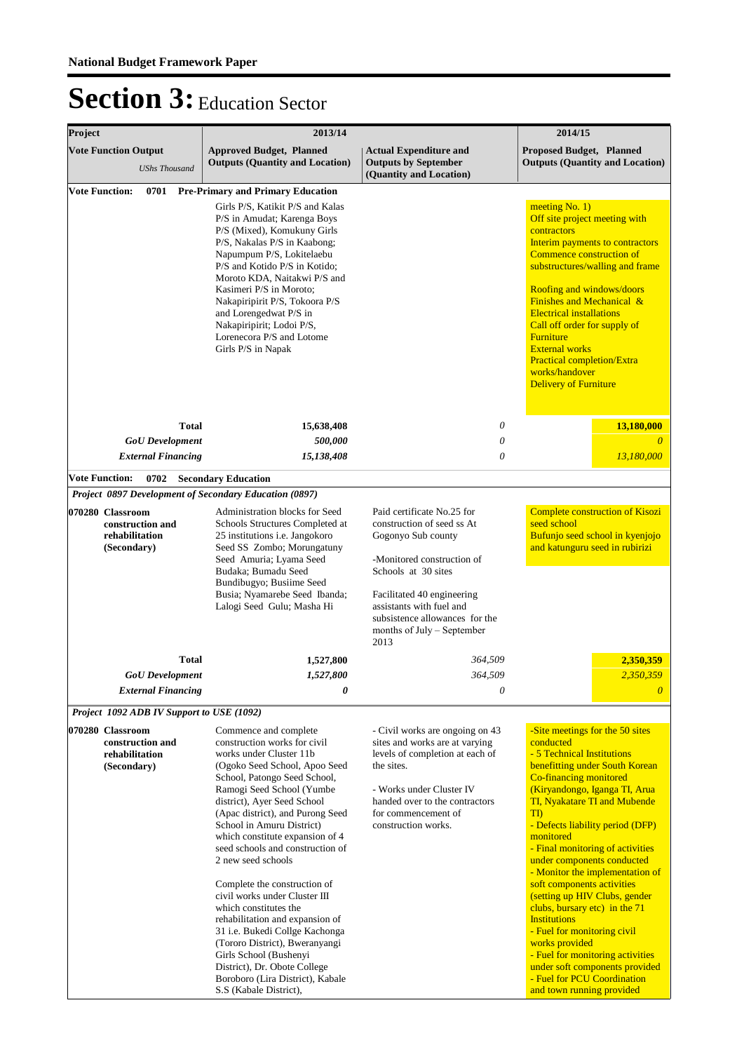| Project<br>2013/14                                |                                                                                                                                                                                                                                                                                                                                     |                                                                                                                                                                                                                                                                                                                                                                                                                                                                                                                                                                                                                                                                                                      | 2014/15                                                                                                                                                                                                                                                               |                                                                                                                                                                                                                                                                                                                                                                                                                                                                                                                                                                                                                                                                                        |  |  |
|---------------------------------------------------|-------------------------------------------------------------------------------------------------------------------------------------------------------------------------------------------------------------------------------------------------------------------------------------------------------------------------------------|------------------------------------------------------------------------------------------------------------------------------------------------------------------------------------------------------------------------------------------------------------------------------------------------------------------------------------------------------------------------------------------------------------------------------------------------------------------------------------------------------------------------------------------------------------------------------------------------------------------------------------------------------------------------------------------------------|-----------------------------------------------------------------------------------------------------------------------------------------------------------------------------------------------------------------------------------------------------------------------|----------------------------------------------------------------------------------------------------------------------------------------------------------------------------------------------------------------------------------------------------------------------------------------------------------------------------------------------------------------------------------------------------------------------------------------------------------------------------------------------------------------------------------------------------------------------------------------------------------------------------------------------------------------------------------------|--|--|
| <b>Vote Function Output</b>                       | <b>UShs Thousand</b>                                                                                                                                                                                                                                                                                                                | <b>Approved Budget, Planned</b><br><b>Outputs (Quantity and Location)</b>                                                                                                                                                                                                                                                                                                                                                                                                                                                                                                                                                                                                                            | <b>Actual Expenditure and</b><br><b>Outputs by September</b><br>(Quantity and Location)                                                                                                                                                                               | <b>Proposed Budget, Planned</b><br><b>Outputs (Quantity and Location)</b>                                                                                                                                                                                                                                                                                                                                                                                                                                                                                                                                                                                                              |  |  |
| <b>Vote Function:</b>                             | 0701                                                                                                                                                                                                                                                                                                                                | <b>Pre-Primary and Primary Education</b><br>Girls P/S, Katikit P/S and Kalas<br>P/S in Amudat; Karenga Boys<br>P/S (Mixed), Komukuny Girls<br>P/S, Nakalas P/S in Kaabong;<br>Napumpum P/S, Lokitelaebu<br>P/S and Kotido P/S in Kotido;<br>Moroto KDA, Naitakwi P/S and<br>Kasimeri P/S in Moroto;<br>Nakapiripirit P/S, Tokoora P/S<br>and Lorengedwat P/S in<br>Nakapiripirit; Lodoi P/S,<br>Lorenecora P/S and Lotome<br>Girls P/S in Napak                                                                                                                                                                                                                                                      |                                                                                                                                                                                                                                                                       | meeting $No. 1)$<br>Off site project meeting with<br>contractors<br>Interim payments to contractors<br>Commence construction of<br>substructures/walling and frame<br>Roofing and windows/doors<br><b>Finishes and Mechanical &amp;</b><br><b>Electrical installations</b><br>Call off order for supply of<br>Furniture<br><b>External works</b><br>Practical completion/Extra<br>works/handover<br><b>Delivery of Furniture</b>                                                                                                                                                                                                                                                       |  |  |
|                                                   | <b>Total</b><br><b>GoU</b> Development                                                                                                                                                                                                                                                                                              | 15,638,408<br>500,000                                                                                                                                                                                                                                                                                                                                                                                                                                                                                                                                                                                                                                                                                | 0<br>0                                                                                                                                                                                                                                                                | 13,180,000                                                                                                                                                                                                                                                                                                                                                                                                                                                                                                                                                                                                                                                                             |  |  |
|                                                   | <b>External Financing</b>                                                                                                                                                                                                                                                                                                           | 15,138,408                                                                                                                                                                                                                                                                                                                                                                                                                                                                                                                                                                                                                                                                                           | 0                                                                                                                                                                                                                                                                     | 13,180,000                                                                                                                                                                                                                                                                                                                                                                                                                                                                                                                                                                                                                                                                             |  |  |
| <b>Vote Function:</b>                             | 0702                                                                                                                                                                                                                                                                                                                                | <b>Secondary Education</b>                                                                                                                                                                                                                                                                                                                                                                                                                                                                                                                                                                                                                                                                           |                                                                                                                                                                                                                                                                       |                                                                                                                                                                                                                                                                                                                                                                                                                                                                                                                                                                                                                                                                                        |  |  |
|                                                   |                                                                                                                                                                                                                                                                                                                                     | Project 0897 Development of Secondary Education (0897)                                                                                                                                                                                                                                                                                                                                                                                                                                                                                                                                                                                                                                               |                                                                                                                                                                                                                                                                       |                                                                                                                                                                                                                                                                                                                                                                                                                                                                                                                                                                                                                                                                                        |  |  |
| 070280 Classroom                                  | Administration blocks for Seed<br>Schools Structures Completed at<br>construction and<br>rehabilitation<br>25 institutions i.e. Jangokoro<br>Seed SS Zombo; Morungatuny<br>(Secondary)<br>Seed Amuria; Lyama Seed<br>Budaka; Bumadu Seed<br>Bundibugyo; Busiime Seed<br>Busia; Nyamarebe Seed Ibanda;<br>Lalogi Seed Gulu; Masha Hi |                                                                                                                                                                                                                                                                                                                                                                                                                                                                                                                                                                                                                                                                                                      | Paid certificate No.25 for<br>construction of seed ss At<br>Gogonyo Sub county<br>-Monitored construction of<br>Schools at 30 sites<br>Facilitated 40 engineering<br>assistants with fuel and<br>subsistence allowances for the<br>months of July - September<br>2013 | <b>Complete construction of Kisozi</b><br>seed school<br>Bufunjo seed school in kyenjojo<br>and katunguru seed in rubirizi                                                                                                                                                                                                                                                                                                                                                                                                                                                                                                                                                             |  |  |
|                                                   | <b>Total</b>                                                                                                                                                                                                                                                                                                                        | 1,527,800                                                                                                                                                                                                                                                                                                                                                                                                                                                                                                                                                                                                                                                                                            | 364,509                                                                                                                                                                                                                                                               | 2,350,359                                                                                                                                                                                                                                                                                                                                                                                                                                                                                                                                                                                                                                                                              |  |  |
|                                                   | <b>GoU</b> Development                                                                                                                                                                                                                                                                                                              | 1,527,800                                                                                                                                                                                                                                                                                                                                                                                                                                                                                                                                                                                                                                                                                            | 364,509                                                                                                                                                                                                                                                               | 2,350,359                                                                                                                                                                                                                                                                                                                                                                                                                                                                                                                                                                                                                                                                              |  |  |
|                                                   | <b>External Financing</b>                                                                                                                                                                                                                                                                                                           | 0                                                                                                                                                                                                                                                                                                                                                                                                                                                                                                                                                                                                                                                                                                    | $\theta$                                                                                                                                                                                                                                                              | $\overline{\theta}$                                                                                                                                                                                                                                                                                                                                                                                                                                                                                                                                                                                                                                                                    |  |  |
|                                                   |                                                                                                                                                                                                                                                                                                                                     | Project 1092 ADB IV Support to USE (1092)                                                                                                                                                                                                                                                                                                                                                                                                                                                                                                                                                                                                                                                            |                                                                                                                                                                                                                                                                       |                                                                                                                                                                                                                                                                                                                                                                                                                                                                                                                                                                                                                                                                                        |  |  |
| 070280 Classroom<br>rehabilitation<br>(Secondary) | construction and                                                                                                                                                                                                                                                                                                                    | Commence and complete<br>construction works for civil<br>works under Cluster 11b<br>(Ogoko Seed School, Apoo Seed<br>School, Patongo Seed School,<br>Ramogi Seed School (Yumbe<br>district), Ayer Seed School<br>(Apac district), and Purong Seed<br>School in Amuru District)<br>which constitute expansion of 4<br>seed schools and construction of<br>2 new seed schools<br>Complete the construction of<br>civil works under Cluster III<br>which constitutes the<br>rehabilitation and expansion of<br>31 i.e. Bukedi Collge Kachonga<br>(Tororo District), Bweranyangi<br>Girls School (Bushenyi<br>District), Dr. Obote College<br>Boroboro (Lira District), Kabale<br>S.S (Kabale District), | - Civil works are ongoing on 43<br>sites and works are at varying<br>levels of completion at each of<br>the sites.<br>- Works under Cluster IV<br>handed over to the contractors<br>for commencement of<br>construction works.                                        | -Site meetings for the 50 sites<br>conducted<br>- 5 Technical Institutions<br>benefitting under South Korean<br>Co-financing monitored<br>(Kiryandongo, Iganga TI, Arua<br>TI, Nyakatare TI and Mubende<br><b>TI</b> )<br>- Defects liability period (DFP)<br>monitored<br>- Final monitoring of activities<br>under components conducted<br>- Monitor the implementation of<br>soft components activities<br>(setting up HIV Clubs, gender<br>clubs, bursary etc) in the 71<br><b>Institutions</b><br>- Fuel for monitoring civil<br>works provided<br>- Fuel for monitoring activities<br>under soft components provided<br>- Fuel for PCU Coordination<br>and town running provided |  |  |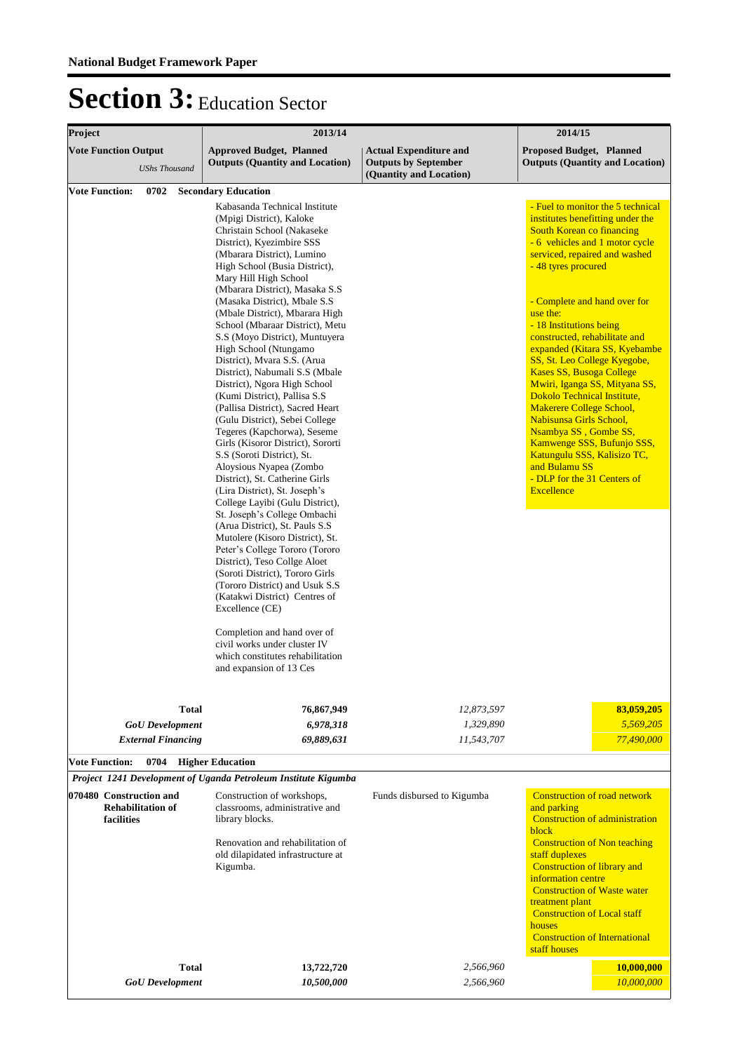| Project                                                           | 2013/14                                                                                                                                                                                                                                                                                                                                                                                                                                                                                                                                                                                                                                                                                                                                                                                                                                                                                                                                                          |                                                                                         | 2014/15                                                                                                                                                                                                                                                                                                                                                                                                                                                                                                                                                                                                                                                                                    |  |  |
|-------------------------------------------------------------------|------------------------------------------------------------------------------------------------------------------------------------------------------------------------------------------------------------------------------------------------------------------------------------------------------------------------------------------------------------------------------------------------------------------------------------------------------------------------------------------------------------------------------------------------------------------------------------------------------------------------------------------------------------------------------------------------------------------------------------------------------------------------------------------------------------------------------------------------------------------------------------------------------------------------------------------------------------------|-----------------------------------------------------------------------------------------|--------------------------------------------------------------------------------------------------------------------------------------------------------------------------------------------------------------------------------------------------------------------------------------------------------------------------------------------------------------------------------------------------------------------------------------------------------------------------------------------------------------------------------------------------------------------------------------------------------------------------------------------------------------------------------------------|--|--|
| <b>Vote Function Output</b><br><b>UShs Thousand</b>               | <b>Approved Budget, Planned</b><br><b>Outputs (Quantity and Location)</b>                                                                                                                                                                                                                                                                                                                                                                                                                                                                                                                                                                                                                                                                                                                                                                                                                                                                                        | <b>Actual Expenditure and</b><br><b>Outputs by September</b><br>(Quantity and Location) | <b>Proposed Budget, Planned</b><br><b>Outputs (Quantity and Location)</b>                                                                                                                                                                                                                                                                                                                                                                                                                                                                                                                                                                                                                  |  |  |
| <b>Vote Function:</b><br>0702                                     | <b>Secondary Education</b>                                                                                                                                                                                                                                                                                                                                                                                                                                                                                                                                                                                                                                                                                                                                                                                                                                                                                                                                       |                                                                                         |                                                                                                                                                                                                                                                                                                                                                                                                                                                                                                                                                                                                                                                                                            |  |  |
|                                                                   | Kabasanda Technical Institute<br>(Mpigi District), Kaloke<br>Christain School (Nakaseke<br>District), Kyezimbire SSS<br>(Mbarara District), Lumino<br>High School (Busia District),<br>Mary Hill High School<br>(Mbarara District), Masaka S.S<br>(Masaka District), Mbale S.S.<br>(Mbale District), Mbarara High<br>School (Mbaraar District), Metu<br>S.S (Moyo District), Muntuyera<br>High School (Ntungamo<br>District), Mvara S.S. (Arua<br>District), Nabumali S.S (Mbale<br>District), Ngora High School<br>(Kumi District), Pallisa S.S.<br>(Pallisa District), Sacred Heart<br>(Gulu District), Sebei College<br>Tegeres (Kapchorwa), Seseme<br>Girls (Kisoror District), Sororti<br>S.S (Soroti District), St.<br>Aloysious Nyapea (Zombo<br>District), St. Catherine Girls<br>(Lira District), St. Joseph's<br>College Layibi (Gulu District),<br>St. Joseph's College Ombachi<br>(Arua District), St. Pauls S.S.<br>Mutolere (Kisoro District), St. |                                                                                         | - Fuel to monitor the 5 technical<br>institutes benefitting under the<br>South Korean co financing<br>- 6 vehicles and 1 motor cycle<br>serviced, repaired and washed<br>- 48 tyres procured<br>- Complete and hand over for<br>use the:<br>- 18 Institutions being<br>constructed, rehabilitate and<br>expanded (Kitara SS, Kyebambe<br>SS, St. Leo College Kyegobe,<br>Kases SS, Busoga College<br>Mwiri, Iganga SS, Mityana SS,<br>Dokolo Technical Institute,<br><b>Makerere College School,</b><br>Nabisunsa Girls School,<br>Nsambya SS, Gombe SS,<br>Kamwenge SSS, Bufunjo SSS,<br>Katungulu SSS, Kalisizo TC,<br>and Bulamu SS<br>- DLP for the 31 Centers of<br><b>Excellence</b> |  |  |
|                                                                   | Peter's College Tororo (Tororo<br>District), Teso Collge Aloet<br>(Soroti District), Tororo Girls<br>(Tororo District) and Usuk S.S.<br>(Katakwi District) Centres of<br>Excellence (CE)<br>Completion and hand over of<br>civil works under cluster IV<br>which constitutes rehabilitation<br>and expansion of 13 Ces                                                                                                                                                                                                                                                                                                                                                                                                                                                                                                                                                                                                                                           |                                                                                         |                                                                                                                                                                                                                                                                                                                                                                                                                                                                                                                                                                                                                                                                                            |  |  |
|                                                                   |                                                                                                                                                                                                                                                                                                                                                                                                                                                                                                                                                                                                                                                                                                                                                                                                                                                                                                                                                                  |                                                                                         |                                                                                                                                                                                                                                                                                                                                                                                                                                                                                                                                                                                                                                                                                            |  |  |
| <b>Total</b>                                                      | 76,867,949                                                                                                                                                                                                                                                                                                                                                                                                                                                                                                                                                                                                                                                                                                                                                                                                                                                                                                                                                       | 12,873,597                                                                              | 83,059,205                                                                                                                                                                                                                                                                                                                                                                                                                                                                                                                                                                                                                                                                                 |  |  |
| <b>GoU</b> Development<br><b>External Financing</b>               | 6,978,318<br>69,889,631                                                                                                                                                                                                                                                                                                                                                                                                                                                                                                                                                                                                                                                                                                                                                                                                                                                                                                                                          | 1,329,890<br>11,543,707                                                                 | 5,569,205<br>77,490,000                                                                                                                                                                                                                                                                                                                                                                                                                                                                                                                                                                                                                                                                    |  |  |
| <b>Vote Function:</b>                                             |                                                                                                                                                                                                                                                                                                                                                                                                                                                                                                                                                                                                                                                                                                                                                                                                                                                                                                                                                                  |                                                                                         |                                                                                                                                                                                                                                                                                                                                                                                                                                                                                                                                                                                                                                                                                            |  |  |
| 0704                                                              | <b>Higher Education</b><br>Project 1241 Development of Uganda Petroleum Institute Kigumba                                                                                                                                                                                                                                                                                                                                                                                                                                                                                                                                                                                                                                                                                                                                                                                                                                                                        |                                                                                         |                                                                                                                                                                                                                                                                                                                                                                                                                                                                                                                                                                                                                                                                                            |  |  |
|                                                                   |                                                                                                                                                                                                                                                                                                                                                                                                                                                                                                                                                                                                                                                                                                                                                                                                                                                                                                                                                                  |                                                                                         | <b>Construction of road network</b>                                                                                                                                                                                                                                                                                                                                                                                                                                                                                                                                                                                                                                                        |  |  |
| 070480 Construction and<br><b>Rehabilitation of</b><br>facilities | Construction of workshops,<br>classrooms, administrative and<br>library blocks.                                                                                                                                                                                                                                                                                                                                                                                                                                                                                                                                                                                                                                                                                                                                                                                                                                                                                  | Funds disbursed to Kigumba                                                              | and parking<br><b>Construction of administration</b>                                                                                                                                                                                                                                                                                                                                                                                                                                                                                                                                                                                                                                       |  |  |
|                                                                   | Renovation and rehabilitation of<br>old dilapidated infrastructure at<br>Kigumba.                                                                                                                                                                                                                                                                                                                                                                                                                                                                                                                                                                                                                                                                                                                                                                                                                                                                                |                                                                                         | block<br><b>Construction of Non teaching</b><br>staff duplexes<br><b>Construction of library and</b><br>information centre<br><b>Construction of Waste water</b><br>treatment plant<br><b>Construction of Local staff</b><br>houses<br><b>Construction of International</b><br>staff houses                                                                                                                                                                                                                                                                                                                                                                                                |  |  |
| <b>Total</b>                                                      | 13,722,720                                                                                                                                                                                                                                                                                                                                                                                                                                                                                                                                                                                                                                                                                                                                                                                                                                                                                                                                                       | 2,566,960                                                                               | 10,000,000                                                                                                                                                                                                                                                                                                                                                                                                                                                                                                                                                                                                                                                                                 |  |  |
| <b>GoU</b> Development                                            | 10,500,000                                                                                                                                                                                                                                                                                                                                                                                                                                                                                                                                                                                                                                                                                                                                                                                                                                                                                                                                                       | 2,566,960                                                                               | 10,000,000                                                                                                                                                                                                                                                                                                                                                                                                                                                                                                                                                                                                                                                                                 |  |  |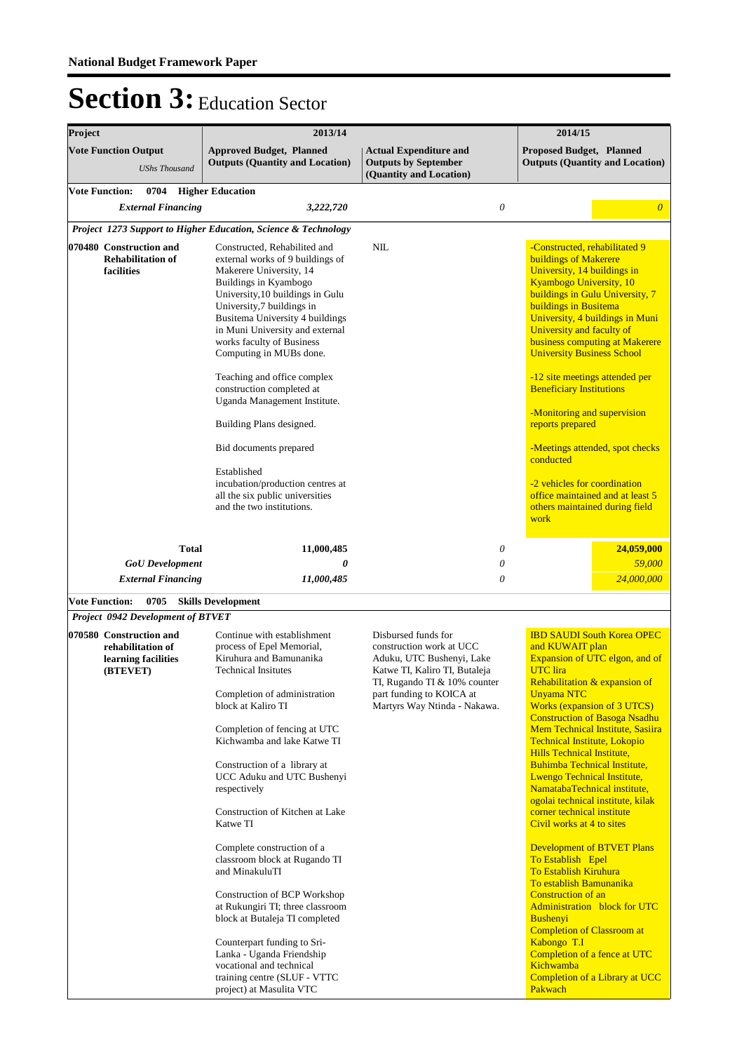| 2013/14                                                                                                                                                                                                                                                                                                                                                                                                                                                                                                                                                                                                                                                                                 |                                                                                                                                                                                                           | 2014/15                                                                                                                                                                                                                                                                                                                                                                                                                                                                                                                                                                                                                                                                                                                                                                                                                                                                                     |  |  |
|-----------------------------------------------------------------------------------------------------------------------------------------------------------------------------------------------------------------------------------------------------------------------------------------------------------------------------------------------------------------------------------------------------------------------------------------------------------------------------------------------------------------------------------------------------------------------------------------------------------------------------------------------------------------------------------------|-----------------------------------------------------------------------------------------------------------------------------------------------------------------------------------------------------------|---------------------------------------------------------------------------------------------------------------------------------------------------------------------------------------------------------------------------------------------------------------------------------------------------------------------------------------------------------------------------------------------------------------------------------------------------------------------------------------------------------------------------------------------------------------------------------------------------------------------------------------------------------------------------------------------------------------------------------------------------------------------------------------------------------------------------------------------------------------------------------------------|--|--|
| <b>Approved Budget, Planned</b><br><b>Outputs (Quantity and Location)</b>                                                                                                                                                                                                                                                                                                                                                                                                                                                                                                                                                                                                               | <b>Actual Expenditure and</b><br><b>Outputs by September</b><br>(Quantity and Location)                                                                                                                   | <b>Proposed Budget, Planned</b><br><b>Outputs (Quantity and Location)</b>                                                                                                                                                                                                                                                                                                                                                                                                                                                                                                                                                                                                                                                                                                                                                                                                                   |  |  |
| <b>Higher Education</b>                                                                                                                                                                                                                                                                                                                                                                                                                                                                                                                                                                                                                                                                 |                                                                                                                                                                                                           |                                                                                                                                                                                                                                                                                                                                                                                                                                                                                                                                                                                                                                                                                                                                                                                                                                                                                             |  |  |
| 3,222,720                                                                                                                                                                                                                                                                                                                                                                                                                                                                                                                                                                                                                                                                               | $\boldsymbol{\theta}$                                                                                                                                                                                     | $\theta$                                                                                                                                                                                                                                                                                                                                                                                                                                                                                                                                                                                                                                                                                                                                                                                                                                                                                    |  |  |
| Project 1273 Support to Higher Education, Science & Technology                                                                                                                                                                                                                                                                                                                                                                                                                                                                                                                                                                                                                          |                                                                                                                                                                                                           |                                                                                                                                                                                                                                                                                                                                                                                                                                                                                                                                                                                                                                                                                                                                                                                                                                                                                             |  |  |
| Constructed, Rehabilited and<br>external works of 9 buildings of<br>Makerere University, 14<br>Buildings in Kyambogo<br>University, 10 buildings in Gulu<br>University,7 buildings in<br>Busitema University 4 buildings<br>in Muni University and external<br>works faculty of Business<br>Computing in MUBs done.<br>Teaching and office complex<br>construction completed at<br>Uganda Management Institute.<br>Building Plans designed.<br>Bid documents prepared<br>Established<br>incubation/production centres at<br>all the six public universities<br>and the two institutions.                                                                                                | <b>NIL</b>                                                                                                                                                                                                | -Constructed, rehabilitated 9<br>buildings of Makerere<br>University, 14 buildings in<br>Kyambogo University, 10<br>buildings in Gulu University, 7<br>buildings in Busitema<br>University, 4 buildings in Muni<br>University and faculty of<br>business computing at Makerere<br><b>University Business School</b><br>-12 site meetings attended per<br><b>Beneficiary Institutions</b><br>-Monitoring and supervision<br>reports prepared<br>-Meetings attended, spot checks<br>conducted<br>-2 vehicles for coordination<br>office maintained and at least 5<br>others maintained during field<br>work                                                                                                                                                                                                                                                                                   |  |  |
| 11,000,485                                                                                                                                                                                                                                                                                                                                                                                                                                                                                                                                                                                                                                                                              | 0                                                                                                                                                                                                         | 24,059,000                                                                                                                                                                                                                                                                                                                                                                                                                                                                                                                                                                                                                                                                                                                                                                                                                                                                                  |  |  |
| 0                                                                                                                                                                                                                                                                                                                                                                                                                                                                                                                                                                                                                                                                                       | 0                                                                                                                                                                                                         | 59,000                                                                                                                                                                                                                                                                                                                                                                                                                                                                                                                                                                                                                                                                                                                                                                                                                                                                                      |  |  |
| 11,000,485                                                                                                                                                                                                                                                                                                                                                                                                                                                                                                                                                                                                                                                                              | $\theta$                                                                                                                                                                                                  | 24,000,000                                                                                                                                                                                                                                                                                                                                                                                                                                                                                                                                                                                                                                                                                                                                                                                                                                                                                  |  |  |
| <b>Skills Development</b>                                                                                                                                                                                                                                                                                                                                                                                                                                                                                                                                                                                                                                                               |                                                                                                                                                                                                           |                                                                                                                                                                                                                                                                                                                                                                                                                                                                                                                                                                                                                                                                                                                                                                                                                                                                                             |  |  |
| Project 0942 Development of BTVET<br>Continue with establishment<br>process of Epel Memorial,<br>Kiruhura and Bamunanika<br><b>Technical Insitutes</b><br>Completion of administration<br>block at Kaliro TI<br>Completion of fencing at UTC<br>Kichwamba and lake Katwe TI<br>Construction of a library at<br>UCC Aduku and UTC Bushenyi<br>respectively<br>Construction of Kitchen at Lake<br>Katwe TI<br>Complete construction of a<br>classroom block at Rugando TI<br>and MinakuluTI<br>Construction of BCP Workshop<br>at Rukungiri TI; three classroom<br>block at Butaleja TI completed<br>Counterpart funding to Sri-<br>Lanka - Uganda Friendship<br>vocational and technical | Disbursed funds for<br>construction work at UCC<br>Aduku, UTC Bushenyi, Lake<br>Katwe TI, Kaliro TI, Butaleja<br>TI, Rugando TI & 10% counter<br>part funding to KOICA at<br>Martyrs Way Ntinda - Nakawa. | <b>IBD SAUDI South Korea OPEC</b><br>and KUWAIT plan<br>Expansion of UTC elgon, and of<br><b>UTC</b> lira<br><b>Rehabilitation &amp; expansion of</b><br><b>Unyama NTC</b><br><b>Works (expansion of 3 UTCS)</b><br><b>Construction of Basoga Nsadhu</b><br><b>Mem Technical Institute, Sasiira</b><br><b>Technical Institute, Lokopio</b><br><b>Hills Technical Institute,</b><br>Buhimba Technical Institute,<br>Lwengo Technical Institute,<br>NamatabaTechnical institute,<br>ogolai technical institute, kilak<br>corner technical institute<br>Civil works at 4 to sites<br><b>Development of BTVET Plans</b><br>To Establish Epel<br><b>To Establish Kiruhura</b><br>To establish Bamunanika<br><b>Construction of an</b><br><b>Administration</b> block for UTC<br><b>Bushenyi</b><br><b>Completion of Classroom at</b><br>Kabongo T.I<br>Completion of a fence at UTC<br>Kichwamba |  |  |
|                                                                                                                                                                                                                                                                                                                                                                                                                                                                                                                                                                                                                                                                                         |                                                                                                                                                                                                           |                                                                                                                                                                                                                                                                                                                                                                                                                                                                                                                                                                                                                                                                                                                                                                                                                                                                                             |  |  |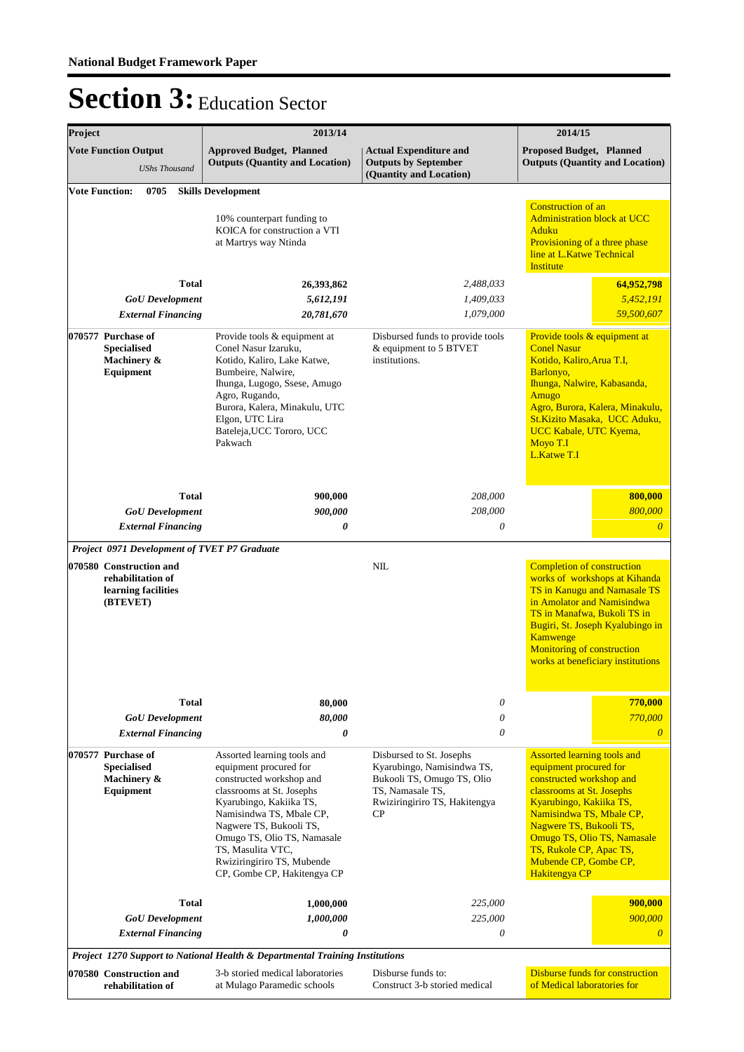| Project |                                                                                                                                                                                                                                                                                                                                                                                                                                                                        | 2013/14                                                                                                                                                                                                                                                                                                           | 2014/15                                                                                                                                                                                                                                                      |                                                                                                                                                                                                                                                                                                             |
|---------|------------------------------------------------------------------------------------------------------------------------------------------------------------------------------------------------------------------------------------------------------------------------------------------------------------------------------------------------------------------------------------------------------------------------------------------------------------------------|-------------------------------------------------------------------------------------------------------------------------------------------------------------------------------------------------------------------------------------------------------------------------------------------------------------------|--------------------------------------------------------------------------------------------------------------------------------------------------------------------------------------------------------------------------------------------------------------|-------------------------------------------------------------------------------------------------------------------------------------------------------------------------------------------------------------------------------------------------------------------------------------------------------------|
|         | <b>Vote Function Output</b><br><b>UShs Thousand</b>                                                                                                                                                                                                                                                                                                                                                                                                                    | <b>Approved Budget, Planned</b><br><b>Outputs (Quantity and Location)</b>                                                                                                                                                                                                                                         | <b>Actual Expenditure and</b><br><b>Outputs by September</b><br>(Quantity and Location)                                                                                                                                                                      | <b>Proposed Budget, Planned</b><br><b>Outputs (Quantity and Location)</b>                                                                                                                                                                                                                                   |
|         | <b>Vote Function:</b><br>0705                                                                                                                                                                                                                                                                                                                                                                                                                                          | <b>Skills Development</b>                                                                                                                                                                                                                                                                                         |                                                                                                                                                                                                                                                              |                                                                                                                                                                                                                                                                                                             |
|         |                                                                                                                                                                                                                                                                                                                                                                                                                                                                        | 10% counterpart funding to<br>KOICA for construction a VTI<br>at Martrys way Ntinda                                                                                                                                                                                                                               |                                                                                                                                                                                                                                                              | <b>Construction of an</b><br><b>Administration block at UCC</b><br>Aduku<br>Provisioning of a three phase<br>line at L.Katwe Technical<br><b>Institute</b>                                                                                                                                                  |
|         | <b>Total</b>                                                                                                                                                                                                                                                                                                                                                                                                                                                           | 26,393,862                                                                                                                                                                                                                                                                                                        | 2,488,033                                                                                                                                                                                                                                                    | 64,952,798                                                                                                                                                                                                                                                                                                  |
|         | <b>GoU</b> Development                                                                                                                                                                                                                                                                                                                                                                                                                                                 | 5,612,191                                                                                                                                                                                                                                                                                                         | 1,409,033                                                                                                                                                                                                                                                    | 5,452,191                                                                                                                                                                                                                                                                                                   |
|         | 1,079,000<br><b>External Financing</b><br>20,781,670<br>070577 Purchase of<br>Provide tools & equipment at<br>Disbursed funds to provide tools<br>Conel Nasur Izaruku,<br>& equipment to 5 BTVET<br><b>Specialised</b><br>Kotido, Kaliro, Lake Katwe,<br>Machinery &<br>institutions.<br>Equipment<br>Bumbeire, Nalwire,<br>Ihunga, Lugogo, Ssese, Amugo<br>Agro, Rugando,<br>Burora, Kalera, Minakulu, UTC<br>Elgon, UTC Lira<br>Bateleja, UCC Tororo, UCC<br>Pakwach |                                                                                                                                                                                                                                                                                                                   |                                                                                                                                                                                                                                                              | 59,500,607                                                                                                                                                                                                                                                                                                  |
|         |                                                                                                                                                                                                                                                                                                                                                                                                                                                                        |                                                                                                                                                                                                                                                                                                                   | Provide tools & equipment at<br><b>Conel Nasur</b><br>Kotido, Kaliro, Arua T.I,<br>Barlonyo,<br>Ihunga, Nalwire, Kabasanda,<br>Amugo<br>Agro, Burora, Kalera, Minakulu,<br>St.Kizito Masaka, UCC Aduku,<br>UCC Kabale, UTC Kyema,<br>Moyo T.I<br>L.Katwe T.I |                                                                                                                                                                                                                                                                                                             |
|         | <b>Total</b>                                                                                                                                                                                                                                                                                                                                                                                                                                                           | 900,000                                                                                                                                                                                                                                                                                                           | 208,000                                                                                                                                                                                                                                                      | 800,000                                                                                                                                                                                                                                                                                                     |
|         | <b>GoU</b> Development                                                                                                                                                                                                                                                                                                                                                                                                                                                 | 900,000                                                                                                                                                                                                                                                                                                           | 208,000                                                                                                                                                                                                                                                      | 800,000                                                                                                                                                                                                                                                                                                     |
|         | <b>External Financing</b>                                                                                                                                                                                                                                                                                                                                                                                                                                              | 0                                                                                                                                                                                                                                                                                                                 | $\theta$                                                                                                                                                                                                                                                     | $\boldsymbol{\theta}$                                                                                                                                                                                                                                                                                       |
|         | Project 0971 Development of TVET P7 Graduate                                                                                                                                                                                                                                                                                                                                                                                                                           |                                                                                                                                                                                                                                                                                                                   |                                                                                                                                                                                                                                                              |                                                                                                                                                                                                                                                                                                             |
|         | 070580 Construction and<br>rehabilitation of<br>learning facilities<br>(BTEVET)                                                                                                                                                                                                                                                                                                                                                                                        |                                                                                                                                                                                                                                                                                                                   | NIL                                                                                                                                                                                                                                                          | <b>Completion of construction</b><br>works of workshops at Kihanda<br>TS in Kanugu and Namasale TS<br>in Amolator and Namisindwa<br>TS in Manafwa, Bukoli TS in<br>Bugiri, St. Joseph Kyalubingo in<br>Kamwenge<br>Monitoring of construction<br>works at beneficiary institutions                          |
|         | Total                                                                                                                                                                                                                                                                                                                                                                                                                                                                  | 80.000                                                                                                                                                                                                                                                                                                            | $\theta$                                                                                                                                                                                                                                                     | 770,000                                                                                                                                                                                                                                                                                                     |
|         | <b>GoU</b> Development                                                                                                                                                                                                                                                                                                                                                                                                                                                 | 80,000                                                                                                                                                                                                                                                                                                            | 0                                                                                                                                                                                                                                                            | 770,000                                                                                                                                                                                                                                                                                                     |
|         | <b>External Financing</b>                                                                                                                                                                                                                                                                                                                                                                                                                                              | 0                                                                                                                                                                                                                                                                                                                 | 0                                                                                                                                                                                                                                                            | $\theta$                                                                                                                                                                                                                                                                                                    |
|         | 070577 Purchase of<br><b>Specialised</b><br>Machinery &<br>Equipment                                                                                                                                                                                                                                                                                                                                                                                                   | Assorted learning tools and<br>equipment procured for<br>constructed workshop and<br>classrooms at St. Josephs<br>Kyarubingo, Kakiika TS,<br>Namisindwa TS, Mbale CP,<br>Nagwere TS, Bukooli TS,<br>Omugo TS, Olio TS, Namasale<br>TS, Masulita VTC,<br>Rwiziringiriro TS, Mubende<br>CP, Gombe CP, Hakitengya CP | Disbursed to St. Josephs<br>Kyarubingo, Namisindwa TS,<br>Bukooli TS, Omugo TS, Olio<br>TS, Namasale TS,<br>Rwiziringiriro TS, Hakitengya<br>CP                                                                                                              | <b>Assorted learning tools and</b><br>equipment procured for<br>constructed workshop and<br>classrooms at St. Josephs<br>Kyarubingo, Kakiika TS,<br>Namisindwa TS, Mbale CP,<br>Nagwere TS, Bukooli TS,<br>Omugo TS, Olio TS, Namasale<br>TS, Rukole CP, Apac TS,<br>Mubende CP, Gombe CP,<br>Hakitengya CP |
|         | <b>Total</b>                                                                                                                                                                                                                                                                                                                                                                                                                                                           | 1,000,000                                                                                                                                                                                                                                                                                                         | 225,000                                                                                                                                                                                                                                                      | 900,000                                                                                                                                                                                                                                                                                                     |
|         | <b>GoU</b> Development                                                                                                                                                                                                                                                                                                                                                                                                                                                 | 1,000,000                                                                                                                                                                                                                                                                                                         | 225,000                                                                                                                                                                                                                                                      | 900,000                                                                                                                                                                                                                                                                                                     |
|         | <b>External Financing</b>                                                                                                                                                                                                                                                                                                                                                                                                                                              | 0                                                                                                                                                                                                                                                                                                                 | 0                                                                                                                                                                                                                                                            | $\theta$                                                                                                                                                                                                                                                                                                    |
|         |                                                                                                                                                                                                                                                                                                                                                                                                                                                                        | Project 1270 Support to National Health & Departmental Training Institutions                                                                                                                                                                                                                                      |                                                                                                                                                                                                                                                              |                                                                                                                                                                                                                                                                                                             |
|         | 070580 Construction and<br>rehabilitation of                                                                                                                                                                                                                                                                                                                                                                                                                           | 3-b storied medical laboratories<br>at Mulago Paramedic schools                                                                                                                                                                                                                                                   | Disburse funds to:<br>Construct 3-b storied medical                                                                                                                                                                                                          | <b>Disburse funds for construction</b><br>of Medical laboratories for                                                                                                                                                                                                                                       |
|         |                                                                                                                                                                                                                                                                                                                                                                                                                                                                        |                                                                                                                                                                                                                                                                                                                   |                                                                                                                                                                                                                                                              |                                                                                                                                                                                                                                                                                                             |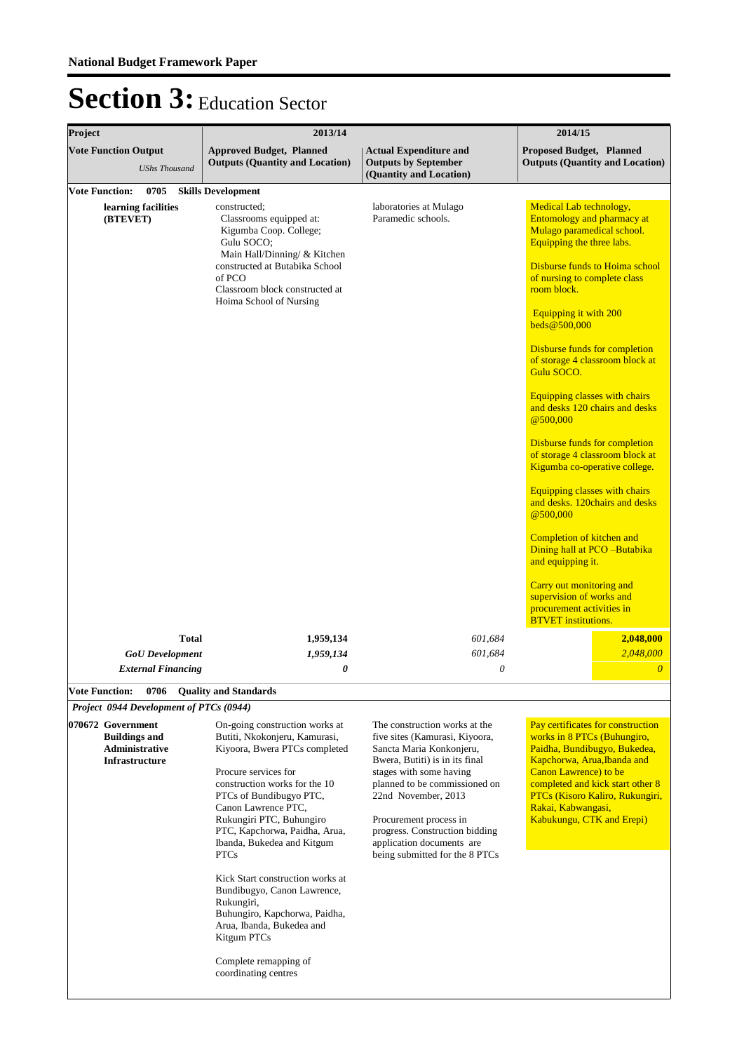| Project                                                         | 2013/14                                                                                                                                     | 2014/15                                                                                      |                                                                                                                         |  |
|-----------------------------------------------------------------|---------------------------------------------------------------------------------------------------------------------------------------------|----------------------------------------------------------------------------------------------|-------------------------------------------------------------------------------------------------------------------------|--|
| <b>Vote Function Output</b><br><b>UShs Thousand</b>             | <b>Approved Budget, Planned</b><br><b>Outputs (Quantity and Location)</b>                                                                   | <b>Actual Expenditure and</b><br><b>Outputs by September</b><br>(Quantity and Location)      | <b>Proposed Budget, Planned</b><br><b>Outputs (Quantity and Location)</b>                                               |  |
| <b>Vote Function:</b><br>0705                                   | <b>Skills Development</b>                                                                                                                   |                                                                                              |                                                                                                                         |  |
| learning facilities<br>(BTEVET)                                 | constructed:<br>Classrooms equipped at:<br>Kigumba Coop. College;<br>Gulu SOCO;<br>Main Hall/Dinning/ & Kitchen                             | laboratories at Mulago<br>Paramedic schools.                                                 | Medical Lab technology,<br><b>Entomology and pharmacy at</b><br>Mulago paramedical school.<br>Equipping the three labs. |  |
|                                                                 | constructed at Butabika School<br>of PCO<br>Classroom block constructed at<br>Hoima School of Nursing                                       |                                                                                              | Disburse funds to Hoima school<br>of nursing to complete class<br>room block.                                           |  |
|                                                                 |                                                                                                                                             |                                                                                              | Equipping it with 200<br>beds@500,000                                                                                   |  |
|                                                                 |                                                                                                                                             |                                                                                              | Disburse funds for completion<br>of storage 4 classroom block at<br>Gulu SOCO.                                          |  |
|                                                                 |                                                                                                                                             |                                                                                              | Equipping classes with chairs<br>and desks 120 chairs and desks<br>@500,000                                             |  |
|                                                                 |                                                                                                                                             |                                                                                              | Disburse funds for completion<br>of storage 4 classroom block at<br>Kigumba co-operative college.                       |  |
|                                                                 |                                                                                                                                             |                                                                                              | Equipping classes with chairs<br>and desks. 120chairs and desks<br>@500,000                                             |  |
|                                                                 |                                                                                                                                             |                                                                                              | Completion of kitchen and<br>Dining hall at PCO -Butabika<br>and equipping it.                                          |  |
|                                                                 |                                                                                                                                             |                                                                                              | Carry out monitoring and<br>supervision of works and<br>procurement activities in<br><b>BTVET</b> institutions.         |  |
| <b>Total</b>                                                    | 1,959,134                                                                                                                                   | 601,684                                                                                      | 2,048,000                                                                                                               |  |
| <b>GoU</b> Development                                          | 1,959,134                                                                                                                                   | 601,684                                                                                      | 2,048,000                                                                                                               |  |
| <b>External Financing</b>                                       | 0                                                                                                                                           | 0                                                                                            | $\boldsymbol{\theta}$                                                                                                   |  |
| <b>Vote Function:</b><br>0706                                   | <b>Quality and Standards</b>                                                                                                                |                                                                                              |                                                                                                                         |  |
| Project 0944 Development of PTCs (0944)                         |                                                                                                                                             |                                                                                              |                                                                                                                         |  |
| 070672 Government                                               | On-going construction works at                                                                                                              | The construction works at the                                                                | Pay certificates for construction                                                                                       |  |
| <b>Buildings and</b><br>Administrative<br><b>Infrastructure</b> | Butiti, Nkokonjeru, Kamurasi,<br>Kiyoora, Bwera PTCs completed                                                                              | five sites (Kamurasi, Kiyoora,<br>Sancta Maria Konkonjeru,<br>Bwera, Butiti) is in its final | works in 8 PTCs (Buhungiro,<br>Paidha, Bundibugyo, Bukedea,<br>Kapchorwa, Arua, Ibanda and                              |  |
|                                                                 | Procure services for<br>construction works for the 10<br>PTCs of Bundibugyo PTC,                                                            | stages with some having<br>planned to be commissioned on<br>22nd November, 2013              | <b>Canon Lawrence</b> ) to be<br>completed and kick start other 8<br>PTCs (Kisoro Kaliro, Rukungiri,                    |  |
|                                                                 | Canon Lawrence PTC,<br>Rukungiri PTC, Buhungiro<br>PTC, Kapchorwa, Paidha, Arua,                                                            | Procurement process in<br>progress. Construction bidding                                     | Rakai, Kabwangasi,<br>Kabukungu, CTK and Erepi)                                                                         |  |
|                                                                 | Ibanda, Bukedea and Kitgum<br><b>PTCs</b>                                                                                                   | application documents are<br>being submitted for the 8 PTCs                                  |                                                                                                                         |  |
|                                                                 | Kick Start construction works at<br>Bundibugyo, Canon Lawrence,<br>Rukungiri,<br>Buhungiro, Kapchorwa, Paidha,<br>Arua, Ibanda, Bukedea and |                                                                                              |                                                                                                                         |  |
|                                                                 | Kitgum PTCs                                                                                                                                 |                                                                                              |                                                                                                                         |  |
|                                                                 | Complete remapping of<br>coordinating centres                                                                                               |                                                                                              |                                                                                                                         |  |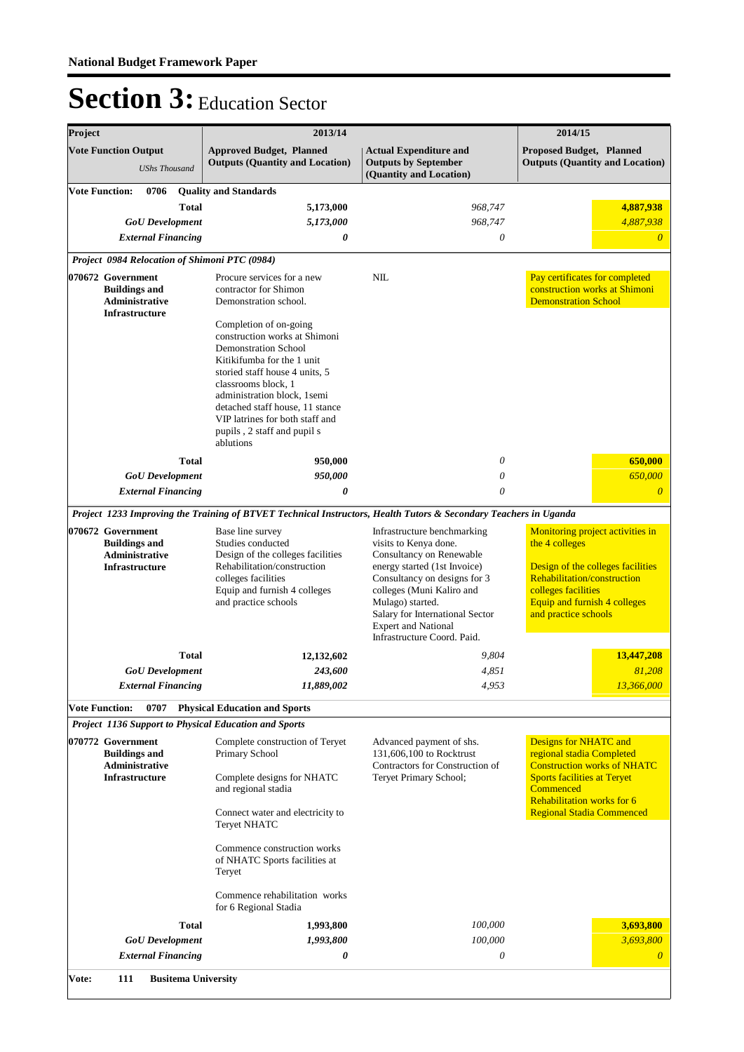| Project                                                                              |                                                                                             |              | 2013/14                                                                                                                                                                                                                                                                                                                                   |                                                                                                                                                                                                                                                                                                   | 2014/15                                                                                                                                                                                               |  |
|--------------------------------------------------------------------------------------|---------------------------------------------------------------------------------------------|--------------|-------------------------------------------------------------------------------------------------------------------------------------------------------------------------------------------------------------------------------------------------------------------------------------------------------------------------------------------|---------------------------------------------------------------------------------------------------------------------------------------------------------------------------------------------------------------------------------------------------------------------------------------------------|-------------------------------------------------------------------------------------------------------------------------------------------------------------------------------------------------------|--|
|                                                                                      | <b>Vote Function Output</b><br><b>UShs Thousand</b>                                         |              | <b>Approved Budget, Planned</b><br><b>Outputs (Quantity and Location)</b>                                                                                                                                                                                                                                                                 | <b>Actual Expenditure and</b><br><b>Outputs by September</b><br>(Quantity and Location)                                                                                                                                                                                                           | <b>Proposed Budget, Planned</b><br><b>Outputs (Quantity and Location)</b>                                                                                                                             |  |
| <b>Vote Function:</b>                                                                | 0706<br><b>GoU</b> Development<br><b>External Financing</b>                                 | Total        | <b>Quality and Standards</b><br>5,173,000<br>5,173,000<br>0                                                                                                                                                                                                                                                                               | 968,747<br>968,747<br>$\theta$                                                                                                                                                                                                                                                                    | 4,887,938<br>4,887,938<br>$\theta$                                                                                                                                                                    |  |
|                                                                                      |                                                                                             |              | Project 0984 Relocation of Shimoni PTC (0984)                                                                                                                                                                                                                                                                                             |                                                                                                                                                                                                                                                                                                   |                                                                                                                                                                                                       |  |
|                                                                                      | 070672 Government<br><b>Buildings and</b><br>Administrative<br>Infrastructure               |              | Procure services for a new<br>contractor for Shimon<br>Demonstration school.                                                                                                                                                                                                                                                              | NIL                                                                                                                                                                                                                                                                                               | Pay certificates for completed<br>construction works at Shimoni<br><b>Demonstration School</b>                                                                                                        |  |
|                                                                                      |                                                                                             | <b>Total</b> | Completion of on-going<br>construction works at Shimoni<br><b>Demonstration School</b><br>Kitikifumba for the 1 unit<br>storied staff house 4 units, 5<br>classrooms block, 1<br>administration block, 1semi<br>detached staff house, 11 stance<br>VIP latrines for both staff and<br>pupils, 2 staff and pupil s<br>ablutions<br>950,000 | $\theta$                                                                                                                                                                                                                                                                                          | 650,000                                                                                                                                                                                               |  |
|                                                                                      | <b>GoU</b> Development                                                                      |              | 950,000                                                                                                                                                                                                                                                                                                                                   | $\theta$                                                                                                                                                                                                                                                                                          | 650,000                                                                                                                                                                                               |  |
|                                                                                      | <b>External Financing</b>                                                                   |              | 0                                                                                                                                                                                                                                                                                                                                         | $\theta$                                                                                                                                                                                                                                                                                          | $\boldsymbol{\theta}$                                                                                                                                                                                 |  |
|                                                                                      |                                                                                             |              |                                                                                                                                                                                                                                                                                                                                           | Project 1233 Improving the Training of BTVET Technical Instructors, Health Tutors & Secondary Teachers in Uganda                                                                                                                                                                                  |                                                                                                                                                                                                       |  |
| 070672 Government<br><b>Buildings and</b><br>Administrative<br><b>Infrastructure</b> |                                                                                             |              | Base line survey<br>Studies conducted<br>Design of the colleges facilities<br>Rehabilitation/construction<br>colleges facilities<br>Equip and furnish 4 colleges<br>and practice schools                                                                                                                                                  | Infrastructure benchmarking<br>visits to Kenya done.<br>Consultancy on Renewable<br>energy started (1st Invoice)<br>Consultancy on designs for 3<br>colleges (Muni Kaliro and<br>Mulago) started.<br>Salary for International Sector<br><b>Expert and National</b><br>Infrastructure Coord. Paid. | Monitoring project activities in<br>the 4 colleges<br>Design of the colleges facilities<br>Rehabilitation/construction<br>colleges facilities<br>Equip and furnish 4 colleges<br>and practice schools |  |
|                                                                                      |                                                                                             | <b>Total</b> | 12, 132, 602                                                                                                                                                                                                                                                                                                                              | 9,804                                                                                                                                                                                                                                                                                             | 13,447,208                                                                                                                                                                                            |  |
|                                                                                      | <b>GoU</b> Development                                                                      |              | 243,600                                                                                                                                                                                                                                                                                                                                   | 4,851                                                                                                                                                                                                                                                                                             | 81,208                                                                                                                                                                                                |  |
|                                                                                      | <b>External Financing</b>                                                                   |              | 11,889,002                                                                                                                                                                                                                                                                                                                                | 4,953                                                                                                                                                                                                                                                                                             | 13,366,000                                                                                                                                                                                            |  |
| <b>Vote Function:</b>                                                                | 0707                                                                                        |              | <b>Physical Education and Sports</b>                                                                                                                                                                                                                                                                                                      |                                                                                                                                                                                                                                                                                                   |                                                                                                                                                                                                       |  |
|                                                                                      |                                                                                             |              | <b>Project 1136 Support to Physical Education and Sports</b>                                                                                                                                                                                                                                                                              |                                                                                                                                                                                                                                                                                                   |                                                                                                                                                                                                       |  |
|                                                                                      | 070772 Government<br><b>Buildings and</b><br><b>Administrative</b><br><b>Infrastructure</b> |              | Complete construction of Teryet<br>Primary School<br>Complete designs for NHATC<br>and regional stadia                                                                                                                                                                                                                                    | Advanced payment of shs.<br>131,606,100 to Rocktrust<br>Contractors for Construction of<br>Teryet Primary School;                                                                                                                                                                                 | Designs for NHATC and<br>regional stadia Completed<br><b>Construction works of NHATC</b><br><b>Sports facilities at Tervet</b><br>Commenced                                                           |  |
|                                                                                      |                                                                                             |              | Connect water and electricity to<br><b>Teryet NHATC</b>                                                                                                                                                                                                                                                                                   |                                                                                                                                                                                                                                                                                                   | Rehabilitation works for 6<br><b>Regional Stadia Commenced</b>                                                                                                                                        |  |
|                                                                                      |                                                                                             |              | Commence construction works<br>of NHATC Sports facilities at<br>Teryet                                                                                                                                                                                                                                                                    |                                                                                                                                                                                                                                                                                                   |                                                                                                                                                                                                       |  |
|                                                                                      |                                                                                             |              | Commence rehabilitation works<br>for 6 Regional Stadia                                                                                                                                                                                                                                                                                    |                                                                                                                                                                                                                                                                                                   |                                                                                                                                                                                                       |  |
|                                                                                      |                                                                                             | <b>Total</b> | 1,993,800                                                                                                                                                                                                                                                                                                                                 | 100,000                                                                                                                                                                                                                                                                                           | 3,693,800                                                                                                                                                                                             |  |
|                                                                                      | <b>GoU</b> Development                                                                      |              | 1,993,800                                                                                                                                                                                                                                                                                                                                 | 100,000                                                                                                                                                                                                                                                                                           | 3,693,800                                                                                                                                                                                             |  |
|                                                                                      | <b>External Financing</b>                                                                   |              | 0                                                                                                                                                                                                                                                                                                                                         | 0                                                                                                                                                                                                                                                                                                 | $\theta$                                                                                                                                                                                              |  |
| Vote:                                                                                | 111                                                                                         |              | <b>Busitema University</b>                                                                                                                                                                                                                                                                                                                |                                                                                                                                                                                                                                                                                                   |                                                                                                                                                                                                       |  |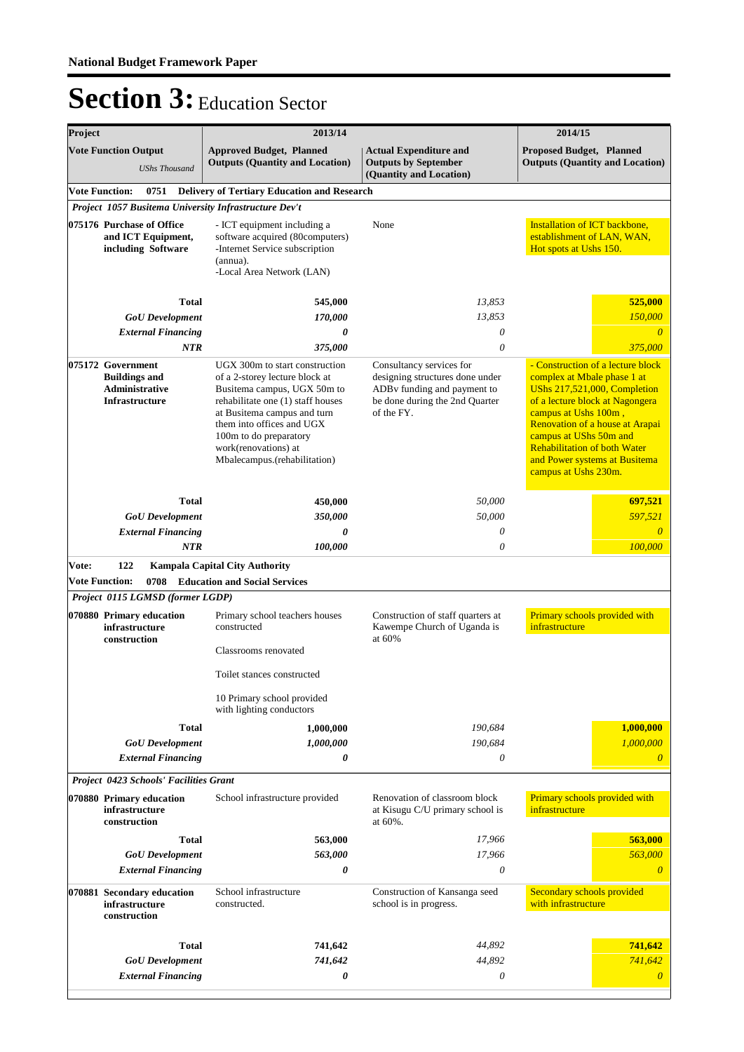| Project |                                                                                               | 2013/14                                                                                                                                                                                                                                                                            | 2014/15                                                                                                                                    |                                                                                                                                                                                                                                                                                                                                 |  |  |
|---------|-----------------------------------------------------------------------------------------------|------------------------------------------------------------------------------------------------------------------------------------------------------------------------------------------------------------------------------------------------------------------------------------|--------------------------------------------------------------------------------------------------------------------------------------------|---------------------------------------------------------------------------------------------------------------------------------------------------------------------------------------------------------------------------------------------------------------------------------------------------------------------------------|--|--|
|         | <b>Vote Function Output</b><br><b>UShs Thousand</b>                                           | <b>Approved Budget, Planned</b><br><b>Outputs (Quantity and Location)</b>                                                                                                                                                                                                          | <b>Actual Expenditure and</b><br><b>Outputs by September</b><br>(Quantity and Location)                                                    | <b>Proposed Budget, Planned</b><br><b>Outputs (Quantity and Location)</b>                                                                                                                                                                                                                                                       |  |  |
|         | <b>Vote Function:</b><br>0751                                                                 | <b>Delivery of Tertiary Education and Research</b>                                                                                                                                                                                                                                 |                                                                                                                                            |                                                                                                                                                                                                                                                                                                                                 |  |  |
|         | Project 1057 Busitema University Infrastructure Dev't                                         |                                                                                                                                                                                                                                                                                    |                                                                                                                                            |                                                                                                                                                                                                                                                                                                                                 |  |  |
|         | 075176 Purchase of Office<br>and ICT Equipment,<br>including Software                         | - ICT equipment including a<br>software acquired (80computers)<br>-Internet Service subscription<br>(annua).<br>-Local Area Network (LAN)                                                                                                                                          | None                                                                                                                                       | Installation of ICT backbone,<br>establishment of LAN, WAN,<br>Hot spots at Ushs 150.                                                                                                                                                                                                                                           |  |  |
|         | <b>Total</b>                                                                                  | 545,000                                                                                                                                                                                                                                                                            | 13,853                                                                                                                                     | 525,000                                                                                                                                                                                                                                                                                                                         |  |  |
|         | <b>GoU</b> Development                                                                        | 170,000                                                                                                                                                                                                                                                                            | 13,853                                                                                                                                     | 150,000                                                                                                                                                                                                                                                                                                                         |  |  |
|         | <b>External Financing</b>                                                                     | 0                                                                                                                                                                                                                                                                                  | 0                                                                                                                                          | $\overline{\theta}$                                                                                                                                                                                                                                                                                                             |  |  |
|         | NTR                                                                                           | 375,000                                                                                                                                                                                                                                                                            | $\theta$                                                                                                                                   | 375,000                                                                                                                                                                                                                                                                                                                         |  |  |
|         |                                                                                               |                                                                                                                                                                                                                                                                                    |                                                                                                                                            |                                                                                                                                                                                                                                                                                                                                 |  |  |
|         | 075172 Government<br><b>Buildings and</b><br><b>Administrative</b><br><b>Infrastructure</b>   | UGX 300m to start construction<br>of a 2-storey lecture block at<br>Busitema campus, UGX 50m to<br>rehabilitate one (1) staff houses<br>at Busitema campus and turn<br>them into offices and UGX<br>100m to do preparatory<br>work(renovations) at<br>Mbalecampus.(rehabilitation) | Consultancy services for<br>designing structures done under<br>ADBv funding and payment to<br>be done during the 2nd Quarter<br>of the FY. | - Construction of a lecture block<br>complex at Mbale phase 1 at<br><b>UShs 217,521,000, Completion</b><br>of a lecture block at Nagongera<br>campus at Ushs 100m,<br>Renovation of a house at Arapai<br>campus at UShs 50m and<br><b>Rehabilitation of both Water</b><br>and Power systems at Busitema<br>campus at Ushs 230m. |  |  |
|         | <b>Total</b>                                                                                  | 450,000                                                                                                                                                                                                                                                                            | 50,000                                                                                                                                     | 697,521                                                                                                                                                                                                                                                                                                                         |  |  |
|         | <b>GoU</b> Development                                                                        | 350,000                                                                                                                                                                                                                                                                            | 50,000                                                                                                                                     | 597,521                                                                                                                                                                                                                                                                                                                         |  |  |
|         | <b>External Financing</b>                                                                     | 0                                                                                                                                                                                                                                                                                  | 0                                                                                                                                          | $\overline{0}$                                                                                                                                                                                                                                                                                                                  |  |  |
|         | <b>NTR</b>                                                                                    | 100,000                                                                                                                                                                                                                                                                            | $\theta$                                                                                                                                   | 100,000                                                                                                                                                                                                                                                                                                                         |  |  |
|         | 0708<br><b>Vote Function:</b><br>Project 0115 LGMSD (former LGDP)<br>070880 Primary education | <b>Education and Social Services</b><br>Primary school teachers houses                                                                                                                                                                                                             | Construction of staff quarters at                                                                                                          | Primary schools provided with                                                                                                                                                                                                                                                                                                   |  |  |
|         | infrastructure<br>construction                                                                | constructed<br>Classrooms renovated                                                                                                                                                                                                                                                | Kawempe Church of Uganda is<br>at $60%$                                                                                                    | infrastructure                                                                                                                                                                                                                                                                                                                  |  |  |
|         |                                                                                               | Toilet stances constructed                                                                                                                                                                                                                                                         |                                                                                                                                            |                                                                                                                                                                                                                                                                                                                                 |  |  |
|         |                                                                                               | 10 Primary school provided<br>with lighting conductors                                                                                                                                                                                                                             |                                                                                                                                            |                                                                                                                                                                                                                                                                                                                                 |  |  |
|         | <b>Total</b>                                                                                  | 1,000,000                                                                                                                                                                                                                                                                          | 190,684                                                                                                                                    | 1,000,000                                                                                                                                                                                                                                                                                                                       |  |  |
|         | <b>GoU</b> Development                                                                        | 1,000,000                                                                                                                                                                                                                                                                          | 190,684                                                                                                                                    | 1,000,000                                                                                                                                                                                                                                                                                                                       |  |  |
|         | <b>External Financing</b>                                                                     | 0                                                                                                                                                                                                                                                                                  | $\theta$                                                                                                                                   | $\theta$                                                                                                                                                                                                                                                                                                                        |  |  |
|         | Project 0423 Schools' Facilities Grant                                                        |                                                                                                                                                                                                                                                                                    |                                                                                                                                            |                                                                                                                                                                                                                                                                                                                                 |  |  |
|         | 070880 Primary education<br>infrastructure<br>construction                                    | School infrastructure provided                                                                                                                                                                                                                                                     | Renovation of classroom block<br>at Kisugu C/U primary school is<br>at 60%.                                                                | Primary schools provided with<br>infrastructure                                                                                                                                                                                                                                                                                 |  |  |
|         | <b>Total</b>                                                                                  | 563,000                                                                                                                                                                                                                                                                            | 17,966                                                                                                                                     | 563,000                                                                                                                                                                                                                                                                                                                         |  |  |
|         | <b>GoU</b> Development                                                                        | 563,000                                                                                                                                                                                                                                                                            | 17,966                                                                                                                                     | 563,000                                                                                                                                                                                                                                                                                                                         |  |  |
|         | <b>External Financing</b>                                                                     | 0                                                                                                                                                                                                                                                                                  | 0                                                                                                                                          | $\theta$                                                                                                                                                                                                                                                                                                                        |  |  |
|         | 070881 Secondary education<br>infrastructure<br>construction                                  | School infrastructure<br>constructed.                                                                                                                                                                                                                                              | Construction of Kansanga seed<br>school is in progress.                                                                                    | Secondary schools provided<br>with infrastructure                                                                                                                                                                                                                                                                               |  |  |
|         |                                                                                               |                                                                                                                                                                                                                                                                                    |                                                                                                                                            |                                                                                                                                                                                                                                                                                                                                 |  |  |
|         | Total                                                                                         | 741,642                                                                                                                                                                                                                                                                            | 44,892                                                                                                                                     | 741,642                                                                                                                                                                                                                                                                                                                         |  |  |
|         | <b>GoU</b> Development                                                                        | 741,642                                                                                                                                                                                                                                                                            | 44,892                                                                                                                                     | 741,642                                                                                                                                                                                                                                                                                                                         |  |  |
|         | <b>External Financing</b>                                                                     | 0                                                                                                                                                                                                                                                                                  | 0                                                                                                                                          | $\theta$                                                                                                                                                                                                                                                                                                                        |  |  |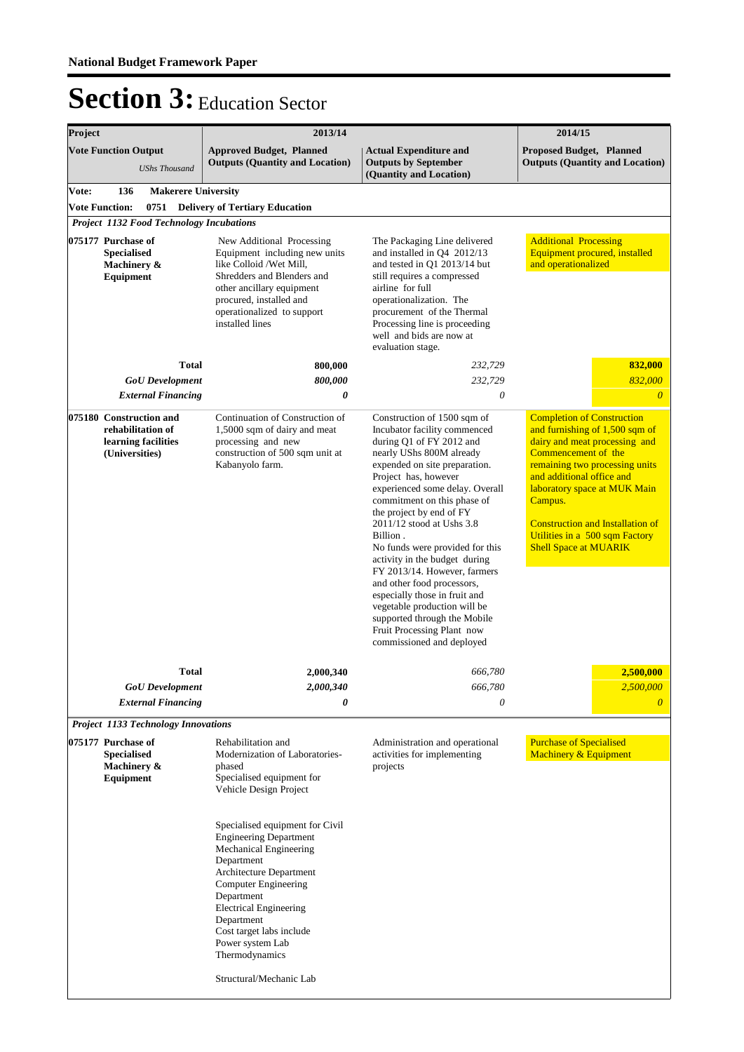| 2013/14                                                                                                                                                                                                                      | 2014/15                                                                                                                                                                                                                                                                                                                                                                                                                                                                                                                                                                                                           |                                                                                                                                                                                                                                                                                                                                                    |  |
|------------------------------------------------------------------------------------------------------------------------------------------------------------------------------------------------------------------------------|-------------------------------------------------------------------------------------------------------------------------------------------------------------------------------------------------------------------------------------------------------------------------------------------------------------------------------------------------------------------------------------------------------------------------------------------------------------------------------------------------------------------------------------------------------------------------------------------------------------------|----------------------------------------------------------------------------------------------------------------------------------------------------------------------------------------------------------------------------------------------------------------------------------------------------------------------------------------------------|--|
| <b>Approved Budget, Planned</b><br><b>Outputs (Quantity and Location)</b>                                                                                                                                                    | <b>Actual Expenditure and</b><br><b>Outputs by September</b><br>(Quantity and Location)                                                                                                                                                                                                                                                                                                                                                                                                                                                                                                                           | <b>Proposed Budget, Planned</b><br><b>Outputs (Quantity and Location)</b>                                                                                                                                                                                                                                                                          |  |
| <b>Makerere University</b>                                                                                                                                                                                                   |                                                                                                                                                                                                                                                                                                                                                                                                                                                                                                                                                                                                                   |                                                                                                                                                                                                                                                                                                                                                    |  |
| <b>Delivery of Tertiary Education</b>                                                                                                                                                                                        |                                                                                                                                                                                                                                                                                                                                                                                                                                                                                                                                                                                                                   |                                                                                                                                                                                                                                                                                                                                                    |  |
| <b>Project 1132 Food Technology Incubations</b>                                                                                                                                                                              |                                                                                                                                                                                                                                                                                                                                                                                                                                                                                                                                                                                                                   |                                                                                                                                                                                                                                                                                                                                                    |  |
| New Additional Processing<br>Equipment including new units<br>like Colloid /Wet Mill.<br>Shredders and Blenders and<br>other ancillary equipment<br>procured, installed and<br>operationalized to support<br>installed lines | The Packaging Line delivered<br>and installed in Q4 2012/13<br>and tested in Q1 2013/14 but<br>still requires a compressed<br>airline for full<br>operationalization. The<br>procurement of the Thermal<br>Processing line is proceeding<br>well and bids are now at<br>evaluation stage.                                                                                                                                                                                                                                                                                                                         | <b>Additional Processing</b><br>Equipment procured, installed<br>and operationalized                                                                                                                                                                                                                                                               |  |
| 800,000                                                                                                                                                                                                                      | 232,729                                                                                                                                                                                                                                                                                                                                                                                                                                                                                                                                                                                                           | 832,000                                                                                                                                                                                                                                                                                                                                            |  |
| 800,000                                                                                                                                                                                                                      |                                                                                                                                                                                                                                                                                                                                                                                                                                                                                                                                                                                                                   | 832,000                                                                                                                                                                                                                                                                                                                                            |  |
| 0                                                                                                                                                                                                                            | 0                                                                                                                                                                                                                                                                                                                                                                                                                                                                                                                                                                                                                 | $\theta$                                                                                                                                                                                                                                                                                                                                           |  |
| Continuation of Construction of<br>1,5000 sqm of dairy and meat<br>processing and new<br>construction of 500 sqm unit at<br>Kabanyolo farm.                                                                                  | Construction of 1500 sqm of<br>Incubator facility commenced<br>during Q1 of FY 2012 and<br>nearly UShs 800M already<br>expended on site preparation.<br>Project has, however<br>experienced some delay. Overall<br>commitment on this phase of<br>the project by end of FY<br>2011/12 stood at Ushs 3.8<br>Billion.<br>No funds were provided for this<br>activity in the budget during<br>FY 2013/14. However, farmers<br>and other food processors,<br>especially those in fruit and<br>vegetable production will be<br>supported through the Mobile<br>Fruit Processing Plant now<br>commissioned and deployed | <b>Completion of Construction</b><br>and furnishing of 1,500 sqm of<br>dairy and meat processing and<br>Commencement of the<br>remaining two processing units<br>and additional office and<br>laboratory space at MUK Main<br>Campus.<br><b>Construction and Installation of</b><br>Utilities in a 500 sqm Factory<br><b>Shell Space at MUARIK</b> |  |
|                                                                                                                                                                                                                              |                                                                                                                                                                                                                                                                                                                                                                                                                                                                                                                                                                                                                   | 2,500,000                                                                                                                                                                                                                                                                                                                                          |  |
|                                                                                                                                                                                                                              |                                                                                                                                                                                                                                                                                                                                                                                                                                                                                                                                                                                                                   | 2,500,000                                                                                                                                                                                                                                                                                                                                          |  |
| 0                                                                                                                                                                                                                            | 0                                                                                                                                                                                                                                                                                                                                                                                                                                                                                                                                                                                                                 | $\overline{0}$                                                                                                                                                                                                                                                                                                                                     |  |
|                                                                                                                                                                                                                              |                                                                                                                                                                                                                                                                                                                                                                                                                                                                                                                                                                                                                   |                                                                                                                                                                                                                                                                                                                                                    |  |
| Rehabilitation and<br>Modernization of Laboratories-<br>phased<br>Specialised equipment for<br>Vehicle Design Project<br>Specialised equipment for Civil<br><b>Engineering Department</b><br>Mechanical Engineering          | Administration and operational<br>activities for implementing<br>projects                                                                                                                                                                                                                                                                                                                                                                                                                                                                                                                                         | <b>Purchase of Specialised</b><br>Machinery & Equipment                                                                                                                                                                                                                                                                                            |  |
|                                                                                                                                                                                                                              | 2,000,340<br>2,000,340<br><b>Project 1133 Technology Innovations</b><br>Department                                                                                                                                                                                                                                                                                                                                                                                                                                                                                                                                | 232,729<br>666,780<br>666,780<br>Architecture Department                                                                                                                                                                                                                                                                                           |  |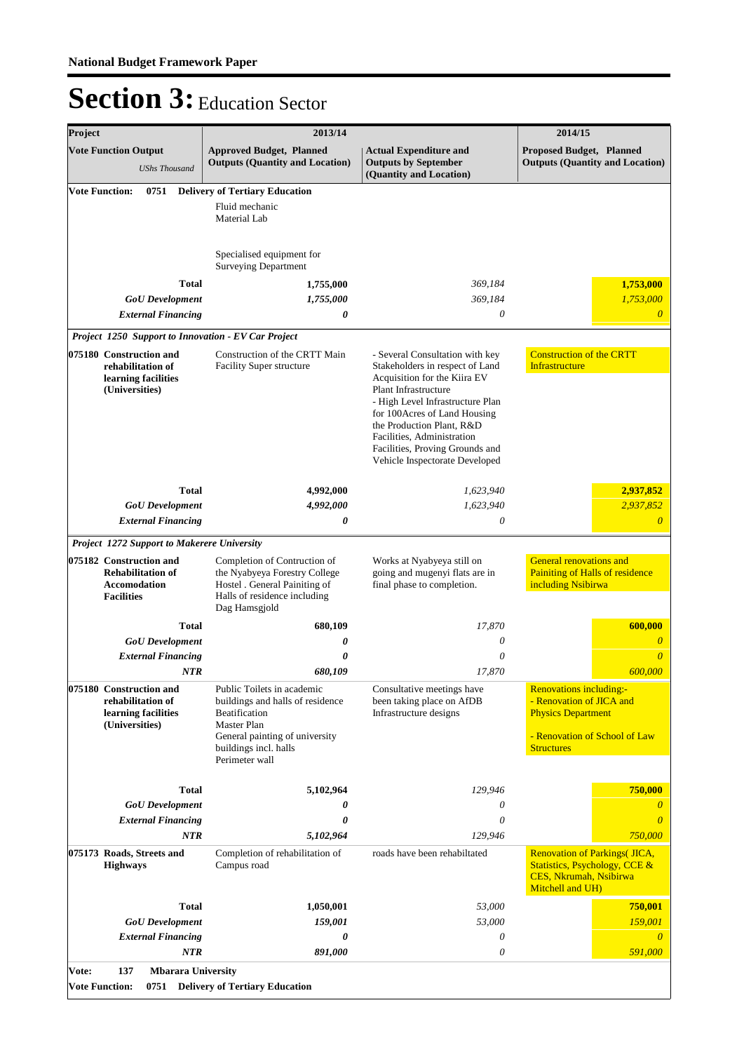| Project                                                                                                                                      |                                                                                                 | 2013/14                                                                                                                                                                            | 2014/15                                                                                                                                                                                                                                                                                                                        |                                                                                                                                               |  |
|----------------------------------------------------------------------------------------------------------------------------------------------|-------------------------------------------------------------------------------------------------|------------------------------------------------------------------------------------------------------------------------------------------------------------------------------------|--------------------------------------------------------------------------------------------------------------------------------------------------------------------------------------------------------------------------------------------------------------------------------------------------------------------------------|-----------------------------------------------------------------------------------------------------------------------------------------------|--|
|                                                                                                                                              | <b>Vote Function Output</b><br><b>UShs Thousand</b>                                             | <b>Approved Budget, Planned</b><br><b>Outputs (Quantity and Location)</b>                                                                                                          | <b>Actual Expenditure and</b><br><b>Outputs by September</b><br>(Quantity and Location)                                                                                                                                                                                                                                        | <b>Proposed Budget, Planned</b><br><b>Outputs (Quantity and Location)</b>                                                                     |  |
|                                                                                                                                              | <b>Vote Function:</b><br>0751                                                                   | <b>Delivery of Tertiary Education</b><br>Fluid mechanic<br>Material Lab                                                                                                            |                                                                                                                                                                                                                                                                                                                                |                                                                                                                                               |  |
|                                                                                                                                              |                                                                                                 | Specialised equipment for<br><b>Surveying Department</b>                                                                                                                           |                                                                                                                                                                                                                                                                                                                                |                                                                                                                                               |  |
|                                                                                                                                              | <b>Total</b>                                                                                    | 1,755,000                                                                                                                                                                          | 369,184                                                                                                                                                                                                                                                                                                                        | 1,753,000                                                                                                                                     |  |
| 1,755,000<br>369,184<br><b>GoU</b> Development<br>0<br><b>External Financing</b><br>0                                                        |                                                                                                 | 1,753,000<br>$\overline{0}$                                                                                                                                                        |                                                                                                                                                                                                                                                                                                                                |                                                                                                                                               |  |
|                                                                                                                                              |                                                                                                 |                                                                                                                                                                                    |                                                                                                                                                                                                                                                                                                                                |                                                                                                                                               |  |
| Project 1250 Support to Innovation - EV Car Project<br>075180 Construction and<br>rehabilitation of<br>learning facilities<br>(Universities) |                                                                                                 | Construction of the CRTT Main<br><b>Facility Super structure</b>                                                                                                                   | - Several Consultation with key<br>Stakeholders in respect of Land<br>Acquisition for the Kiira EV<br>Plant Infrastructure<br>- High Level Infrastructure Plan<br>for 100Acres of Land Housing<br>the Production Plant, R&D<br>Facilities, Administration<br>Facilities, Proving Grounds and<br>Vehicle Inspectorate Developed | <b>Construction of the CRTT</b><br>Infrastructure                                                                                             |  |
|                                                                                                                                              |                                                                                                 |                                                                                                                                                                                    |                                                                                                                                                                                                                                                                                                                                |                                                                                                                                               |  |
|                                                                                                                                              | <b>Total</b><br><b>GoU</b> Development                                                          | 4,992,000<br>4,992,000                                                                                                                                                             | 1,623,940<br>1,623,940                                                                                                                                                                                                                                                                                                         | 2,937,852<br>2,937,852                                                                                                                        |  |
| <b>External Financing</b>                                                                                                                    |                                                                                                 | 0                                                                                                                                                                                  | 0                                                                                                                                                                                                                                                                                                                              | $\overline{0}$                                                                                                                                |  |
|                                                                                                                                              | Project 1272 Support to Makerere University                                                     |                                                                                                                                                                                    |                                                                                                                                                                                                                                                                                                                                |                                                                                                                                               |  |
|                                                                                                                                              | 075182 Construction and<br><b>Rehabilitation of</b><br><b>Accomodation</b><br><b>Facilities</b> | Completion of Contruction of<br>the Nyabyeya Forestry College<br>Hostel . General Painiting of<br>Halls of residence including<br>Dag Hamsgjold                                    | Works at Nyabyeya still on<br>going and mugenyi flats are in<br>final phase to completion.                                                                                                                                                                                                                                     | <b>General renovations and</b><br>Painiting of Halls of residence<br>including Nsibirwa                                                       |  |
|                                                                                                                                              | <b>Total</b>                                                                                    | 680,109                                                                                                                                                                            | 17,870                                                                                                                                                                                                                                                                                                                         | 600,000                                                                                                                                       |  |
|                                                                                                                                              | <b>GoU</b> Development                                                                          | 0                                                                                                                                                                                  | 0                                                                                                                                                                                                                                                                                                                              | $\overline{\theta}$                                                                                                                           |  |
|                                                                                                                                              | <b>External Financing</b><br><b>NTR</b>                                                         | 0<br>680,109                                                                                                                                                                       | 0<br>17,870                                                                                                                                                                                                                                                                                                                    | $\theta$<br>600,000                                                                                                                           |  |
|                                                                                                                                              | 075180 Construction and<br>rehabilitation of<br>learning facilities<br>(Universities)           | Public Toilets in academic<br>buildings and halls of residence<br><b>Beatification</b><br>Master Plan<br>General painting of university<br>buildings incl. halls<br>Perimeter wall | Consultative meetings have<br>been taking place on AfDB<br>Infrastructure designs                                                                                                                                                                                                                                              | <b>Renovations including:-</b><br>- Renovation of JICA and<br><b>Physics Department</b><br>- Renovation of School of Law<br><b>Structures</b> |  |
|                                                                                                                                              | <b>Total</b>                                                                                    | 5,102,964                                                                                                                                                                          | 129,946                                                                                                                                                                                                                                                                                                                        | 750,000                                                                                                                                       |  |
|                                                                                                                                              | <b>GoU</b> Development                                                                          | 0                                                                                                                                                                                  | 0                                                                                                                                                                                                                                                                                                                              | 0                                                                                                                                             |  |
|                                                                                                                                              | <b>External Financing</b>                                                                       | 0                                                                                                                                                                                  | 0                                                                                                                                                                                                                                                                                                                              | $\theta$                                                                                                                                      |  |
|                                                                                                                                              | <b>NTR</b>                                                                                      | 5,102,964                                                                                                                                                                          | 129,946                                                                                                                                                                                                                                                                                                                        | 750,000                                                                                                                                       |  |
|                                                                                                                                              | 075173 Roads, Streets and<br><b>Highways</b>                                                    | Completion of rehabilitation of<br>Campus road                                                                                                                                     | roads have been rehabiltated                                                                                                                                                                                                                                                                                                   | <b>Renovation of Parkings(JICA,</b><br>Statistics, Psychology, CCE &<br>CES, Nkrumah, Nsibirwa<br>Mitchell and UH)                            |  |
|                                                                                                                                              | <b>Total</b>                                                                                    | 1,050,001                                                                                                                                                                          | 53,000                                                                                                                                                                                                                                                                                                                         | 750,001                                                                                                                                       |  |
|                                                                                                                                              | <b>GoU</b> Development                                                                          | 159,001                                                                                                                                                                            | 53,000                                                                                                                                                                                                                                                                                                                         | 159,001                                                                                                                                       |  |
|                                                                                                                                              | <b>External Financing</b><br>NTR                                                                | 0<br>891,000                                                                                                                                                                       | 0<br>$\theta$                                                                                                                                                                                                                                                                                                                  | $\theta$<br>591,000                                                                                                                           |  |
| Vote:                                                                                                                                        | 137<br><b>Mbarara University</b>                                                                |                                                                                                                                                                                    |                                                                                                                                                                                                                                                                                                                                |                                                                                                                                               |  |
| <b>Vote Function:</b>                                                                                                                        | 0751                                                                                            | <b>Delivery of Tertiary Education</b>                                                                                                                                              |                                                                                                                                                                                                                                                                                                                                |                                                                                                                                               |  |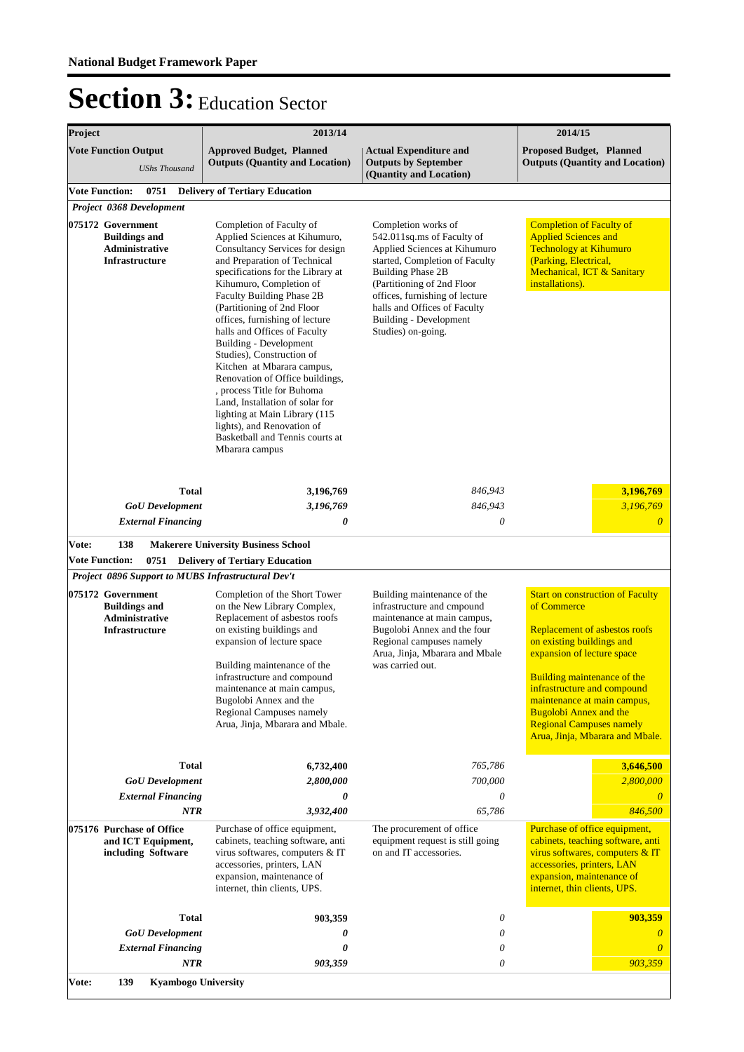| Project                                                                                                          |                                                                            | 2013/14                                                                                                                                                                                                                                                                                                                                                                                                                                                                                                                                                                                                                                | 2014/15                                                                                                                                                                                                                                                                                         |                                                                                                                                                                                                                                                                                                                                                               |  |
|------------------------------------------------------------------------------------------------------------------|----------------------------------------------------------------------------|----------------------------------------------------------------------------------------------------------------------------------------------------------------------------------------------------------------------------------------------------------------------------------------------------------------------------------------------------------------------------------------------------------------------------------------------------------------------------------------------------------------------------------------------------------------------------------------------------------------------------------------|-------------------------------------------------------------------------------------------------------------------------------------------------------------------------------------------------------------------------------------------------------------------------------------------------|---------------------------------------------------------------------------------------------------------------------------------------------------------------------------------------------------------------------------------------------------------------------------------------------------------------------------------------------------------------|--|
|                                                                                                                  | <b>Vote Function Output</b><br><b>UShs Thousand</b>                        | <b>Approved Budget, Planned</b><br><b>Outputs (Quantity and Location)</b>                                                                                                                                                                                                                                                                                                                                                                                                                                                                                                                                                              | <b>Actual Expenditure and</b><br><b>Outputs by September</b><br>(Quantity and Location)                                                                                                                                                                                                         | <b>Proposed Budget, Planned</b><br><b>Outputs (Quantity and Location)</b>                                                                                                                                                                                                                                                                                     |  |
| <b>Vote Function:</b>                                                                                            | 0751                                                                       | <b>Delivery of Tertiary Education</b>                                                                                                                                                                                                                                                                                                                                                                                                                                                                                                                                                                                                  |                                                                                                                                                                                                                                                                                                 |                                                                                                                                                                                                                                                                                                                                                               |  |
| Project 0368 Development<br>075172 Government<br><b>Buildings and</b><br>Administrative<br><b>Infrastructure</b> |                                                                            | Completion of Faculty of<br>Applied Sciences at Kihumuro,<br>Consultancy Services for design<br>and Preparation of Technical<br>specifications for the Library at<br>Kihumuro, Completion of<br>Faculty Building Phase 2B<br>(Partitioning of 2nd Floor<br>offices, furnishing of lecture<br>halls and Offices of Faculty<br>Building - Development<br>Studies), Construction of<br>Kitchen at Mbarara campus,<br>Renovation of Office buildings,<br>, process Title for Buhoma<br>Land, Installation of solar for<br>lighting at Main Library (115<br>lights), and Renovation of<br>Basketball and Tennis courts at<br>Mbarara campus | Completion works of<br>542.011sq.ms of Faculty of<br>Applied Sciences at Kihumuro<br>started, Completion of Faculty<br><b>Building Phase 2B</b><br>(Partitioning of 2nd Floor<br>offices, furnishing of lecture<br>halls and Offices of Faculty<br>Building - Development<br>Studies) on-going. | <b>Completion of Faculty of</b><br><b>Applied Sciences and</b><br><b>Technology at Kihumuro</b><br>(Parking, Electrical,<br>Mechanical, ICT & Sanitary<br>installations).                                                                                                                                                                                     |  |
| Vote:                                                                                                            | <b>Total</b><br><b>GoU</b> Development<br><b>External Financing</b><br>138 | 3,196,769<br>3,196,769<br>0                                                                                                                                                                                                                                                                                                                                                                                                                                                                                                                                                                                                            | 846,943<br>846,943<br>0                                                                                                                                                                                                                                                                         | 3,196,769<br>3,196,769<br>$\boldsymbol{\theta}$                                                                                                                                                                                                                                                                                                               |  |
| <b>Vote Function:</b>                                                                                            |                                                                            | <b>Makerere University Business School</b><br>0751 Delivery of Tertiary Education                                                                                                                                                                                                                                                                                                                                                                                                                                                                                                                                                      |                                                                                                                                                                                                                                                                                                 |                                                                                                                                                                                                                                                                                                                                                               |  |
|                                                                                                                  | Project 0896 Support to MUBS Infrastructural Dev't                         |                                                                                                                                                                                                                                                                                                                                                                                                                                                                                                                                                                                                                                        |                                                                                                                                                                                                                                                                                                 |                                                                                                                                                                                                                                                                                                                                                               |  |
| 075172 Government<br><b>Buildings and</b><br><b>Administrative</b><br>Infrastructure                             |                                                                            | Completion of the Short Tower<br>on the New Library Complex,<br>Replacement of asbestos roofs<br>on existing buildings and<br>expansion of lecture space<br>Building maintenance of the<br>infrastructure and compound<br>maintenance at main campus,<br>Bugolobi Annex and the<br>Regional Campuses namely<br>Arua, Jinja, Mbarara and Mbale.                                                                                                                                                                                                                                                                                         | Building maintenance of the<br>infrastructure and cmpound<br>maintenance at main campus,<br>Bugolobi Annex and the four<br>Regional campuses namely<br>Arua, Jinja, Mbarara and Mbale<br>was carried out.                                                                                       | <b>Start on construction of Faculty</b><br>of Commerce<br>Replacement of asbestos roofs<br>on existing buildings and<br>expansion of lecture space<br><b>Building maintenance of the</b><br>infrastructure and compound<br>maintenance at main campus,<br><b>Bugolobi Annex and the</b><br><b>Regional Campuses namely</b><br>Arua, Jinja, Mbarara and Mbale. |  |
|                                                                                                                  | <b>Total</b><br><b>GoU</b> Development<br><b>External Financing</b>        | 6,732,400<br>2,800,000<br>0                                                                                                                                                                                                                                                                                                                                                                                                                                                                                                                                                                                                            | 765,786<br>700,000<br>0                                                                                                                                                                                                                                                                         | 3,646,500<br>2,800,000                                                                                                                                                                                                                                                                                                                                        |  |
|                                                                                                                  | <b>NTR</b>                                                                 | 3,932,400                                                                                                                                                                                                                                                                                                                                                                                                                                                                                                                                                                                                                              | 65,786                                                                                                                                                                                                                                                                                          | 846,500                                                                                                                                                                                                                                                                                                                                                       |  |
| 075176 Purchase of Office<br>and ICT Equipment,<br>including Software                                            |                                                                            | Purchase of office equipment,<br>cabinets, teaching software, anti<br>virus softwares, computers & IT<br>accessories, printers, LAN<br>expansion, maintenance of<br>internet, thin clients, UPS.                                                                                                                                                                                                                                                                                                                                                                                                                                       | The procurement of office<br>equipment request is still going<br>on and IT accessories.                                                                                                                                                                                                         | Purchase of office equipment,<br>cabinets, teaching software, anti<br>virus softwares, computers & IT<br>accessories, printers, LAN<br>expansion, maintenance of<br>internet, thin clients, UPS.                                                                                                                                                              |  |
|                                                                                                                  | <b>Total</b>                                                               | 903,359                                                                                                                                                                                                                                                                                                                                                                                                                                                                                                                                                                                                                                | 0                                                                                                                                                                                                                                                                                               | 903,359                                                                                                                                                                                                                                                                                                                                                       |  |
|                                                                                                                  | <b>GoU</b> Development                                                     | 0                                                                                                                                                                                                                                                                                                                                                                                                                                                                                                                                                                                                                                      | 0                                                                                                                                                                                                                                                                                               |                                                                                                                                                                                                                                                                                                                                                               |  |
|                                                                                                                  | <b>External Financing</b><br><b>NTR</b>                                    | 0<br>903,359                                                                                                                                                                                                                                                                                                                                                                                                                                                                                                                                                                                                                           | 0<br>0                                                                                                                                                                                                                                                                                          | 0<br>903,359                                                                                                                                                                                                                                                                                                                                                  |  |
| Vote:                                                                                                            | 139<br><b>Kyambogo University</b>                                          |                                                                                                                                                                                                                                                                                                                                                                                                                                                                                                                                                                                                                                        |                                                                                                                                                                                                                                                                                                 |                                                                                                                                                                                                                                                                                                                                                               |  |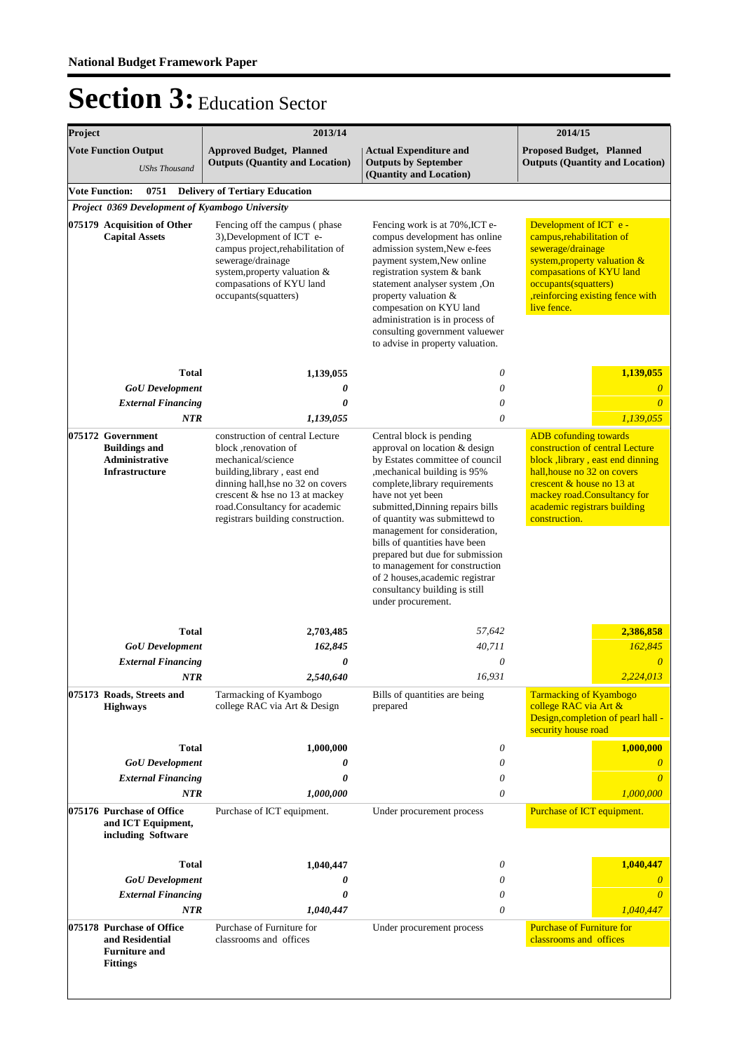| Project |                                                                                             | 2013/14                                                                                                                                                                                                                                                    | 2014/15                                                                                                                                                                                                                                                                                                                                                                                                                                                                                   |                                                                                                                                                                                                                                                 |
|---------|---------------------------------------------------------------------------------------------|------------------------------------------------------------------------------------------------------------------------------------------------------------------------------------------------------------------------------------------------------------|-------------------------------------------------------------------------------------------------------------------------------------------------------------------------------------------------------------------------------------------------------------------------------------------------------------------------------------------------------------------------------------------------------------------------------------------------------------------------------------------|-------------------------------------------------------------------------------------------------------------------------------------------------------------------------------------------------------------------------------------------------|
|         | <b>Vote Function Output</b><br><b>UShs Thousand</b>                                         | <b>Approved Budget, Planned</b><br><b>Outputs (Quantity and Location)</b>                                                                                                                                                                                  | <b>Actual Expenditure and</b><br><b>Outputs by September</b><br>(Quantity and Location)                                                                                                                                                                                                                                                                                                                                                                                                   | <b>Proposed Budget, Planned</b><br><b>Outputs (Quantity and Location)</b>                                                                                                                                                                       |
|         | <b>Vote Function:</b><br>0751                                                               | <b>Delivery of Tertiary Education</b>                                                                                                                                                                                                                      |                                                                                                                                                                                                                                                                                                                                                                                                                                                                                           |                                                                                                                                                                                                                                                 |
|         | Project 0369 Development of Kyambogo University                                             |                                                                                                                                                                                                                                                            |                                                                                                                                                                                                                                                                                                                                                                                                                                                                                           |                                                                                                                                                                                                                                                 |
|         | 075179 Acquisition of Other<br><b>Capital Assets</b>                                        | Fencing off the campus (phase<br>3), Development of ICT e-<br>campus project, rehabilitation of<br>sewerage/drainage<br>system, property valuation &<br>compasations of KYU land<br>occupants(squatters)                                                   | Fencing work is at 70%, ICT e-<br>compus development has online<br>admission system, New e-fees<br>payment system, New online<br>registration system & bank<br>statement analyser system, On<br>property valuation &<br>compesation on KYU land<br>administration is in process of<br>consulting government valuewer<br>to advise in property valuation.                                                                                                                                  | Development of ICT e -<br>campus, rehabilitation of<br>sewerage/drainage<br>system, property valuation &<br>compasations of KYU land<br>occupants(squatters)<br>,reinforcing existing fence with<br>live fence.                                 |
|         | <b>Total</b>                                                                                | 1,139,055                                                                                                                                                                                                                                                  | $\theta$                                                                                                                                                                                                                                                                                                                                                                                                                                                                                  | 1,139,055                                                                                                                                                                                                                                       |
|         | <b>GoU</b> Development                                                                      | 0                                                                                                                                                                                                                                                          | 0                                                                                                                                                                                                                                                                                                                                                                                                                                                                                         | $\boldsymbol{\theta}$                                                                                                                                                                                                                           |
|         | <b>External Financing</b>                                                                   | 0                                                                                                                                                                                                                                                          | 0                                                                                                                                                                                                                                                                                                                                                                                                                                                                                         | $\overline{\theta}$                                                                                                                                                                                                                             |
|         | <b>NTR</b>                                                                                  | 1,139,055                                                                                                                                                                                                                                                  | 0                                                                                                                                                                                                                                                                                                                                                                                                                                                                                         | 1,139,055                                                                                                                                                                                                                                       |
|         | 075172 Government<br><b>Buildings and</b><br><b>Administrative</b><br><b>Infrastructure</b> | construction of central Lecture<br>block , renovation of<br>mechanical/science<br>building, library, east end<br>dinning hall, hse no 32 on covers<br>crescent & hse no 13 at mackey<br>road.Consultancy for academic<br>registrars building construction. | Central block is pending<br>approval on location & design<br>by Estates committee of council<br>, mechanical building is 95%<br>complete, library requirements<br>have not yet been<br>submitted, Dinning repairs bills<br>of quantity was submittewd to<br>management for consideration,<br>bills of quantities have been<br>prepared but due for submission<br>to management for construction<br>of 2 houses, academic registrar<br>consultancy building is still<br>under procurement. | <b>ADB</b> cofunding towards<br>construction of central Lecture<br>block, library, east end dinning<br>hall, house no 32 on covers<br>crescent & house no 13 at<br>mackey road.Consultancy for<br>academic registrars building<br>construction. |
|         | <b>Total</b>                                                                                | 2,703,485                                                                                                                                                                                                                                                  | 57,642                                                                                                                                                                                                                                                                                                                                                                                                                                                                                    | 2,386,858                                                                                                                                                                                                                                       |
|         | <b>GoU</b> Development                                                                      | 162,845                                                                                                                                                                                                                                                    | 40,711                                                                                                                                                                                                                                                                                                                                                                                                                                                                                    | 162,845                                                                                                                                                                                                                                         |
|         | <b>External Financing</b>                                                                   | 0                                                                                                                                                                                                                                                          | $\theta$                                                                                                                                                                                                                                                                                                                                                                                                                                                                                  | $\overline{\theta}$                                                                                                                                                                                                                             |
|         | NTR                                                                                         | 2,540,640                                                                                                                                                                                                                                                  | 16.931                                                                                                                                                                                                                                                                                                                                                                                                                                                                                    | 2.224.013                                                                                                                                                                                                                                       |
|         | 075173 Roads, Streets and<br><b>Highways</b>                                                | Tarmacking of Kyambogo<br>college RAC via Art & Design                                                                                                                                                                                                     | Bills of quantities are being<br>prepared                                                                                                                                                                                                                                                                                                                                                                                                                                                 | <b>Tarmacking of Kyambogo</b><br>college RAC via Art &<br>Design, completion of pearl hall -<br>security house road                                                                                                                             |
|         | <b>Total</b>                                                                                | 1,000,000                                                                                                                                                                                                                                                  | 0                                                                                                                                                                                                                                                                                                                                                                                                                                                                                         | 1,000,000                                                                                                                                                                                                                                       |
|         | <b>GoU</b> Development                                                                      | 0                                                                                                                                                                                                                                                          | 0                                                                                                                                                                                                                                                                                                                                                                                                                                                                                         | $\theta$                                                                                                                                                                                                                                        |
|         | <b>External Financing</b>                                                                   | 0                                                                                                                                                                                                                                                          | 0                                                                                                                                                                                                                                                                                                                                                                                                                                                                                         | 0                                                                                                                                                                                                                                               |
|         | <b>NTR</b>                                                                                  | 1,000,000                                                                                                                                                                                                                                                  | 0                                                                                                                                                                                                                                                                                                                                                                                                                                                                                         | 1,000,000                                                                                                                                                                                                                                       |
|         | 075176 Purchase of Office<br>and ICT Equipment,<br>including Software                       | Purchase of ICT equipment.                                                                                                                                                                                                                                 | Under procurement process                                                                                                                                                                                                                                                                                                                                                                                                                                                                 | Purchase of ICT equipment.                                                                                                                                                                                                                      |
|         | <b>Total</b>                                                                                | 1,040,447                                                                                                                                                                                                                                                  | 0                                                                                                                                                                                                                                                                                                                                                                                                                                                                                         | 1,040,447                                                                                                                                                                                                                                       |
|         | <b>GoU</b> Development                                                                      | 0                                                                                                                                                                                                                                                          | 0                                                                                                                                                                                                                                                                                                                                                                                                                                                                                         |                                                                                                                                                                                                                                                 |
|         | <b>External Financing</b>                                                                   | $\theta$                                                                                                                                                                                                                                                   | 0                                                                                                                                                                                                                                                                                                                                                                                                                                                                                         |                                                                                                                                                                                                                                                 |
|         | <b>NTR</b>                                                                                  | 1,040,447                                                                                                                                                                                                                                                  | 0                                                                                                                                                                                                                                                                                                                                                                                                                                                                                         | 1,040,447                                                                                                                                                                                                                                       |
|         | 075178 Purchase of Office<br>and Residential<br><b>Furniture and</b><br><b>Fittings</b>     | Purchase of Furniture for<br>classrooms and offices                                                                                                                                                                                                        | Under procurement process                                                                                                                                                                                                                                                                                                                                                                                                                                                                 | <b>Purchase of Furniture for</b><br>classrooms and offices                                                                                                                                                                                      |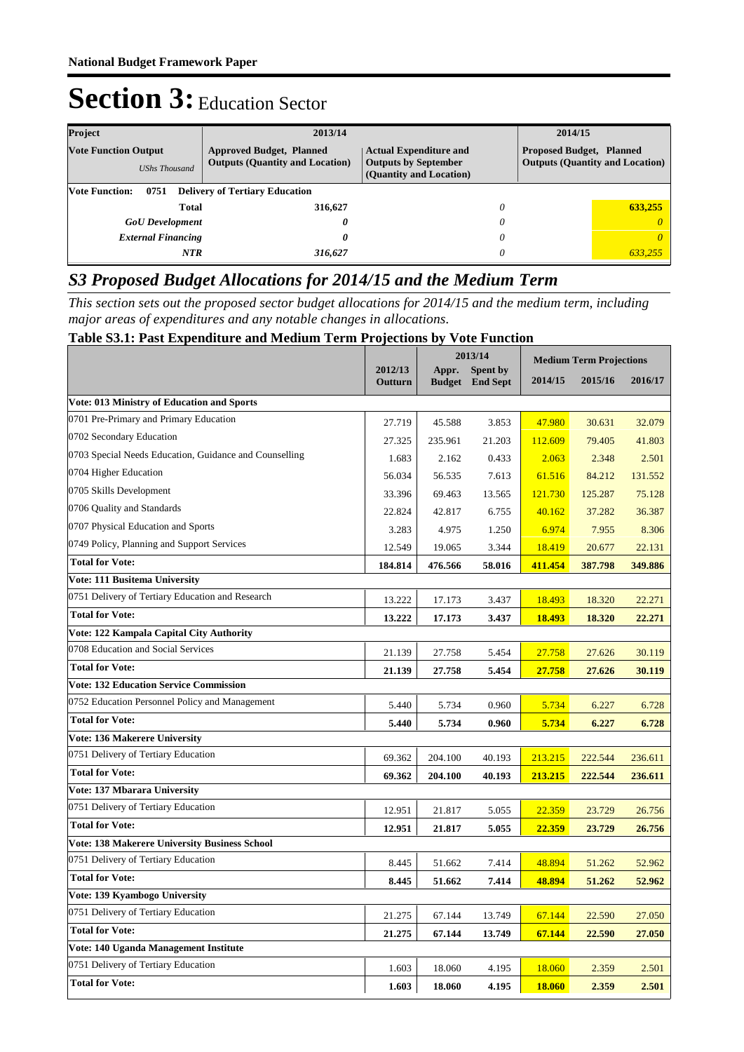| Project                                                                                                                          | 2013/14 |                                                                                                                                                                      | 2014/15 |         |
|----------------------------------------------------------------------------------------------------------------------------------|---------|----------------------------------------------------------------------------------------------------------------------------------------------------------------------|---------|---------|
| <b>Vote Function Output</b><br><b>Approved Budget, Planned</b><br><b>Outputs (Quantity and Location)</b><br><b>UShs Thousand</b> |         | <b>Proposed Budget, Planned</b><br><b>Actual Expenditure and</b><br><b>Outputs (Quantity and Location)</b><br><b>Outputs by September</b><br>(Quantity and Location) |         |         |
| <b>Vote Function:</b><br>0751<br><b>Delivery of Tertiary Education</b>                                                           |         |                                                                                                                                                                      |         |         |
| <b>Total</b>                                                                                                                     | 316,627 | 0                                                                                                                                                                    |         | 633,255 |
| <b>GoU</b> Development                                                                                                           | 0       | 0                                                                                                                                                                    |         |         |
| <b>External Financing</b>                                                                                                        | 0       |                                                                                                                                                                      |         | 0       |
| NTR                                                                                                                              | 316,627 | 0                                                                                                                                                                    |         | 633.255 |

### *S3 Proposed Budget Allocations for 2014/15 and the Medium Term*

*This section sets out the proposed sector budget allocations for 2014/15 and the medium term, including major areas of expenditures and any notable changes in allocations.* 

#### **Table S3.1: Past Expenditure and Medium Term Projections by Vote Function**

|                                                        |                           | 2013/14 |                                    | <b>Medium Term Projections</b> |         |         |
|--------------------------------------------------------|---------------------------|---------|------------------------------------|--------------------------------|---------|---------|
|                                                        | 2012/13<br><b>Outturn</b> | Appr.   | Spent by<br><b>Budget</b> End Sept | 2014/15                        | 2015/16 | 2016/17 |
| Vote: 013 Ministry of Education and Sports             |                           |         |                                    |                                |         |         |
| 0701 Pre-Primary and Primary Education                 | 27.719                    | 45.588  | 3.853                              | 47.980                         | 30.631  | 32.079  |
| 0702 Secondary Education                               | 27.325                    | 235.961 | 21.203                             | 112.609                        | 79.405  | 41.803  |
| 0703 Special Needs Education, Guidance and Counselling | 1.683                     | 2.162   | 0.433                              | 2.063                          | 2.348   | 2.501   |
| 0704 Higher Education                                  | 56.034                    | 56.535  | 7.613                              | 61.516                         | 84.212  | 131.552 |
| 0705 Skills Development                                | 33.396                    | 69.463  | 13.565                             | 121.730                        | 125.287 | 75.128  |
| 0706 Quality and Standards                             | 22.824                    | 42.817  | 6.755                              | 40.162                         | 37.282  | 36.387  |
| 0707 Physical Education and Sports                     | 3.283                     | 4.975   | 1.250                              | 6.974                          | 7.955   | 8.306   |
| 0749 Policy, Planning and Support Services             | 12.549                    | 19.065  | 3.344                              | 18.419                         | 20.677  | 22.131  |
| <b>Total for Vote:</b>                                 | 184.814                   | 476.566 | 58.016                             | 411.454                        | 387.798 | 349.886 |
| Vote: 111 Busitema University                          |                           |         |                                    |                                |         |         |
| 0751 Delivery of Tertiary Education and Research       | 13.222                    | 17.173  | 3.437                              | 18.493                         | 18.320  | 22.271  |
| <b>Total for Vote:</b>                                 | 13.222                    | 17.173  | 3.437                              | 18.493                         | 18.320  | 22,271  |
| Vote: 122 Kampala Capital City Authority               |                           |         |                                    |                                |         |         |
| 0708 Education and Social Services                     | 21.139                    | 27.758  | 5.454                              | 27.758                         | 27.626  | 30.119  |
| <b>Total for Vote:</b>                                 | 21.139                    | 27.758  | 5.454                              | 27.758                         | 27.626  | 30.119  |
| <b>Vote: 132 Education Service Commission</b>          |                           |         |                                    |                                |         |         |
| 0752 Education Personnel Policy and Management         | 5.440                     | 5.734   | 0.960                              | 5.734                          | 6.227   | 6.728   |
| <b>Total for Vote:</b>                                 | 5.440                     | 5.734   | 0.960                              | 5.734                          | 6.227   | 6.728   |
| <b>Vote: 136 Makerere University</b>                   |                           |         |                                    |                                |         |         |
| 0751 Delivery of Tertiary Education                    | 69.362                    | 204.100 | 40.193                             | 213.215                        | 222.544 | 236.611 |
| <b>Total for Vote:</b>                                 | 69.362                    | 204.100 | 40.193                             | 213.215                        | 222.544 | 236.611 |
| <b>Vote: 137 Mbarara University</b>                    |                           |         |                                    |                                |         |         |
| 0751 Delivery of Tertiary Education                    | 12.951                    | 21.817  | 5.055                              | 22.359                         | 23.729  | 26.756  |
| <b>Total for Vote:</b>                                 | 12.951                    | 21.817  | 5.055                              | 22.359                         | 23.729  | 26.756  |
| <b>Vote: 138 Makerere University Business School</b>   |                           |         |                                    |                                |         |         |
| 0751 Delivery of Tertiary Education                    | 8.445                     | 51.662  | 7.414                              | 48.894                         | 51.262  | 52.962  |
| <b>Total for Vote:</b>                                 | 8.445                     | 51.662  | 7.414                              | 48.894                         | 51.262  | 52.962  |
| Vote: 139 Kyambogo University                          |                           |         |                                    |                                |         |         |
| 0751 Delivery of Tertiary Education                    | 21.275                    | 67.144  | 13.749                             | 67.144                         | 22.590  | 27.050  |
| <b>Total for Vote:</b>                                 | 21,275                    | 67.144  | 13.749                             | 67.144                         | 22.590  | 27.050  |
| Vote: 140 Uganda Management Institute                  |                           |         |                                    |                                |         |         |
| 0751 Delivery of Tertiary Education                    | 1.603                     | 18.060  | 4.195                              | 18.060                         | 2.359   | 2.501   |
| <b>Total for Vote:</b>                                 | 1.603                     | 18.060  | 4.195                              | 18.060                         | 2.359   | 2.501   |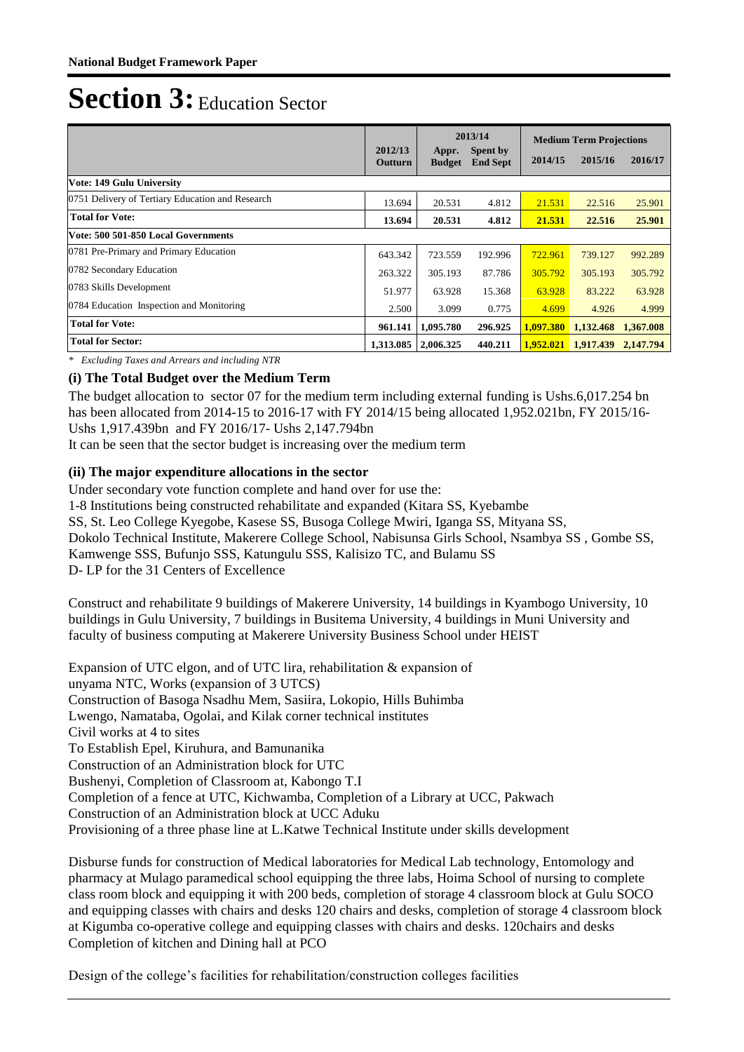|                                                  | 2012/13   | 2013/14                |                                    | <b>Medium Term Projections</b> |                               |           |
|--------------------------------------------------|-----------|------------------------|------------------------------------|--------------------------------|-------------------------------|-----------|
|                                                  | Outturn   | Appr.<br><b>Budget</b> | <b>Spent by</b><br><b>End Sept</b> | 2014/15                        | 2015/16                       | 2016/17   |
| Vote: 149 Gulu University                        |           |                        |                                    |                                |                               |           |
| 0751 Delivery of Tertiary Education and Research | 13.694    | 20.531                 | 4.812                              | 21.531                         | 22.516                        | 25.901    |
| <b>Total for Vote:</b>                           | 13.694    | 20.531                 | 4.812                              | 21.531                         | 22.516                        | 25.901    |
| Vote: 500 501-850 Local Governments              |           |                        |                                    |                                |                               |           |
| 0781 Pre-Primary and Primary Education           | 643.342   | 723.559                | 192.996                            | 722.961                        | 739.127                       | 992.289   |
| 0782 Secondary Education                         | 263.322   | 305.193                | 87.786                             | 305,792                        | 305.193                       | 305.792   |
| 0783 Skills Development                          | 51.977    | 63.928                 | 15.368                             | 63.928                         | 83.222                        | 63.928    |
| 0784 Education Inspection and Monitoring         | 2.500     | 3.099                  | 0.775                              | 4.699                          | 4.926                         | 4.999     |
| <b>Total for Vote:</b>                           | 961.141   | 1,095.780              | 296.925                            | 1,097.380                      | 1,132.468                     | 1.367.008 |
| <b>Total for Sector:</b>                         | 1,313.085 | 2,006.325              | 440.211                            |                                | 1,952,021 1,917,439 2,147,794 |           |

*\* Excluding Taxes and Arrears and including NTR*

### **(i) The Total Budget over the Medium Term**

The budget allocation to sector 07 for the medium term including external funding is Ushs.6,017.254 bn has been allocated from 2014-15 to 2016-17 with FY 2014/15 being allocated 1,952.021bn, FY 2015/16- Ushs 1,917.439bn and FY 2016/17- Ushs 2,147.794bn

It can be seen that the sector budget is increasing over the medium term

### **(ii) The major expenditure allocations in the sector**

Under secondary vote function complete and hand over for use the:

1-8 Institutions being constructed rehabilitate and expanded (Kitara SS, Kyebambe

SS, St. Leo College Kyegobe, Kasese SS, Busoga College Mwiri, Iganga SS, Mityana SS,

Dokolo Technical Institute, Makerere College School, Nabisunsa Girls School, Nsambya SS , Gombe SS,

Kamwenge SSS, Bufunjo SSS, Katungulu SSS, Kalisizo TC, and Bulamu SS

D- LP for the 31 Centers of Excellence

Construct and rehabilitate 9 buildings of Makerere University, 14 buildings in Kyambogo University, 10 buildings in Gulu University, 7 buildings in Busitema University, 4 buildings in Muni University and faculty of business computing at Makerere University Business School under HEIST

Expansion of UTC elgon, and of UTC lira, rehabilitation & expansion of unyama NTC, Works (expansion of 3 UTCS) Construction of Basoga Nsadhu Mem, Sasiira, Lokopio, Hills Buhimba Lwengo, Namataba, Ogolai, and Kilak corner technical institutes Civil works at 4 to sites To Establish Epel, Kiruhura, and Bamunanika Construction of an Administration block for UTC Bushenyi, Completion of Classroom at, Kabongo T.I Completion of a fence at UTC, Kichwamba, Completion of a Library at UCC, Pakwach Construction of an Administration block at UCC Aduku Provisioning of a three phase line at L.Katwe Technical Institute under skills development

Disburse funds for construction of Medical laboratories for Medical Lab technology, Entomology and pharmacy at Mulago paramedical school equipping the three labs, Hoima School of nursing to complete class room block and equipping it with 200 beds, completion of storage 4 classroom block at Gulu SOCO and equipping classes with chairs and desks 120 chairs and desks, completion of storage 4 classroom block at Kigumba co-operative college and equipping classes with chairs and desks. 120chairs and desks Completion of kitchen and Dining hall at PCO

Design of the college's facilities for rehabilitation/construction colleges facilities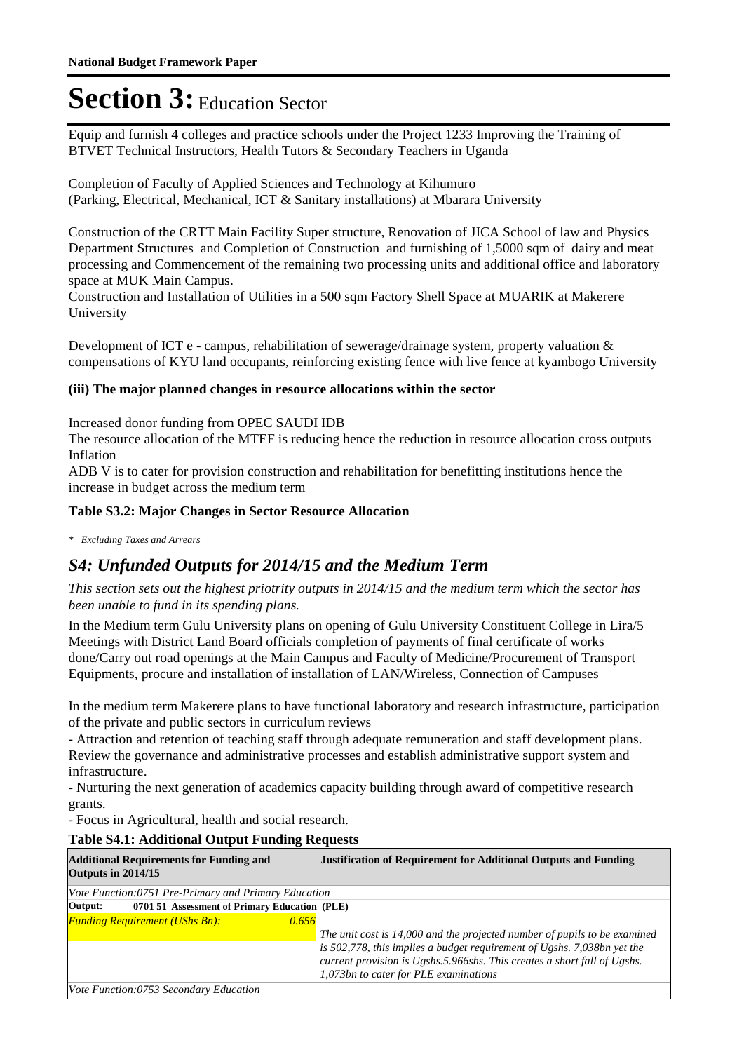Equip and furnish 4 colleges and practice schools under the Project 1233 Improving the Training of BTVET Technical Instructors, Health Tutors & Secondary Teachers in Uganda

Completion of Faculty of Applied Sciences and Technology at Kihumuro (Parking, Electrical, Mechanical, ICT & Sanitary installations) at Mbarara University

Construction of the CRTT Main Facility Super structure, Renovation of JICA School of law and Physics Department Structures and Completion of Construction and furnishing of 1,5000 sqm of dairy and meat processing and Commencement of the remaining two processing units and additional office and laboratory space at MUK Main Campus.

Construction and Installation of Utilities in a 500 sqm Factory Shell Space at MUARIK at Makerere University

Development of ICT e - campus, rehabilitation of sewerage/drainage system, property valuation & compensations of KYU land occupants, reinforcing existing fence with live fence at kyambogo University

#### **(iii) The major planned changes in resource allocations within the sector**

Increased donor funding from OPEC SAUDI IDB

The resource allocation of the MTEF is reducing hence the reduction in resource allocation cross outputs Inflation

ADB V is to cater for provision construction and rehabilitation for benefitting institutions hence the increase in budget across the medium term

#### **Table S3.2: Major Changes in Sector Resource Allocation**

*\* Excluding Taxes and Arrears*

### *S4: Unfunded Outputs for 2014/15 and the Medium Term*

*This section sets out the highest priotrity outputs in 2014/15 and the medium term which the sector has been unable to fund in its spending plans.*

In the Medium term Gulu University plans on opening of Gulu University Constituent College in Lira/5 Meetings with District Land Board officials completion of payments of final certificate of works done/Carry out road openings at the Main Campus and Faculty of Medicine/Procurement of Transport Equipments, procure and installation of installation of LAN/Wireless, Connection of Campuses

In the medium term Makerere plans to have functional laboratory and research infrastructure, participation of the private and public sectors in curriculum reviews

- Attraction and retention of teaching staff through adequate remuneration and staff development plans. Review the governance and administrative processes and establish administrative support system and infrastructure.

- Nurturing the next generation of academics capacity building through award of competitive research grants.

- Focus in Agricultural, health and social research.

### **Table S4.1: Additional Output Funding Requests**

| <b>Additional Requirements for Funding and</b><br>Outputs in 2014/15 | <b>Justification of Requirement for Additional Outputs and Funding</b>                                                                                                                                                                                                    |
|----------------------------------------------------------------------|---------------------------------------------------------------------------------------------------------------------------------------------------------------------------------------------------------------------------------------------------------------------------|
| Vote Function:0751 Pre-Primary and Primary Education                 |                                                                                                                                                                                                                                                                           |
| 0701 51 Assessment of Primary Education (PLE)<br>Output:             |                                                                                                                                                                                                                                                                           |
| <b>Funding Requirement (UShs Bn):</b><br>0.656                       | The unit cost is 14,000 and the projected number of pupils to be examined<br>is 502,778, this implies a budget requirement of Ugshs. 7,038bn yet the<br>current provision is Ugshs.5.966shs. This creates a short fall of Ugshs.<br>1,073bn to cater for PLE examinations |
| Vote Function:0753 Secondary Education                               |                                                                                                                                                                                                                                                                           |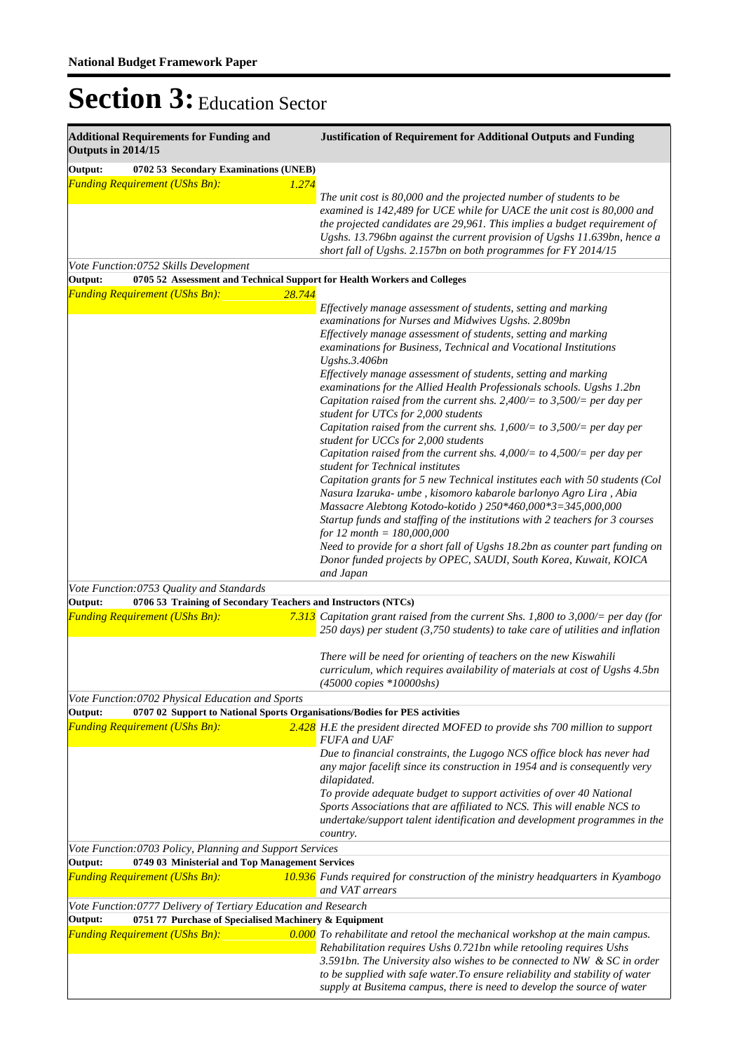| <b>Additional Requirements for Funding and</b><br>Outputs in 2014/15 |                                                                 | <b>Justification of Requirement for Additional Outputs and Funding</b>                                                                                                                                                    |  |  |
|----------------------------------------------------------------------|-----------------------------------------------------------------|---------------------------------------------------------------------------------------------------------------------------------------------------------------------------------------------------------------------------|--|--|
| Output:                                                              | 0702 53 Secondary Examinations (UNEB)                           |                                                                                                                                                                                                                           |  |  |
| <b>Funding Requirement (UShs Bn):</b>                                | 1.274                                                           |                                                                                                                                                                                                                           |  |  |
|                                                                      |                                                                 | The unit cost is 80,000 and the projected number of students to be<br>examined is 142,489 for UCE while for UACE the unit cost is 80,000 and<br>the projected candidates are 29,961. This implies a budget requirement of |  |  |
|                                                                      |                                                                 | Ugshs. 13.796bn against the current provision of Ugshs 11.639bn, hence a<br>short fall of Ugshs. 2.157bn on both programmes for FY 2014/15                                                                                |  |  |
| Vote Function:0752 Skills Development<br>Output:                     |                                                                 | 0705 52 Assessment and Technical Support for Health Workers and Colleges                                                                                                                                                  |  |  |
| <b>Funding Requirement (UShs Bn):</b>                                | 28.744                                                          |                                                                                                                                                                                                                           |  |  |
|                                                                      |                                                                 | Effectively manage assessment of students, setting and marking<br>examinations for Nurses and Midwives Ugshs. 2.809bn                                                                                                     |  |  |
|                                                                      |                                                                 | Effectively manage assessment of students, setting and marking<br>examinations for Business, Technical and Vocational Institutions<br>Ugshs.3.406bn                                                                       |  |  |
|                                                                      |                                                                 | Effectively manage assessment of students, setting and marking                                                                                                                                                            |  |  |
|                                                                      |                                                                 | examinations for the Allied Health Professionals schools. Ugshs 1.2bn<br>Capitation raised from the current shs. 2,400/= to 3,500/= per day per                                                                           |  |  |
|                                                                      |                                                                 | student for UTCs for 2,000 students<br>Capitation raised from the current shs. 1,600/= to 3,500/= per day per<br>student for UCCs for 2,000 students                                                                      |  |  |
|                                                                      |                                                                 | Capitation raised from the current shs. 4,000/= to 4,500/= per day per<br>student for Technical institutes                                                                                                                |  |  |
|                                                                      |                                                                 | Capitation grants for 5 new Technical institutes each with 50 students (Col<br>Nasura Izaruka- umbe, kisomoro kabarole barlonyo Agro Lira, Abia<br>Massacre Alebtong Kotodo-kotido ) 250*460,000*3=345,000,000            |  |  |
|                                                                      |                                                                 | Startup funds and staffing of the institutions with 2 teachers for 3 courses<br>for 12 month = $180,000,000$                                                                                                              |  |  |
|                                                                      |                                                                 | Need to provide for a short fall of Ugshs 18.2bn as counter part funding on<br>Donor funded projects by OPEC, SAUDI, South Korea, Kuwait, KOICA<br>and Japan                                                              |  |  |
| Vote Function:0753 Quality and Standards                             |                                                                 |                                                                                                                                                                                                                           |  |  |
| Output:                                                              | 0706 53 Training of Secondary Teachers and Instructors (NTCs)   |                                                                                                                                                                                                                           |  |  |
| <b>Funding Requirement (UShs Bn):</b>                                |                                                                 | 7.313 Capitation grant raised from the current Shs. 1,800 to 3,000/= per day (for<br>$250$ days) per student (3,750 students) to take care of utilities and inflation                                                     |  |  |
|                                                                      |                                                                 | There will be need for orienting of teachers on the new Kiswahili<br>curriculum, which requires availability of materials at cost of Ugshs 4.5bn<br>$(45000 \text{ copies * } 10000 \text{shs})$                          |  |  |
| Vote Function: 0702 Physical Education and Sports                    |                                                                 |                                                                                                                                                                                                                           |  |  |
| Output:                                                              |                                                                 | 0707 02 Support to National Sports Organisations/Bodies for PES activities                                                                                                                                                |  |  |
| <b>Funding Requirement (UShs Bn):</b>                                |                                                                 | 2.428 H.E the president directed MOFED to provide shs 700 million to support<br><b>FUFA</b> and UAF                                                                                                                       |  |  |
|                                                                      |                                                                 | Due to financial constraints, the Lugogo NCS office block has never had<br>any major facelift since its construction in 1954 and is consequently very<br>dilapidated.                                                     |  |  |
|                                                                      |                                                                 | To provide adequate budget to support activities of over 40 National<br>Sports Associations that are affiliated to NCS. This will enable NCS to                                                                           |  |  |
|                                                                      |                                                                 | undertake/support talent identification and development programmes in the<br>country.                                                                                                                                     |  |  |
|                                                                      | Vote Function:0703 Policy, Planning and Support Services        |                                                                                                                                                                                                                           |  |  |
| Output:                                                              | 0749 03 Ministerial and Top Management Services                 |                                                                                                                                                                                                                           |  |  |
| <b>Funding Requirement (UShs Bn):</b>                                |                                                                 | <b>10.936</b> Funds required for construction of the ministry headquarters in Kyambogo<br>and VAT arrears                                                                                                                 |  |  |
|                                                                      | Vote Function: 0777 Delivery of Tertiary Education and Research |                                                                                                                                                                                                                           |  |  |
| Output:<br><b>Funding Requirement (UShs Bn):</b>                     | 0751 77 Purchase of Specialised Machinery & Equipment           | 0.000 To rehabilitate and retool the mechanical workshop at the main campus.                                                                                                                                              |  |  |
|                                                                      |                                                                 | Rehabilitation requires Ushs 0.721bn while retooling requires Ushs<br>3.591bn. The University also wishes to be connected to NW & SC in order                                                                             |  |  |
|                                                                      |                                                                 | to be supplied with safe water. To ensure reliability and stability of water                                                                                                                                              |  |  |
|                                                                      |                                                                 | supply at Busitema campus, there is need to develop the source of water                                                                                                                                                   |  |  |